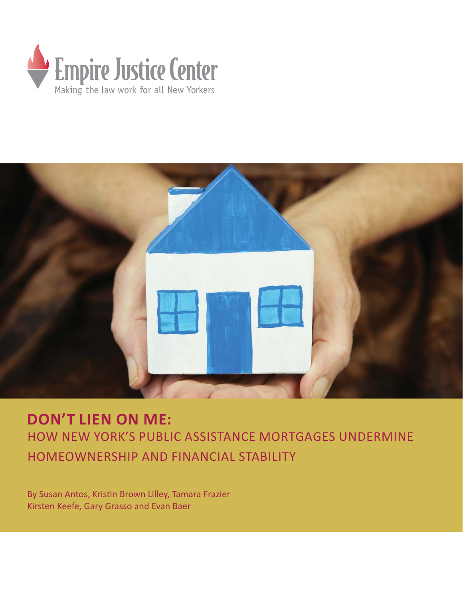



**DON'T LIEN ON ME:**  HOW NEW YORK'S PUBLIC ASSISTANCE MORTGAGES UNDERMINE HOMEOWNERSHIP AND FINANCIAL STABILITY

By Susan Antos, Kristin Brown Lilley, Tamara Frazier Kirsten Keefe, Gary Grasso and Evan Baer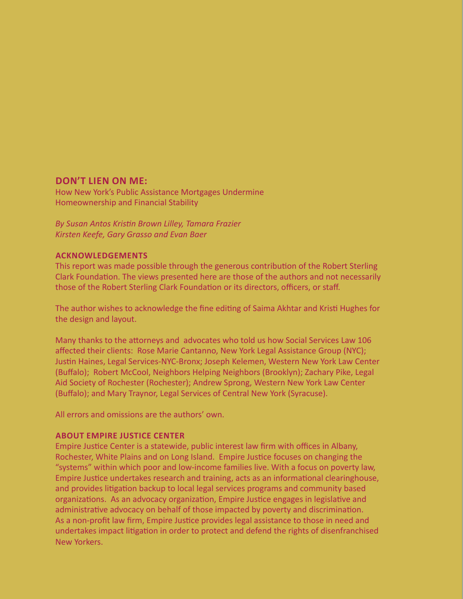#### **DON'T LIEN ON ME:**

How New York's Public Assistance Mortgages Undermine Homeownership and Financial Stability

*By Susan Antos KrisƟ n Brown Lilley, Tamara Frazier Kirsten Keefe, Gary Grasso and Evan Baer*

#### **ACKNOWLEDGEMENTS**

This report was made possible through the generous contribution of the Robert Sterling Clark Foundation. The views presented here are those of the authors and not necessarily those of the Robert Sterling Clark Foundation or its directors, officers, or staff.

The author wishes to acknowledge the fine editing of Saima Akhtar and Kristi Hughes for the design and layout.

Many thanks to the attorneys and advocates who told us how Social Services Law 106 affected their clients: Rose Marie Cantanno, New York Legal Assistance Group (NYC); Justin Haines, Legal Services-NYC-Bronx; Joseph Kelemen, Western New York Law Center (Buffalo); Robert McCool, Neighbors Helping Neighbors (Brooklyn); Zachary Pike, Legal Aid Society of Rochester (Rochester); Andrew Sprong, Western New York Law Center (Buffalo); and Mary Traynor, Legal Services of Central New York (Syracuse).

All errors and omissions are the authors' own.

#### **ABOUT EMPIRE JUSTICE CENTER**

Empire Justice Center is a statewide, public interest law firm with offices in Albany, Rochester, White Plains and on Long Island. Empire Justice focuses on changing the "systems" within which poor and low-income families live. With a focus on poverty law, Empire Justice undertakes research and training, acts as an informational clearinghouse, and provides litigation backup to local legal services programs and community based organizations. As an advocacy organization, Empire Justice engages in legislative and administrative advocacy on behalf of those impacted by poverty and discrimination. As a non-profit law firm, Empire Justice provides legal assistance to those in need and undertakes impact litigation in order to protect and defend the rights of disenfranchised New Yorkers.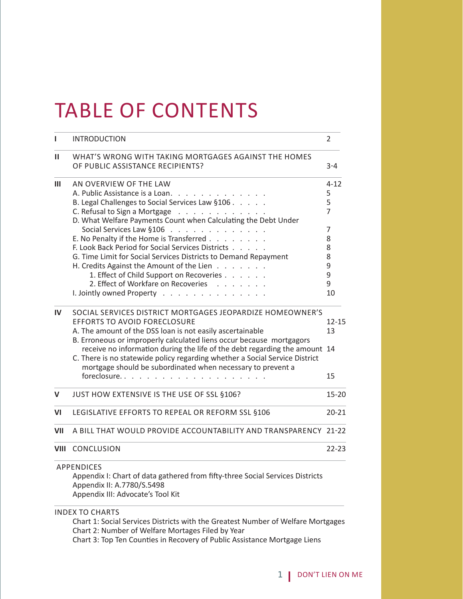# TABLE OF CONTENTS

| ı            | <b>INTRODUCTION</b>                                                                                                                                       | 2         |
|--------------|-----------------------------------------------------------------------------------------------------------------------------------------------------------|-----------|
| п            | WHAT'S WRONG WITH TAKING MORTGAGES AGAINST THE HOMES<br>OF PUBLIC ASSISTANCE RECIPIENTS?                                                                  | $3 - 4$   |
| Ш            | AN OVERVIEW OF THE LAW                                                                                                                                    | $4 - 12$  |
|              | A. Public Assistance is a Loan.                                                                                                                           | 5         |
|              | B. Legal Challenges to Social Services Law §106                                                                                                           | 5         |
|              | C. Refusal to Sign a Mortgage                                                                                                                             | 7         |
|              | D. What Welfare Payments Count when Calculating the Debt Under                                                                                            |           |
|              | Social Services Law §106                                                                                                                                  | 7         |
|              | E. No Penalty if the Home is Transferred                                                                                                                  | 8         |
|              | F. Look Back Period for Social Services Districts                                                                                                         | 8         |
|              | G. Time Limit for Social Services Districts to Demand Repayment                                                                                           | 8         |
|              | H. Credits Against the Amount of the Lien                                                                                                                 | 9         |
|              | 1. Effect of Child Support on Recoveries                                                                                                                  | 9         |
|              | 2. Effect of Workfare on Recoveries                                                                                                                       | 9         |
|              | I. Jointly owned Property                                                                                                                                 | 10        |
| $\mathbf{I}$ | SOCIAL SERVICES DISTRICT MORTGAGES JEOPARDIZE HOMEOWNER'S                                                                                                 |           |
|              | <b>EFFORTS TO AVOID FORECLOSURE</b>                                                                                                                       | $12 - 15$ |
|              | A. The amount of the DSS loan is not easily ascertainable                                                                                                 | 13        |
|              | B. Erroneous or improperly calculated liens occur because mortgagors                                                                                      |           |
|              | receive no information during the life of the debt regarding the amount 14<br>C. There is no statewide policy regarding whether a Social Service District |           |
|              | mortgage should be subordinated when necessary to prevent a<br>foreclosure                                                                                | 15        |
| V            | JUST HOW EXTENSIVE IS THE USE OF SSL §106?                                                                                                                | $15 - 20$ |
| VI           | LEGISLATIVE EFFORTS TO REPEAL OR REFORM SSL §106                                                                                                          | $20 - 21$ |
| VII          | A BILL THAT WOULD PROVIDE ACCOUNTABILITY AND TRANSPARENCY 21-22                                                                                           |           |
| <b>VIII</b>  | CONCLUSION                                                                                                                                                | $22 - 23$ |
|              | <b>APPENDICES</b>                                                                                                                                         |           |
|              | Appendix I: Chart of data gathered from fifty-three Social Services Districts                                                                             |           |
|              | Appendix II: A.7780/S.5498                                                                                                                                |           |
|              | Appendix III: Advocate's Tool Kit                                                                                                                         |           |
|              | <b>INDEX TO CHARTS</b>                                                                                                                                    |           |
|              | Chart 1: Social Services Districts with the Greatest Number of Welfare Mortgages                                                                          |           |

Chart 2: Number of Welfare Mortages Filed by Year

Chart 3: Top Ten Counties in Recovery of Public Assistance Mortgage Liens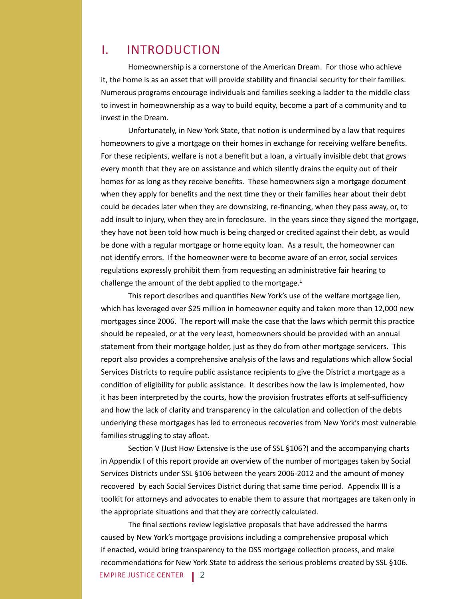### I. INTRODUCTION

 Homeownership is a cornerstone of the American Dream. For those who achieve it, the home is as an asset that will provide stability and financial security for their families. Numerous programs encourage individuals and families seeking a ladder to the middle class to invest in homeownership as a way to build equity, become a part of a community and to invest in the Dream.

Unfortunately, in New York State, that notion is undermined by a law that requires homeowners to give a mortgage on their homes in exchange for receiving welfare benefits. For these recipients, welfare is not a benefit but a loan, a virtually invisible debt that grows every month that they are on assistance and which silently drains the equity out of their homes for as long as they receive benefits. These homeowners sign a mortgage document when they apply for benefits and the next time they or their families hear about their debt could be decades later when they are downsizing, re-financing, when they pass away, or, to add insult to injury, when they are in foreclosure. In the years since they signed the mortgage, they have not been told how much is being charged or credited against their debt, as would be done with a regular mortgage or home equity loan. As a result, the homeowner can not identify errors. If the homeowner were to become aware of an error, social services regulations expressly prohibit them from requesting an administrative fair hearing to challenge the amount of the debt applied to the mortgage. $1$ 

This report describes and quantifies New York's use of the welfare mortgage lien, which has leveraged over \$25 million in homeowner equity and taken more than 12,000 new mortgages since 2006. The report will make the case that the laws which permit this practice should be repealed, or at the very least, homeowners should be provided with an annual statement from their mortgage holder, just as they do from other mortgage servicers. This report also provides a comprehensive analysis of the laws and regulations which allow Social Services Districts to require public assistance recipients to give the District a mortgage as a condition of eligibility for public assistance. It describes how the law is implemented, how it has been interpreted by the courts, how the provision frustrates efforts at self-sufficiency and how the lack of clarity and transparency in the calculation and collection of the debts underlying these mortgages has led to erroneous recoveries from New York's most vulnerable families struggling to stay afloat.

Section V (Just How Extensive is the use of SSL §106?) and the accompanying charts in Appendix I of this report provide an overview of the number of mortgages taken by Social Services Districts under SSL §106 between the years 2006-2012 and the amount of money recovered by each Social Services District during that same time period. Appendix III is a toolkit for attorneys and advocates to enable them to assure that mortgages are taken only in the appropriate situations and that they are correctly calculated.

EMPIRE JUSTICE CENTER2 The final sections review legislative proposals that have addressed the harms caused by New York's mortgage provisions including a comprehensive proposal which if enacted, would bring transparency to the DSS mortgage collection process, and make recommendations for New York State to address the serious problems created by SSL §106.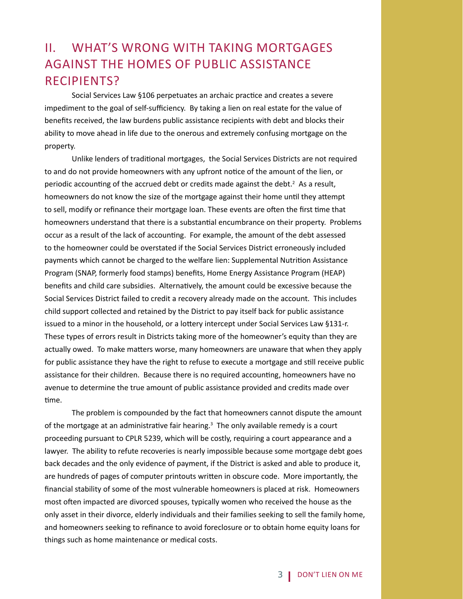# II. WHAT'S WRONG WITH TAKING MORTGAGES AGAINST THE HOMES OF PUBLIC ASSISTANCE RECIPIENTS?

Social Services Law §106 perpetuates an archaic practice and creates a severe impediment to the goal of self-sufficiency. By taking a lien on real estate for the value of benefits received, the law burdens public assistance recipients with debt and blocks their ability to move ahead in life due to the onerous and extremely confusing mortgage on the property.

Unlike lenders of traditional mortgages, the Social Services Districts are not required to and do not provide homeowners with any upfront notice of the amount of the lien, or periodic accounting of the accrued debt or credits made against the debt. $2$  As a result, homeowners do not know the size of the mortgage against their home until they attempt to sell, modify or refinance their mortgage loan. These events are often the first time that homeowners understand that there is a substantial encumbrance on their property. Problems occur as a result of the lack of accounting. For example, the amount of the debt assessed to the homeowner could be overstated if the Social Services District erroneously included payments which cannot be charged to the welfare lien: Supplemental Nutrition Assistance Program (SNAP, formerly food stamps) benefits, Home Energy Assistance Program (HEAP) benefits and child care subsidies. Alternatively, the amount could be excessive because the Social Services District failed to credit a recovery already made on the account. This includes child support collected and retained by the District to pay itself back for public assistance issued to a minor in the household, or a lottery intercept under Social Services Law §131-r. These types of errors result in Districts taking more of the homeowner's equity than they are actually owed. To make matters worse, many homeowners are unaware that when they apply for public assistance they have the right to refuse to execute a mortgage and still receive public assistance for their children. Because there is no required accounting, homeowners have no avenue to determine the true amount of public assistance provided and credits made over time.

 The problem is compounded by the fact that homeowners cannot dispute the amount of the mortgage at an administrative fair hearing.<sup>3</sup> The only available remedy is a court proceeding pursuant to CPLR 5239, which will be costly, requiring a court appearance and a lawyer. The ability to refute recoveries is nearly impossible because some mortgage debt goes back decades and the only evidence of payment, if the District is asked and able to produce it, are hundreds of pages of computer printouts written in obscure code. More importantly, the financial stability of some of the most vulnerable homeowners is placed at risk. Homeowners most often impacted are divorced spouses, typically women who received the house as the only asset in their divorce, elderly individuals and their families seeking to sell the family home, and homeowners seeking to refinance to avoid foreclosure or to obtain home equity loans for things such as home maintenance or medical costs.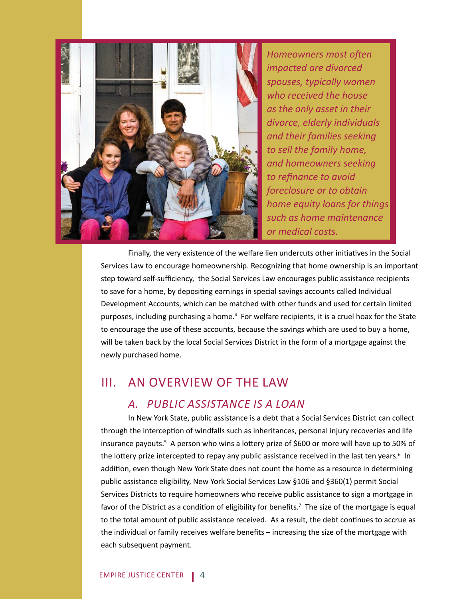

**Homeowners most often** *impacted are divorced spouses, typically women who received the house as the only asset in their divorce, elderly individuals and their families seeking to sell the family home, and homeowners seeking*  to refinance to avoid *foreclosure or to obtain home equity loans for things such as home maintenance or medical costs.*

Finally, the very existence of the welfare lien undercuts other initiatives in the Social Services Law to encourage homeownership. Recognizing that home ownership is an important step toward self-sufficiency, the Social Services Law encourages public assistance recipients to save for a home, by depositing earnings in special savings accounts called Individual Development Accounts, which can be matched with other funds and used for certain limited purposes, including purchasing a home.<sup>4</sup> For welfare recipients, it is a cruel hoax for the State to encourage the use of these accounts, because the savings which are used to buy a home, will be taken back by the local Social Services District in the form of a mortgage against the newly purchased home.

### III. AN OVERVIEW OF THE LAW

#### *A. PUBLIC ASSISTANCE IS A LOAN*

 In New York State, public assistance is a debt that a Social Services District can collect through the interception of windfalls such as inheritances, personal injury recoveries and life insurance payouts.<sup>5</sup> A person who wins a lottery prize of \$600 or more will have up to 50% of the lottery prize intercepted to repay any public assistance received in the last ten years.<sup>6</sup> In addition, even though New York State does not count the home as a resource in determining public assistance eligibility, New York Social Services Law §106 and §360(1) permit Social Services Districts to require homeowners who receive public assistance to sign a mortgage in favor of the District as a condition of eligibility for benefits.<sup>7</sup> The size of the mortgage is equal to the total amount of public assistance received. As a result, the debt continues to accrue as the individual or family receives welfare benefits – increasing the size of the mortgage with each subsequent payment.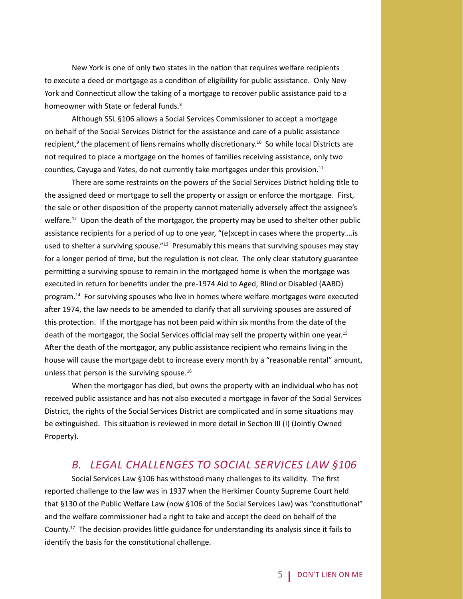New York is one of only two states in the nation that requires welfare recipients to execute a deed or mortgage as a condition of eligibility for public assistance. Only New York and Connecticut allow the taking of a mortgage to recover public assistance paid to a homeowner with State or federal funds.<sup>8</sup>

 Although SSL §106 allows a Social Services Commissioner to accept a mortgage on behalf of the Social Services District for the assistance and care of a public assistance recipient,<sup>9</sup> the placement of liens remains wholly discretionary.<sup>10</sup> So while local Districts are not required to place a mortgage on the homes of families receiving assistance, only two counties, Cayuga and Yates, do not currently take mortgages under this provision.<sup>11</sup>

There are some restraints on the powers of the Social Services District holding title to the assigned deed or mortgage to sell the property or assign or enforce the mortgage. First, the sale or other disposition of the property cannot materially adversely affect the assignee's welfare.<sup>12</sup> Upon the death of the mortgagor, the property may be used to shelter other public assistance recipients for a period of up to one year, "(e)xcept in cases where the property….is used to shelter a surviving spouse."<sup>13</sup> Presumably this means that surviving spouses may stay for a longer period of time, but the regulation is not clear. The only clear statutory guarantee permitting a surviving spouse to remain in the mortgaged home is when the mortgage was executed in return for benefits under the pre-1974 Aid to Aged, Blind or Disabled (AABD) program.<sup>14</sup> For surviving spouses who live in homes where welfare mortgages were executed after 1974, the law needs to be amended to clarify that all surviving spouses are assured of this protection. If the mortgage has not been paid within six months from the date of the death of the mortgagor, the Social Services official may sell the property within one year.<sup>15</sup> After the death of the mortgagor, any public assistance recipient who remains living in the house will cause the mortgage debt to increase every month by a "reasonable rental" amount, unless that person is the surviving spouse. $16$ 

 When the mortgagor has died, but owns the property with an individual who has not received public assistance and has not also executed a mortgage in favor of the Social Services District, the rights of the Social Services District are complicated and in some situations may be extinguished. This situation is reviewed in more detail in Section III (I) (Jointly Owned Property).

#### *B. LEGAL CHALLENGES TO SOCIAL SERVICES LAW §106*

Social Services Law §106 has withstood many challenges to its validity. The first reported challenge to the law was in 1937 when the Herkimer County Supreme Court held that §130 of the Public Welfare Law (now §106 of the Social Services Law) was "constitutional" and the welfare commissioner had a right to take and accept the deed on behalf of the County.<sup>17</sup> The decision provides little guidance for understanding its analysis since it fails to identify the basis for the constitutional challenge.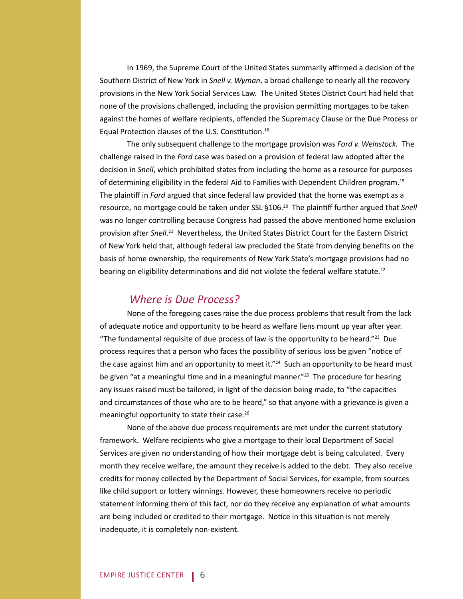In 1969, the Supreme Court of the United States summarily affirmed a decision of the Southern District of New York in *Snell v. Wyman*, a broad challenge to nearly all the recovery provisions in the New York Social Services Law. The United States District Court had held that none of the provisions challenged, including the provision permitting mortgages to be taken against the homes of welfare recipients, offended the Supremacy Clause or the Due Process or Equal Protection clauses of the U.S. Constitution.<sup>18</sup>

 The only subsequent challenge to the mortgage provision was *Ford v. Weinstock.* The challenge raised in the *Ford* case was based on a provision of federal law adopted after the decision in *Snell*, which prohibited states from including the home as a resource for purposes of determining eligibility in the federal Aid to Families with Dependent Children program.19 The plaintiff in *Ford* argued that since federal law provided that the home was exempt as a resource, no mortgage could be taken under SSL §106.<sup>20</sup> The plaintiff further argued that Snell was no longer controlling because Congress had passed the above mentioned home exclusion provision after Snell.<sup>21</sup> Nevertheless, the United States District Court for the Eastern District of New York held that, although federal law precluded the State from denying benefits on the basis of home ownership, the requirements of New York State's mortgage provisions had no bearing on eligibility determinations and did not violate the federal welfare statute.<sup>22</sup>

#### *Where is Due Process?*

 None of the foregoing cases raise the due process problems that result from the lack of adequate notice and opportunity to be heard as welfare liens mount up year after year. "The fundamental requisite of due process of law is the opportunity to be heard."<sup>23</sup> Due process requires that a person who faces the possibility of serious loss be given "notice of the case against him and an opportunity to meet it."<sup>24</sup> Such an opportunity to be heard must be given "at a meaningful time and in a meaningful manner."<sup>25</sup> The procedure for hearing any issues raised must be tailored, in light of the decision being made, to "the capacities and circumstances of those who are to be heard," so that anyone with a grievance is given a meaningful opportunity to state their case.26

 None of the above due process requirements are met under the current statutory framework. Welfare recipients who give a mortgage to their local Department of Social Services are given no understanding of how their mortgage debt is being calculated. Every month they receive welfare, the amount they receive is added to the debt. They also receive credits for money collected by the Department of Social Services, for example, from sources like child support or lottery winnings. However, these homeowners receive no periodic statement informing them of this fact, nor do they receive any explanation of what amounts are being included or credited to their mortgage. Notice in this situation is not merely inadequate, it is completely non-existent.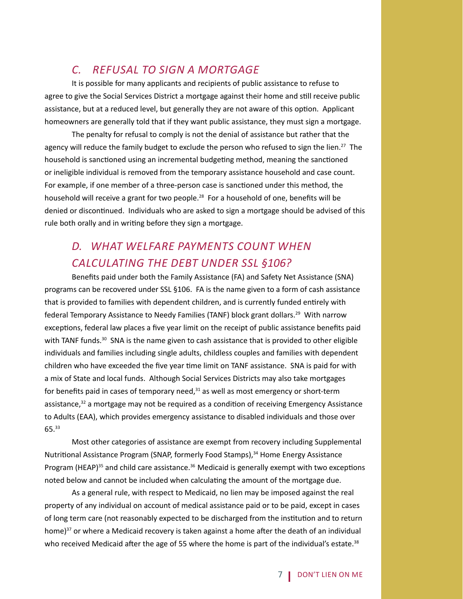### *C. REFUSAL TO SIGN A MORTGAGE*

 It is possible for many applicants and recipients of public assistance to refuse to agree to give the Social Services District a mortgage against their home and still receive public assistance, but at a reduced level, but generally they are not aware of this option. Applicant homeowners are generally told that if they want public assistance, they must sign a mortgage.

 The penalty for refusal to comply is not the denial of assistance but rather that the agency will reduce the family budget to exclude the person who refused to sign the lien.<sup>27</sup> The household is sanctioned using an incremental budgeting method, meaning the sanctioned or ineligible individual is removed from the temporary assistance household and case count. For example, if one member of a three-person case is sanctioned under this method, the household will receive a grant for two people.<sup>28</sup> For a household of one, benefits will be denied or discontinued. Individuals who are asked to sign a mortgage should be advised of this rule both orally and in writing before they sign a mortgage.

# *D. WHAT WELFARE PAYMENTS COUNT WHEN CALCULATING THE DEBT UNDER SSL §106?*

Benefits paid under both the Family Assistance (FA) and Safety Net Assistance (SNA) programs can be recovered under SSL §106. FA is the name given to a form of cash assistance that is provided to families with dependent children, and is currently funded entirely with federal Temporary Assistance to Needy Families (TANF) block grant dollars.<sup>29</sup> With narrow exceptions, federal law places a five year limit on the receipt of public assistance benefits paid with TANF funds.<sup>30</sup> SNA is the name given to cash assistance that is provided to other eligible individuals and families including single adults, childless couples and families with dependent children who have exceeded the five year time limit on TANF assistance. SNA is paid for with a mix of State and local funds. Although Social Services Districts may also take mortgages for benefits paid in cases of temporary need, $31$  as well as most emergency or short-term assistance, $32$  a mortgage may not be required as a condition of receiving Emergency Assistance to Adults (EAA), which provides emergency assistance to disabled individuals and those over 65.33

 Most other categories of assistance are exempt from recovery including Supplemental Nutritional Assistance Program (SNAP, formerly Food Stamps),<sup>34</sup> Home Energy Assistance Program (HEAP)<sup>35</sup> and child care assistance.<sup>36</sup> Medicaid is generally exempt with two exceptions noted below and cannot be included when calculating the amount of the mortgage due.

 As a general rule, with respect to Medicaid, no lien may be imposed against the real property of any individual on account of medical assistance paid or to be paid, except in cases of long term care (not reasonably expected to be discharged from the institution and to return home) $37$  or where a Medicaid recovery is taken against a home after the death of an individual who received Medicaid after the age of 55 where the home is part of the individual's estate. $38$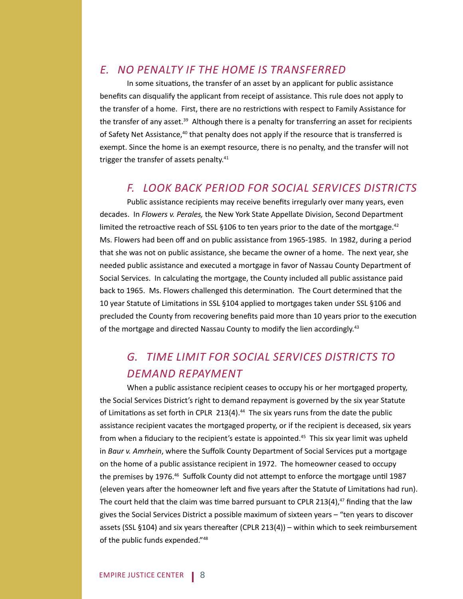### *E. NO PENALTY IF THE HOME IS TRANSFERRED*

In some situations, the transfer of an asset by an applicant for public assistance benefits can disqualify the applicant from receipt of assistance. This rule does not apply to the transfer of a home. First, there are no restrictions with respect to Family Assistance for the transfer of any asset.<sup>39</sup> Although there is a penalty for transferring an asset for recipients of Safety Net Assistance,<sup>40</sup> that penalty does not apply if the resource that is transferred is exempt. Since the home is an exempt resource, there is no penalty, and the transfer will not trigger the transfer of assets penalty.<sup>41</sup>

### *F. LOOK BACK PERIOD FOR SOCIAL SERVICES DISTRICTS*

Public assistance recipients may receive benefits irregularly over many years, even decades. In *Flowers v. Perales,* the New York State Appellate Division, Second Department limited the retroactive reach of SSL  $\S 106$  to ten years prior to the date of the mortgage.<sup>42</sup> Ms. Flowers had been off and on public assistance from 1965-1985. In 1982, during a period that she was not on public assistance, she became the owner of a home. The next year, she needed public assistance and executed a mortgage in favor of Nassau County Department of Social Services. In calculating the mortgage, the County included all public assistance paid back to 1965. Ms. Flowers challenged this determination. The Court determined that the 10 year Statute of Limitations in SSL §104 applied to mortgages taken under SSL §106 and precluded the County from recovering benefits paid more than 10 years prior to the execution of the mortgage and directed Nassau County to modify the lien accordingly.43

# *G. TIME LIMIT FOR SOCIAL SERVICES DISTRICTS TO DEMAND REPAYMENT*

 When a public assistance recipient ceases to occupy his or her mortgaged property, the Social Services District's right to demand repayment is governed by the six year Statute of Limitations as set forth in CPLR 213(4). $44$  The six years runs from the date the public assistance recipient vacates the mortgaged property, or if the recipient is deceased, six years from when a fiduciary to the recipient's estate is appointed.<sup>45</sup> This six year limit was upheld in *Baur v. Amrhein*, where the Suffolk County Department of Social Services put a mortgage on the home of a public assistance recipient in 1972. The homeowner ceased to occupy the premises by 1976.<sup>46</sup> Suffolk County did not attempt to enforce the mortgage until 1987 (eleven years after the homeowner left and five years after the Statute of Limitations had run). The court held that the claim was time barred pursuant to CPLR 213(4), $47$  finding that the law gives the Social Services District a possible maximum of sixteen years – "ten years to discover assets (SSL §104) and six years thereafter (CPLR 213(4)) – within which to seek reimbursement of the public funds expended."48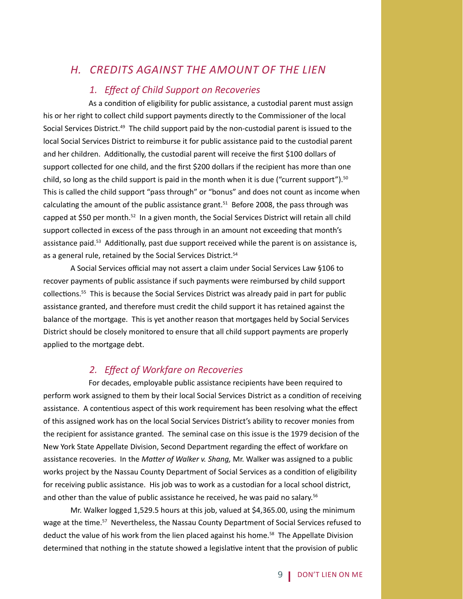### *H. CREDITS AGAINST THE AMOUNT OF THE LIEN*

#### *1. Eff ect of Child Support on Recoveries*

As a condition of eligibility for public assistance, a custodial parent must assign his or her right to collect child support payments directly to the Commissioner of the local Social Services District.49 The child support paid by the non-custodial parent is issued to the local Social Services District to reimburse it for public assistance paid to the custodial parent and her children. Additionally, the custodial parent will receive the first \$100 dollars of support collected for one child, and the first \$200 dollars if the recipient has more than one child, so long as the child support is paid in the month when it is due ("current support").<sup>50</sup> This is called the child support "pass through" or "bonus" and does not count as income when calculating the amount of the public assistance grant.<sup>51</sup> Before 2008, the pass through was capped at \$50 per month.<sup>52</sup> In a given month, the Social Services District will retain all child support collected in excess of the pass through in an amount not exceeding that month's assistance paid.<sup>53</sup> Additionally, past due support received while the parent is on assistance is, as a general rule, retained by the Social Services District.<sup>54</sup>

A Social Services official may not assert a claim under Social Services Law §106 to recover payments of public assistance if such payments were reimbursed by child support collections.<sup>55</sup> This is because the Social Services District was already paid in part for public assistance granted, and therefore must credit the child support it has retained against the balance of the mortgage. This is yet another reason that mortgages held by Social Services District should be closely monitored to ensure that all child support payments are properly applied to the mortgage debt.

#### *2. Eff ect of Workfare on Recoveries*

 For decades, employable public assistance recipients have been required to perform work assigned to them by their local Social Services District as a condition of receiving assistance. A contentious aspect of this work requirement has been resolving what the effect of this assigned work has on the local Social Services District's ability to recover monies from the recipient for assistance granted. The seminal case on this issue is the 1979 decision of the New York State Appellate Division, Second Department regarding the effect of workfare on assistance recoveries. In the *Matter of Walker v. Shang*, Mr. Walker was assigned to a public works project by the Nassau County Department of Social Services as a condition of eligibility for receiving public assistance. His job was to work as a custodian for a local school district, and other than the value of public assistance he received, he was paid no salary.<sup>56</sup>

 Mr. Walker logged 1,529.5 hours at this job, valued at \$4,365.00, using the minimum wage at the time.<sup>57</sup> Nevertheless, the Nassau County Department of Social Services refused to deduct the value of his work from the lien placed against his home.<sup>58</sup> The Appellate Division determined that nothing in the statute showed a legislative intent that the provision of public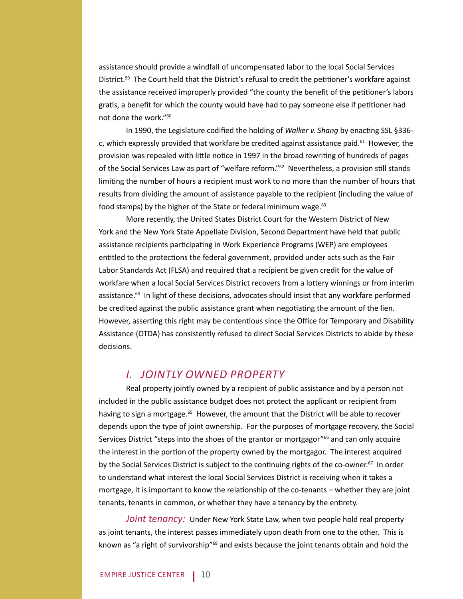assistance should provide a windfall of uncompensated labor to the local Social Services District.<sup>59</sup> The Court held that the District's refusal to credit the petitioner's workfare against the assistance received improperly provided "the county the benefit of the petitioner's labors gratis, a benefit for which the county would have had to pay someone else if petitioner had not done the work."60

In 1990, the Legislature codified the holding of *Walker v. Shang* by enacting SSL §336c, which expressly provided that workfare be credited against assistance paid. $61$  However, the provision was repealed with little notice in 1997 in the broad rewriting of hundreds of pages of the Social Services Law as part of "welfare reform."<sup>62</sup> Nevertheless, a provision still stands limiting the number of hours a recipient must work to no more than the number of hours that results from dividing the amount of assistance payable to the recipient (including the value of food stamps) by the higher of the State or federal minimum wage.<sup>63</sup>

 More recently, the United States District Court for the Western District of New York and the New York State Appellate Division, Second Department have held that public assistance recipients participating in Work Experience Programs (WEP) are employees entitled to the protections the federal government, provided under acts such as the Fair Labor Standards Act (FLSA) and required that a recipient be given credit for the value of workfare when a local Social Services District recovers from a lottery winnings or from interim assistance.<sup>64</sup> In light of these decisions, advocates should insist that any workfare performed be credited against the public assistance grant when negotiating the amount of the lien. However, asserting this right may be contentious since the Office for Temporary and Disability Assistance (OTDA) has consistently refused to direct Social Services Districts to abide by these decisions.

#### *I. JOINTLY OWNED PROPERTY*

 Real property jointly owned by a recipient of public assistance and by a person not included in the public assistance budget does not protect the applicant or recipient from having to sign a mortgage.<sup>65</sup> However, the amount that the District will be able to recover depends upon the type of joint ownership. For the purposes of mortgage recovery, the Social Services District "steps into the shoes of the grantor or mortgagor"<sup>66</sup> and can only acquire the interest in the portion of the property owned by the mortgagor. The interest acquired by the Social Services District is subject to the continuing rights of the co-owner.<sup>67</sup> In order to understand what interest the local Social Services District is receiving when it takes a mortgage, it is important to know the relationship of the co-tenants – whether they are joint tenants, tenants in common, or whether they have a tenancy by the entirety.

*Joint tenancy:* Under New York State Law, when two people hold real property as joint tenants, the interest passes immediately upon death from one to the other. This is known as "a right of survivorship"<sup>68</sup> and exists because the joint tenants obtain and hold the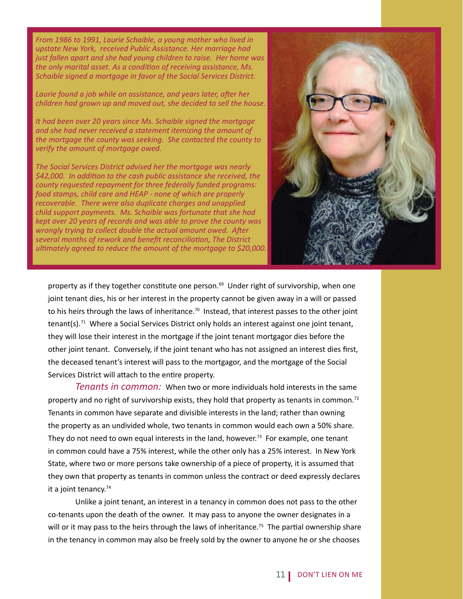*From 1986 to 1991, Laurie Schaible, a young mother who lived in upstate New York, received Public Assistance. Her marriage had just fallen apart and she had young children to raise. Her home was the only marital asset. As a condition of receiving assistance, Ms. Schaible signed a mortgage in favor of the Social Services District.*

*Laurie found a job while on assistance, and years later, after her children had grown up and moved out, she decided to sell the house.* 

*It had been over 20 years since Ms. Schaible signed the mortgage and she had never received a statement itemizing the amount of the mortgage the county was seeking. She contacted the county to verify the amount of mortgage owed.*

*The Social Services District advised her the mortgage was nearly \$42,000. In addiƟ on to the cash public assistance she received, the county requested repayment for three federally funded programs: food stamps, child care and HEAP - none of which are properly recoverable. There were also duplicate charges and unapplied child support payments. Ms. Schaible was fortunate that she had kept over 20 years of records and was able to prove the county was wrongly trying to collect double the actual amount owed. After several months of rework and benefi t reconciliaƟ on, The District ulƟ mately agreed to reduce the amount of the mortgage to \$20,000.* 



property as if they together constitute one person.<sup>69</sup> Under right of survivorship, when one joint tenant dies, his or her interest in the property cannot be given away in a will or passed to his heirs through the laws of inheritance.<sup>70</sup> Instead, that interest passes to the other joint  $t$ enant(s).<sup>71</sup> Where a Social Services District only holds an interest against one joint tenant, they will lose their interest in the mortgage if the joint tenant mortgagor dies before the other joint tenant. Conversely, if the joint tenant who has not assigned an interest dies first, the deceased tenant's interest will pass to the mortgagor, and the mortgage of the Social Services District will attach to the entire property.

*Tenants in common:* When two or more individuals hold interests in the same property and no right of survivorship exists, they hold that property as tenants in common.<sup>72</sup> Tenants in common have separate and divisible interests in the land; rather than owning the property as an undivided whole, two tenants in common would each own a 50% share. They do not need to own equal interests in the land, however.<sup>73</sup> For example, one tenant in common could have a 75% interest, while the other only has a 25% interest. In New York State, where two or more persons take ownership of a piece of property, it is assumed that they own that property as tenants in common unless the contract or deed expressly declares it a joint tenancy.<sup>74</sup>

 Unlike a joint tenant, an interest in a tenancy in common does not pass to the other co-tenants upon the death of the owner. It may pass to anyone the owner designates in a will or it may pass to the heirs through the laws of inheritance.<sup>75</sup> The partial ownership share in the tenancy in common may also be freely sold by the owner to anyone he or she chooses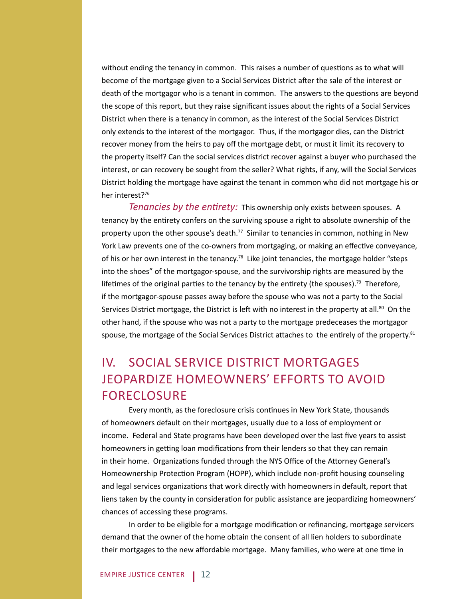without ending the tenancy in common. This raises a number of questions as to what will become of the mortgage given to a Social Services District after the sale of the interest or death of the mortgagor who is a tenant in common. The answers to the questions are beyond the scope of this report, but they raise significant issues about the rights of a Social Services District when there is a tenancy in common, as the interest of the Social Services District only extends to the interest of the mortgagor. Thus, if the mortgagor dies, can the District recover money from the heirs to pay off the mortgage debt, or must it limit its recovery to the property itself? Can the social services district recover against a buyer who purchased the interest, or can recovery be sought from the seller? What rights, if any, will the Social Services District holding the mortgage have against the tenant in common who did not mortgage his or her interest?<sup>76</sup>

*Tenancies by the entirety:* This ownership only exists between spouses. A tenancy by the entirety confers on the surviving spouse a right to absolute ownership of the property upon the other spouse's death.<sup>77</sup> Similar to tenancies in common, nothing in New York Law prevents one of the co-owners from mortgaging, or making an effective conveyance, of his or her own interest in the tenancy.<sup>78</sup> Like joint tenancies, the mortgage holder "steps" into the shoes" of the mortgagor-spouse, and the survivorship rights are measured by the lifetimes of the original parties to the tenancy by the entirety (the spouses).<sup>79</sup> Therefore, if the mortgagor-spouse passes away before the spouse who was not a party to the Social Services District mortgage, the District is left with no interest in the property at all.<sup>80</sup> On the other hand, if the spouse who was not a party to the mortgage predeceases the mortgagor spouse, the mortgage of the Social Services District attaches to the entirely of the property.<sup>81</sup>

# IV. SOCIAL SERVICE DISTRICT MORTGAGES JEOPARDIZE HOMEOWNERS' EFFORTS TO AVOID FORECLOSURE

Every month, as the foreclosure crisis continues in New York State, thousands of homeowners default on their mortgages, usually due to a loss of employment or income. Federal and State programs have been developed over the last five years to assist homeowners in getting loan modifications from their lenders so that they can remain in their home. Organizations funded through the NYS Office of the Attorney General's Homeownership Protection Program (HOPP), which include non-profit housing counseling and legal services organizations that work directly with homeowners in default, report that liens taken by the county in consideration for public assistance are jeopardizing homeowners' chances of accessing these programs.

In order to be eligible for a mortgage modification or refinancing, mortgage servicers demand that the owner of the home obtain the consent of all lien holders to subordinate their mortgages to the new affordable mortgage. Many families, who were at one time in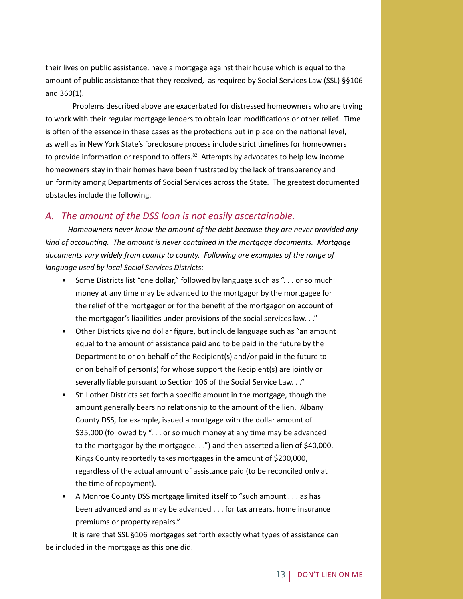their lives on public assistance, have a mortgage against their house which is equal to the amount of public assistance that they received, as required by Social Services Law (SSL) §§106 and 360(1).

 Problems described above are exacerbated for distressed homeowners who are trying to work with their regular mortgage lenders to obtain loan modifications or other relief. Time is often of the essence in these cases as the protections put in place on the national level, as well as in New York State's foreclosure process include strict timelines for homeowners to provide information or respond to offers.<sup>82</sup> Attempts by advocates to help low income homeowners stay in their homes have been frustrated by the lack of transparency and uniformity among Departments of Social Services across the State. The greatest documented obstacles include the following.

#### *A. The amount of the DSS loan is not easily ascertainable.*

 *Homeowners never know the amount of the debt because they are never provided any kind of accounƟ ng. The amount is never contained in the mortgage documents. Mortgage documents vary widely from county to county. Following are examples of the range of language used by local Social Services Districts:* 

- Some Districts list "one dollar," followed by language such as "... or so much money at any time may be advanced to the mortgagor by the mortgagee for the relief of the mortgagor or for the benefit of the mortgagor on account of the mortgagor's liabilities under provisions of the social services law. . ."
- Other Districts give no dollar figure, but include language such as "an amount equal to the amount of assistance paid and to be paid in the future by the Department to or on behalf of the Recipient(s) and/or paid in the future to or on behalf of person(s) for whose support the Recipient(s) are jointly or severally liable pursuant to Section 106 of the Social Service Law. . ."
- Still other Districts set forth a specific amount in the mortgage, though the amount generally bears no relationship to the amount of the lien. Albany County DSS, for example, issued a mortgage with the dollar amount of \$35,000 (followed by ". . . or so much money at any time may be advanced to the mortgagor by the mortgagee. . .") and then asserted a lien of \$40,000. Kings County reportedly takes mortgages in the amount of \$200,000, regardless of the actual amount of assistance paid (to be reconciled only at the time of repayment).
- A Monroe County DSS mortgage limited itself to "such amount . . . as has been advanced and as may be advanced . . . for tax arrears, home insurance premiums or property repairs."

 It is rare that SSL §106 mortgages set forth exactly what types of assistance can be included in the mortgage as this one did.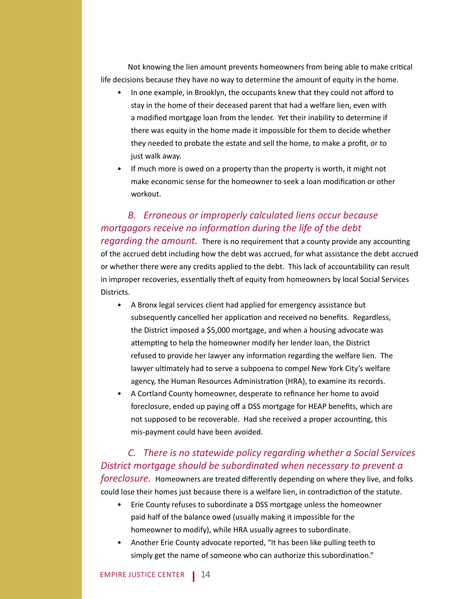Not knowing the lien amount prevents homeowners from being able to make critical life decisions because they have no way to determine the amount of equity in the home.

- In one example, in Brooklyn, the occupants knew that they could not afford to stay in the home of their deceased parent that had a welfare lien, even with a modified mortgage loan from the lender. Yet their inability to determine if there was equity in the home made it impossible for them to decide whether they needed to probate the estate and sell the home, to make a profit, or to just walk away.
- If much more is owed on a property than the property is worth, it might not make economic sense for the homeowner to seek a loan modification or other workout.

### *B. Erroneous or improperly calculated liens occur because mortgagors receive no information during the life of the debt*

*regarding the amount.* There is no requirement that a county provide any accounting of the accrued debt including how the debt was accrued, for what assistance the debt accrued or whether there were any credits applied to the debt. This lack of accountability can result in improper recoveries, essentially theft of equity from homeowners by local Social Services Districts.

- A Bronx legal services client had applied for emergency assistance but subsequently cancelled her application and received no benefits. Regardless, the District imposed a \$5,000 mortgage, and when a housing advocate was attempting to help the homeowner modify her lender loan, the District refused to provide her lawyer any information regarding the welfare lien. The lawyer ultimately had to serve a subpoena to compel New York City's welfare agency, the Human Resources Administration (HRA), to examine its records.
- A Cortland County homeowner, desperate to refinance her home to avoid foreclosure, ended up paying off a DSS mortgage for HEAP benefits, which are not supposed to be recoverable. Had she received a proper accounting, this mis-payment could have been avoided.

### *C. There is no statewide policy regarding whether a Social Services District mortgage should be subordinated when necessary to prevent a foreclosure.* Homeowners are treated differently depending on where they live, and folks could lose their homes just because there is a welfare lien, in contradiction of the statute.

- Erie County refuses to subordinate a DSS mortgage unless the homeowner paid half of the balance owed (usually making it impossible for the homeowner to modify), while HRA usually agrees to subordinate.
- Another Erie County advocate reported, "It has been like pulling teeth to simply get the name of someone who can authorize this subordination."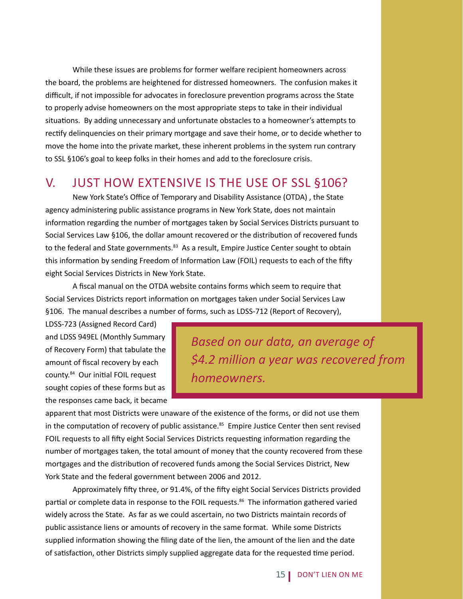While these issues are problems for former welfare recipient homeowners across the board, the problems are heightened for distressed homeowners. The confusion makes it difficult, if not impossible for advocates in foreclosure prevention programs across the State to properly advise homeowners on the most appropriate steps to take in their individual situations. By adding unnecessary and unfortunate obstacles to a homeowner's attempts to rectify delinquencies on their primary mortgage and save their home, or to decide whether to move the home into the private market, these inherent problems in the system run contrary to SSL §106's goal to keep folks in their homes and add to the foreclosure crisis.

## V. JUST HOW EXTENSIVE IS THE USE OF SSL §106?

New York State's Office of Temporary and Disability Assistance (OTDA), the State agency administering public assistance programs in New York State, does not maintain information regarding the number of mortgages taken by Social Services Districts pursuant to Social Services Law §106, the dollar amount recovered or the distribution of recovered funds to the federal and State governments.<sup>83</sup> As a result, Empire Justice Center sought to obtain this information by sending Freedom of Information Law (FOIL) requests to each of the fifty eight Social Services Districts in New York State.

A fiscal manual on the OTDA website contains forms which seem to require that Social Services Districts report information on mortgages taken under Social Services Law §106. The manual describes a number of forms, such as LDSS-712 (Report of Recovery),

LDSS-723 (Assigned Record Card) and LDSS 949EL (Monthly Summary of Recovery Form) that tabulate the amount of fiscal recovery by each county.<sup>84</sup> Our initial FOIL request sought copies of these forms but as the responses came back, it became

*Based on our data, an average of \$4.2 million a year was recovered from homeowners.* 

apparent that most Districts were unaware of the existence of the forms, or did not use them in the computation of recovery of public assistance.<sup>85</sup> Empire Justice Center then sent revised FOIL requests to all fifty eight Social Services Districts requesting information regarding the number of mortgages taken, the total amount of money that the county recovered from these mortgages and the distribution of recovered funds among the Social Services District, New York State and the federal government between 2006 and 2012.

Approximately fifty three, or 91.4%, of the fifty eight Social Services Districts provided partial or complete data in response to the FOIL requests.<sup>86</sup> The information gathered varied widely across the State. As far as we could ascertain, no two Districts maintain records of public assistance liens or amounts of recovery in the same format. While some Districts supplied information showing the filing date of the lien, the amount of the lien and the date of satisfaction, other Districts simply supplied aggregate data for the requested time period.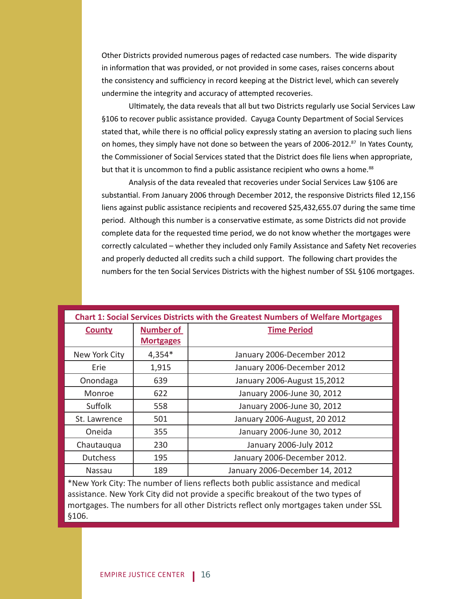Other Districts provided numerous pages of redacted case numbers. The wide disparity in information that was provided, or not provided in some cases, raises concerns about the consistency and sufficiency in record keeping at the District level, which can severely undermine the integrity and accuracy of attempted recoveries.

Ultimately, the data reveals that all but two Districts regularly use Social Services Law §106 to recover public assistance provided. Cayuga County Department of Social Services stated that, while there is no official policy expressly stating an aversion to placing such liens on homes, they simply have not done so between the years of 2006-2012.<sup>87</sup> In Yates County, the Commissioner of Social Services stated that the District does file liens when appropriate, but that it is uncommon to find a public assistance recipient who owns a home.<sup>88</sup>

 Analysis of the data revealed that recoveries under Social Services Law §106 are substantial. From January 2006 through December 2012, the responsive Districts filed 12,156 liens against public assistance recipients and recovered \$25,432,655.07 during the same time period. Although this number is a conservative estimate, as some Districts did not provide complete data for the requested time period, we do not know whether the mortgages were correctly calculated – whether they included only Family Assistance and Safety Net recoveries and properly deducted all credits such a child support. The following chart provides the numbers for the ten Social Services Districts with the highest number of SSL §106 mortgages.

|                 |                  | <b>Chart 1: Social Services Districts with the Greatest Numbers of Welfare Mortgages</b>                                                                                                                                                                      |
|-----------------|------------------|---------------------------------------------------------------------------------------------------------------------------------------------------------------------------------------------------------------------------------------------------------------|
| <b>County</b>   | <b>Number of</b> | <b>Time Period</b>                                                                                                                                                                                                                                            |
|                 | <b>Mortgages</b> |                                                                                                                                                                                                                                                               |
| New York City   | $4,354*$         | January 2006-December 2012                                                                                                                                                                                                                                    |
| Erie            | 1,915            | January 2006-December 2012                                                                                                                                                                                                                                    |
| Onondaga        | 639              | January 2006-August 15,2012                                                                                                                                                                                                                                   |
| Monroe          | 622              | January 2006-June 30, 2012                                                                                                                                                                                                                                    |
| Suffolk         | 558              | January 2006-June 30, 2012                                                                                                                                                                                                                                    |
| St. Lawrence    | 501              | January 2006-August, 20 2012                                                                                                                                                                                                                                  |
| Oneida          | 355              | January 2006-June 30, 2012                                                                                                                                                                                                                                    |
| Chautauqua      | 230              | January 2006-July 2012                                                                                                                                                                                                                                        |
| <b>Dutchess</b> | 195              | January 2006-December 2012.                                                                                                                                                                                                                                   |
| Nassau          | 189              | January 2006-December 14, 2012                                                                                                                                                                                                                                |
| §106.           |                  | *New York City: The number of liens reflects both public assistance and medical<br>assistance. New York City did not provide a specific breakout of the two types of<br>mortgages. The numbers for all other Districts reflect only mortgages taken under SSL |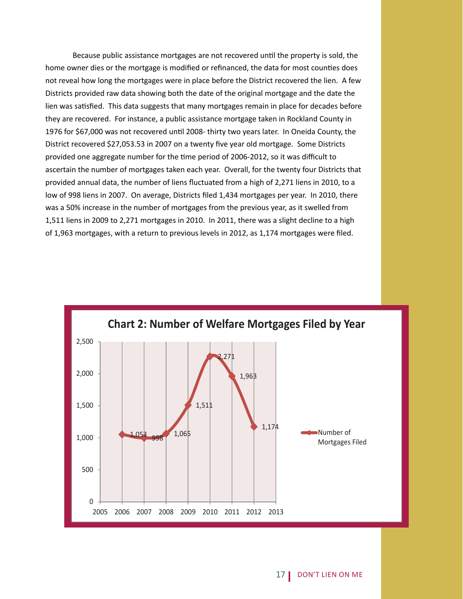Because public assistance mortgages are not recovered until the property is sold, the home owner dies or the mortgage is modified or refinanced, the data for most counties does not reveal how long the mortgages were in place before the District recovered the lien. A few Districts provided raw data showing both the date of the original mortgage and the date the lien was satisfied. This data suggests that many mortgages remain in place for decades before they are recovered. For instance, a public assistance mortgage taken in Rockland County in 1976 for \$67,000 was not recovered until 2008- thirty two years later. In Oneida County, the District recovered \$27,053.53 in 2007 on a twenty five year old mortgage. Some Districts provided one aggregate number for the time period of 2006-2012, so it was difficult to ascertain the number of mortgages taken each year. Overall, for the twenty four Districts that provided annual data, the number of liens fluctuated from a high of 2,271 liens in 2010, to a low of 998 liens in 2007. On average, Districts filed 1,434 mortgages per year. In 2010, there was a 50% increase in the number of mortgages from the previous year, as it swelled from 1,511 liens in 2009 to 2,271 mortgages in 2010. In 2011, there was a slight decline to a high of 1,963 mortgages, with a return to previous levels in 2012, as 1,174 mortgages were filed.

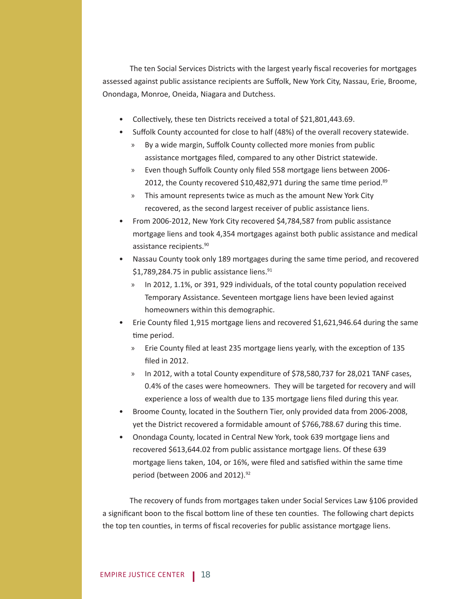The ten Social Services Districts with the largest yearly fiscal recoveries for mortgages assessed against public assistance recipients are Suffolk, New York City, Nassau, Erie, Broome, Onondaga, Monroe, Oneida, Niagara and Dutchess.

- Collectively, these ten Districts received a total of \$21,801,443.69.
- Suffolk County accounted for close to half (48%) of the overall recovery statewide.
	- » By a wide margin, Suffolk County collected more monies from public assistance mortgages filed, compared to any other District statewide.
	- » Even though Suffolk County only filed 558 mortgage liens between 2006-2012, the County recovered \$10,482,971 during the same time period. $89$
	- » This amount represents twice as much as the amount New York City recovered, as the second largest receiver of public assistance liens.
- From 2006-2012, New York City recovered \$4,784,587 from public assistance mortgage liens and took 4,354 mortgages against both public assistance and medical assistance recipients.90
- Nassau County took only 189 mortgages during the same time period, and recovered \$1,789,284.75 in public assistance liens. $91$ 
	- » In 2012, 1.1%, or 391, 929 individuals, of the total county population received Temporary Assistance. Seventeen mortgage liens have been levied against homeowners within this demographic.
- Erie County filed 1,915 mortgage liens and recovered \$1,621,946.64 during the same time period.
	- » Erie County filed at least 235 mortgage liens yearly, with the exception of 135 filed in 2012.
	- » In 2012, with a total County expenditure of \$78,580,737 for 28,021 TANF cases, 0.4% of the cases were homeowners. They will be targeted for recovery and will experience a loss of wealth due to 135 mortgage liens filed during this year.
- Broome County, located in the Southern Tier, only provided data from 2006-2008, yet the District recovered a formidable amount of \$766,788.67 during this time.
- Onondaga County, located in Central New York, took 639 mortgage liens and recovered \$613,644.02 from public assistance mortgage liens. Of these 639 mortgage liens taken, 104, or 16%, were filed and satisfied within the same time period (between 2006 and 2012).<sup>92</sup>

 The recovery of funds from mortgages taken under Social Services Law §106 provided a significant boon to the fiscal bottom line of these ten counties. The following chart depicts the top ten counties, in terms of fiscal recoveries for public assistance mortgage liens.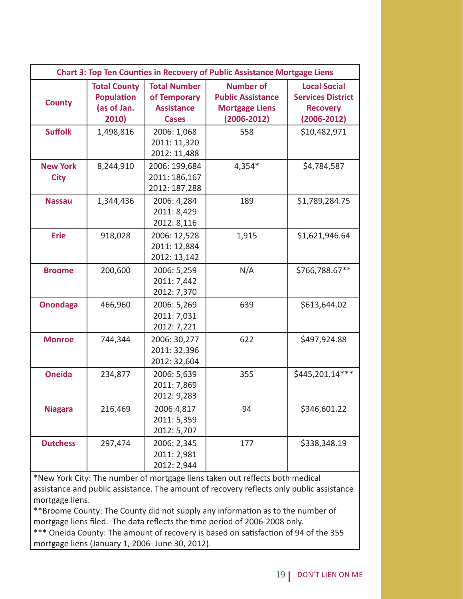|                                |                                                                  |                                                                          | <b>Chart 3: Top Ten Counties in Recovery of Public Assistance Mortgage Liens</b>         |                                                                                       |
|--------------------------------|------------------------------------------------------------------|--------------------------------------------------------------------------|------------------------------------------------------------------------------------------|---------------------------------------------------------------------------------------|
| <b>County</b>                  | <b>Total County</b><br><b>Population</b><br>(as of Jan.<br>2010) | <b>Total Number</b><br>of Temporary<br><b>Assistance</b><br><b>Cases</b> | <b>Number of</b><br><b>Public Assistance</b><br><b>Mortgage Liens</b><br>$(2006 - 2012)$ | <b>Local Social</b><br><b>Services District</b><br><b>Recovery</b><br>$(2006 - 2012)$ |
| <b>Suffolk</b>                 | 1,498,816                                                        | 2006: 1,068<br>2011: 11,320<br>2012: 11,488                              | 558                                                                                      | \$10,482,971                                                                          |
| <b>New York</b><br><b>City</b> | 8,244,910                                                        | 2006: 199,684<br>2011: 186,167<br>2012: 187,288                          | $4,354*$                                                                                 | \$4,784,587                                                                           |
| <b>Nassau</b>                  | 1,344,436                                                        | 2006: 4,284<br>2011: 8,429<br>2012: 8,116                                | 189                                                                                      | \$1,789,284.75                                                                        |
| <b>Erie</b>                    | 918,028                                                          | 2006: 12,528<br>2011: 12,884<br>2012: 13,142                             | 1,915                                                                                    | \$1,621,946.64                                                                        |
| <b>Broome</b>                  | 200,600                                                          | 2006: 5,259<br>2011: 7,442<br>2012: 7,370                                | N/A                                                                                      | \$766,788.67**                                                                        |
| <b>Onondaga</b>                | 466,960                                                          | 2006: 5,269<br>2011: 7,031<br>2012: 7,221                                | 639                                                                                      | \$613,644.02                                                                          |
| <b>Monroe</b>                  | 744,344                                                          | 2006: 30,277<br>2011: 32,396<br>2012: 32,604                             | 622                                                                                      | \$497,924.88                                                                          |
| <b>Oneida</b>                  | 234,877                                                          | 2006: 5,639<br>2011: 7,869<br>2012: 9,283                                | 355                                                                                      | \$445,201.14***                                                                       |
| <b>Niagara</b>                 | 216,469                                                          | 2006:4,817<br>2011: 5,359<br>2012: 5,707                                 | 94                                                                                       | \$346,601.22                                                                          |
| <b>Dutchess</b>                | 297,474                                                          | 2006: 2,345<br>2011: 2,981<br>2012: 2,944                                | 177                                                                                      | \$338,348.19                                                                          |

\*New York City: The number of mortgage liens taken out reflects both medical assistance and public assistance. The amount of recovery reflects only public assistance mortgage liens.

\*\*Broome County: The County did not supply any information as to the number of mortgage liens filed. The data reflects the time period of 2006-2008 only.

\*\*\* Oneida County: The amount of recovery is based on satisfaction of 94 of the 355 mortgage liens (January 1, 2006- June 30, 2012).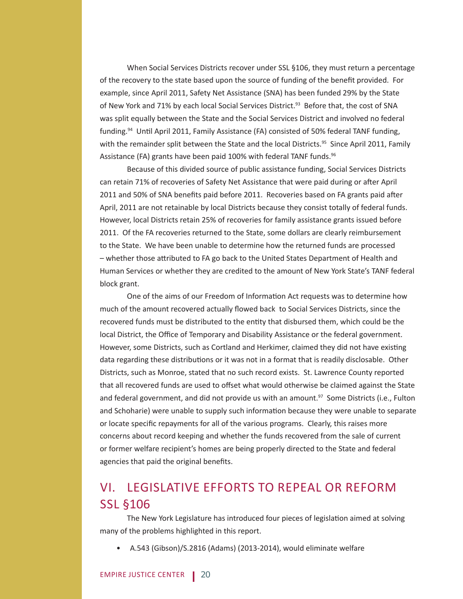When Social Services Districts recover under SSL §106, they must return a percentage of the recovery to the state based upon the source of funding of the benefit provided. For example, since April 2011, Safety Net Assistance (SNA) has been funded 29% by the State of New York and 71% by each local Social Services District.<sup>93</sup> Before that, the cost of SNA was split equally between the State and the Social Services District and involved no federal funding.<sup>94</sup> Until April 2011, Family Assistance (FA) consisted of 50% federal TANF funding, with the remainder split between the State and the local Districts.<sup>95</sup> Since April 2011, Family Assistance (FA) grants have been paid 100% with federal TANF funds.<sup>96</sup>

 Because of this divided source of public assistance funding, Social Services Districts can retain 71% of recoveries of Safety Net Assistance that were paid during or after April 2011 and 50% of SNA benefits paid before 2011. Recoveries based on FA grants paid after April, 2011 are not retainable by local Districts because they consist totally of federal funds. However, local Districts retain 25% of recoveries for family assistance grants issued before 2011. Of the FA recoveries returned to the State, some dollars are clearly reimbursement to the State. We have been unable to determine how the returned funds are processed – whether those attributed to FA go back to the United States Department of Health and Human Services or whether they are credited to the amount of New York State's TANF federal block grant.

One of the aims of our Freedom of Information Act requests was to determine how much of the amount recovered actually flowed back to Social Services Districts, since the recovered funds must be distributed to the entity that disbursed them, which could be the local District, the Office of Temporary and Disability Assistance or the federal government. However, some Districts, such as Cortland and Herkimer, claimed they did not have existing data regarding these distributions or it was not in a format that is readily disclosable. Other Districts, such as Monroe, stated that no such record exists. St. Lawrence County reported that all recovered funds are used to offset what would otherwise be claimed against the State and federal government, and did not provide us with an amount.<sup>97</sup> Some Districts (i.e., Fulton and Schoharie) were unable to supply such information because they were unable to separate or locate specific repayments for all of the various programs. Clearly, this raises more concerns about record keeping and whether the funds recovered from the sale of current or former welfare recipient's homes are being properly directed to the State and federal agencies that paid the original benefits.

# VI. LEGISLATIVE EFFORTS TO REPEAL OR REFORM SSL §106

The New York Legislature has introduced four pieces of legislation aimed at solving many of the problems highlighted in this report.

• A.543 (Gibson)/S.2816 (Adams) (2013-2014), would eliminate welfare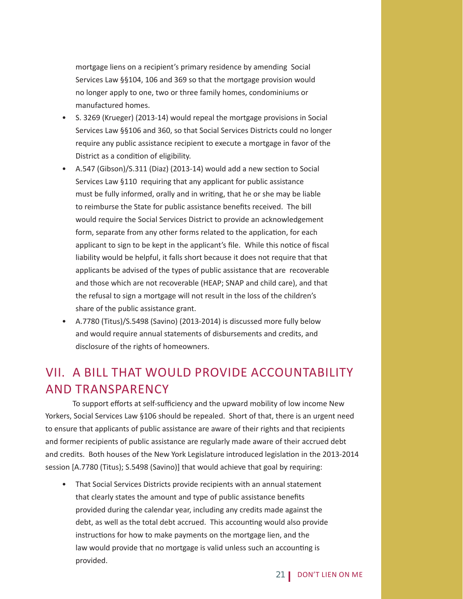mortgage liens on a recipient's primary residence by amending Social Services Law §§104, 106 and 369 so that the mortgage provision would no longer apply to one, two or three family homes, condominiums or manufactured homes.

- S. 3269 (Krueger) (2013-14) would repeal the mortgage provisions in Social Services Law §§106 and 360, so that Social Services Districts could no longer require any public assistance recipient to execute a mortgage in favor of the District as a condition of eligibility.
- A.547 (Gibson)/S.311 (Diaz) (2013-14) would add a new section to Social Services Law §110 requiring that any applicant for public assistance must be fully informed, orally and in writing, that he or she may be liable to reimburse the State for public assistance benefits received. The bill would require the Social Services District to provide an acknowledgement form, separate from any other forms related to the application, for each applicant to sign to be kept in the applicant's file. While this notice of fiscal liability would be helpful, it falls short because it does not require that that applicants be advised of the types of public assistance that are recoverable and those which are not recoverable (HEAP; SNAP and child care), and that the refusal to sign a mortgage will not result in the loss of the children's share of the public assistance grant.
- A.7780 (Titus)/S.5498 (Savino) (2013-2014) is discussed more fully below and would require annual statements of disbursements and credits, and disclosure of the rights of homeowners.

# VII. A BILL THAT WOULD PROVIDE ACCOUNTABILITY AND TRANSPARENCY

To support efforts at self-sufficiency and the upward mobility of low income New Yorkers, Social Services Law §106 should be repealed. Short of that, there is an urgent need to ensure that applicants of public assistance are aware of their rights and that recipients and former recipients of public assistance are regularly made aware of their accrued debt and credits. Both houses of the New York Legislature introduced legislation in the 2013-2014 session [A.7780 (Titus); S.5498 (Savino)] that would achieve that goal by requiring:

• That Social Services Districts provide recipients with an annual statement that clearly states the amount and type of public assistance benefits provided during the calendar year, including any credits made against the debt, as well as the total debt accrued. This accounting would also provide instructions for how to make payments on the mortgage lien, and the law would provide that no mortgage is valid unless such an accounting is provided.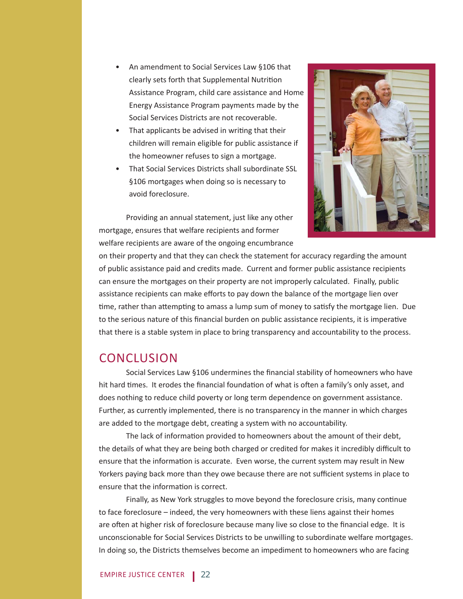- An amendment to Social Services Law §106 that clearly sets forth that Supplemental Nutrition Assistance Program, child care assistance and Home Energy Assistance Program payments made by the Social Services Districts are not recoverable.
- That applicants be advised in writing that their children will remain eligible for public assistance if the homeowner refuses to sign a mortgage.
- That Social Services Districts shall subordinate SSL §106 mortgages when doing so is necessary to avoid foreclosure.



Providing an annual statement, just like any other mortgage, ensures that welfare recipients and former welfare recipients are aware of the ongoing encumbrance

on their property and that they can check the statement for accuracy regarding the amount of public assistance paid and credits made. Current and former public assistance recipients can ensure the mortgages on their property are not improperly calculated. Finally, public assistance recipients can make efforts to pay down the balance of the mortgage lien over time, rather than attempting to amass a lump sum of money to satisfy the mortgage lien. Due to the serious nature of this financial burden on public assistance recipients, it is imperative that there is a stable system in place to bring transparency and accountability to the process.

### **CONCLUSION**

Social Services Law §106 undermines the financial stability of homeowners who have hit hard times. It erodes the financial foundation of what is often a family's only asset, and does nothing to reduce child poverty or long term dependence on government assistance. Further, as currently implemented, there is no transparency in the manner in which charges are added to the mortgage debt, creating a system with no accountability.

The lack of information provided to homeowners about the amount of their debt, the details of what they are being both charged or credited for makes it incredibly difficult to ensure that the information is accurate. Even worse, the current system may result in New Yorkers paying back more than they owe because there are not sufficient systems in place to ensure that the information is correct.

Finally, as New York struggles to move beyond the foreclosure crisis, many continue to face foreclosure – indeed, the very homeowners with these liens against their homes are often at higher risk of foreclosure because many live so close to the financial edge. It is unconscionable for Social Services Districts to be unwilling to subordinate welfare mortgages. In doing so, the Districts themselves become an impediment to homeowners who are facing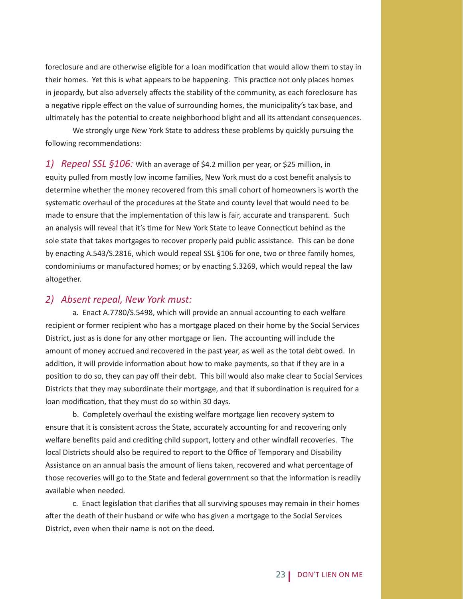foreclosure and are otherwise eligible for a loan modification that would allow them to stay in their homes. Yet this is what appears to be happening. This practice not only places homes in jeopardy, but also adversely affects the stability of the community, as each foreclosure has a negative ripple effect on the value of surrounding homes, the municipality's tax base, and ultimately has the potential to create neighborhood blight and all its attendant consequences.

 We strongly urge New York State to address these problems by quickly pursuing the following recommendations:

*1) Repeal SSL §106:* With an average of \$4.2 million per year, or \$25 million, in equity pulled from mostly low income families, New York must do a cost benefit analysis to determine whether the money recovered from this small cohort of homeowners is worth the systematic overhaul of the procedures at the State and county level that would need to be made to ensure that the implementation of this law is fair, accurate and transparent. Such an analysis will reveal that it's time for New York State to leave Connecticut behind as the sole state that takes mortgages to recover properly paid public assistance. This can be done by enacting A.543/S.2816, which would repeal SSL §106 for one, two or three family homes, condominiums or manufactured homes; or by enacting S.3269, which would repeal the law altogether.

#### *2) Absent repeal, New York must:*

a. Enact A.7780/S.5498, which will provide an annual accounting to each welfare recipient or former recipient who has a mortgage placed on their home by the Social Services District, just as is done for any other mortgage or lien. The accounting will include the amount of money accrued and recovered in the past year, as well as the total debt owed. In addition, it will provide information about how to make payments, so that if they are in a position to do so, they can pay off their debt. This bill would also make clear to Social Services Districts that they may subordinate their mortgage, and that if subordination is required for a loan modification, that they must do so within 30 days.

b. Completely overhaul the existing welfare mortgage lien recovery system to ensure that it is consistent across the State, accurately accounting for and recovering only welfare benefits paid and crediting child support, lottery and other windfall recoveries. The local Districts should also be required to report to the Office of Temporary and Disability Assistance on an annual basis the amount of liens taken, recovered and what percentage of those recoveries will go to the State and federal government so that the information is readily available when needed.

c. Enact legislation that clarifies that all surviving spouses may remain in their homes after the death of their husband or wife who has given a mortgage to the Social Services District, even when their name is not on the deed.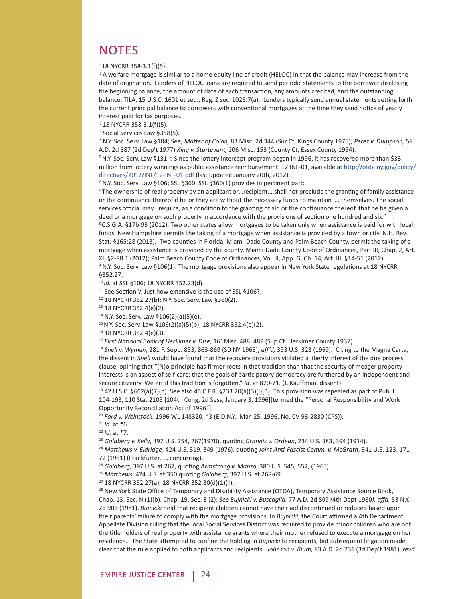### **NOTES**

 $118$  NYCRR 358-3.1(f)(5).

<sup>2</sup> A welfare mortgage is similar to a home equity line of credit (HELOC) in that the balance may increase from the date of origination. Lenders of HELOC loans are required to send periodic statements to the borrower disclosing the beginning balance, the amount of date of each transaction, any amounts credited, and the outstanding balance. TILA, 15 U.S.C. 1601 et seq., Reg. Z sec. 1026.7(a). Lenders typically send annual statements setting forth the current principal balance to borrowers with conventional mortgages at the time they send notice of yearly interest paid for tax purposes.

3 18 NYCRR 358-3.1(f)(5).

4 Social Services Law §358(5).

 5 N.Y. Soc. Serv. Law §104; See, *MaƩ er of Colon,* 83 Misc. 2d 344 (Sur Ct, Kings County 1975); *Perez v. Dumpson,* 58 A.D. 2d 887 (2d Dep't 1977) *King v. Sturtevant,* 206 Misc. 153 (County Ct, Essex County 1954).<br><sup>6</sup> N.Y. Soc. Serv. Law §131-r. Since the lottery intercept program began in 1996, it has recovered more than \$33

million from lottery winnings as public assistance reimbursement. 12 INF-01, available at http://otda.ny.gov/policy/ directives/2012/INF/12-INF-01.pdf (last updated January 20th, 2012).

 $7$  N.Y. Soc. Serv. Law §106; SSL §360. SSL §360(1) provides in pertinent part:

"The ownership of real property by an applicant or...recipient....shall not preclude the granting of family assistance or the continuance thereof if he or they are without the necessary funds to maintain .... themselves. The social services official may...require, as a condition to the granting of aid or the continuance thereof, that he be given a deed or a mortgage on such property in accordance with the provisions of section one hundred and six."<br>8 C.S.G.A. §17b-93 (2012). Two other states allow mortgages to be taken only when assistance is paid for with local funds. New Hampshire permits the taking of a mortgage when assistance is provided by a town or city. N.H. Rev. Stat. §165:28 (2013). Two counties in Florida, Miami-Dade County and Palm Beach County, permit the taking of a mortgage when assistance is provided by the county. Miami-Dade County Code of Ordinances, Part III, Chap. 2, Art. XI, §2-88.1 (2012); Palm Beach County Code of Ordinances, Vol. II, App. G, Ch. 14, Art. III, §14-51 (2012). <sup>9</sup> N.Y. Soc. Serv. Law §106(1). The mortgage provisions also appear in New York State regulations at 18 NYCRR §352.27.

<sup>10</sup>*Id.* at SSL §106; 18 NYCRR 352.23(d).

<sup>11</sup> See Section V, Just how extensive is the use of SSL §106?, <sup>12</sup> 18 NYCRR 352.27(b); N.Y. Soc. Serv. Law §360(2).

13 18 NYCRR 352.4(e)(2).

14 N.Y. Soc. Serv. Law §106(2)(a)(5)(e).

15 N.Y. Soc. Serv. Law §106(2)(a)(5)(b); 18 NYCRR 352.4(e)(2).

16 18 NYCRR 352.4(e)(3).

<sup>17</sup> First National Bank of Herkimer v. Dise, 161Misc. 488. 489 (Sup.Ct. Herkimer County 1937).<br><sup>18</sup> Snell v. Wyman, 281 F. Supp. 853, 863-869 (SD NY 1968), aff'd, 393 U.S. 323 (1969). Citing to the Magna Carta, the dissent in *Snell* would have found that the recovery provisions violated a liberty interest of the due process clause, opining that "(N)o principle has firmer roots in that tradition than that the security of meager property interests is an aspect of self-care; that the goals of participatory democracy are furthered by an independent and secure citizenry. We err if this tradition is forgotten." *Id.* at 870-71. (J. Kauffman, dissent).

<sup>19</sup> 42 U.S.C. §602(a)(7)(b). See also 45 C.F.R. §233.20(a)(3)(I)(B). This provision was repealed as part of Pub. L 104-193, 110 Stat 2105 [104th Cong, 2d Sess, January 3, 1996][termed the "Personal Responsibility and Work Opportunity Reconciliation Act of 1996"].<br><sup>20</sup> Ford v. Weinstock, 1996 WL 148320, \*3 (E.D.N.Y., Mar. 25, 1996, No. CV-93-2830 (CPS)).<br><sup>21</sup> Id. at \*6.<br><sup>22</sup> Id. at \*7.<br><sup>23</sup> Goldberg v. Kelly, 397 U.S. 254, 267(1970), quoting

72 (1951) (Frankfurter, J., concurring).

<sup>25</sup> Goldberg, 397 U.S. at 267, quoting Armstrong v. Manzo, 380 U.S. 545, 552, (1965).<br><sup>26</sup> Matthews, 424 U.S. at 350 quoting Goldberg, 397 U.S. at 268-69.<br><sup>27</sup> 18 NYCRR 352.27(a); 18 NYCRR 352.30(d)(1)(ii).

<sup>28</sup> New York State Office of Temporary and Disability Assistance (OTDA), Temporary Assistance Source Book, Chap. 13, Sec. N (1)(b), Chap. 19, Sec. E (2); *See Bujnicki v. Buscaglia,* 77 A.D. 2d 809 *(*4th Dept 1980*), aff d,* 53 N.Y. 2d 906 (1981). *Bujnicki* held that recipient children cannot have their aid discontinued or reduced based upon their parents' failure to comply with the mortgage provisions. In *Bujnicki*, the Court affirmed a 4th Department Appellate Division ruling that the local Social Services District was required to provide minor children who are not the title holders of real property with assistance grants where their mother refused to execute a mortgage on her residence. The State attempted to confine the holding in *Bujnicki* to recipients, but subsequent litigation made clear that the rule applied to both applicants and recipients. *Johnson v. Blum,* 83 A.D. 2d 731 (3d Dep't 1981), *revd*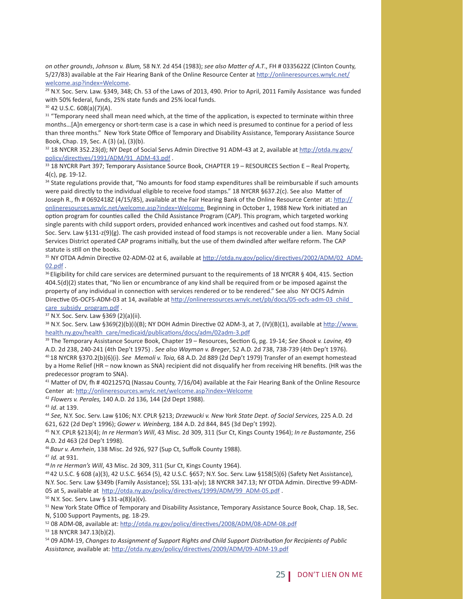*on other grounds*, *Johnson v. Blum,* 58 N.Y. 2d 454 (1983); *see also MaƩ er of A.T*., FH # 0335622Z (Clinton County, 5/27/83) available at the Fair Hearing Bank of the Online Resource Center at http://onlineresources.wnylc.net/

welcome.asp?index=Welcome.<br><sup>29</sup> N.Y. Soc. Serv. Law. §349, 348; Ch. 53 of the Laws of 2013, 490. Prior to April, 2011 Family Assistance was funded with 50% federal, funds, 25% state funds and 25% local funds.

30 42 U.S.C. 608(a)(7)(A).

<sup>31</sup> "Temporary need shall mean need which, at the time of the application, is expected to terminate within three months...[A]n emergency or short-term case is a case in which need is presumed to continue for a period of less than three months." New York State Office of Temporary and Disability Assistance, Temporary Assistance Source Book, Chap. 19, Sec. A (3) (a), (3)(b).

 $32$  18 NYCRR 352.23(d); NY Dept of Social Servs Admin Directive 91 ADM-43 at 2, available at http://otda.ny.gov/ policy/directives/1991/ADM/91\_ADM-43.pdf .<br><sup>33</sup> 18 NYCRR Part 397; Temporary Assistance Source Book, CHAPTER 19 – RESOURCES Section E – Real Property,

4(c), pg. 19-12.

34 State regulations provide that, "No amounts for food stamp expenditures shall be reimbursable if such amounts were paid directly to the individual eligible to receive food stamps." 18 NYCRR §637.2(c). See also Matter of Joseph R., fh # 0692418Z (4/15/85), available at the Fair Hearing Bank of the Online Resource Center at: http:// onlineresources.wnylc.net/welcome.asp?index=Welcome Beginning in October 1, 1988 New York initiated an option program for counties called the Child Assistance Program (CAP). This program, which targeted working single parents with child support orders, provided enhanced work incentives and cashed out food stamps. N.Y. Soc. Serv. Law §131-z(9)(g). The cash provided instead of food stamps is not recoverable under a lien. Many Social Services District operated CAP programs initially, but the use of them dwindled after welfare reform. The CAP statute is still on the books.<br><sup>35</sup> NY OTDA Admin Directive 02-ADM-02 at 6, available at http://otda.ny.gov/policy/directives/2002/ADM/02\_ADM-

 $02.pdf$ </u> .<br><sup>36</sup> Eligibility for child care services are determined pursuant to the requirements of 18 NYCRR § 404, 415. Section

404.5(d)(2) states that, "No lien or encumbrance of any kind shall be required from or be imposed against the property of any individual in connection with services rendered or to be rendered." See also NY OCFS Admin Directive 05-OCFS-ADM-03 at 14, available at http://onlineresources.wnylc.net/pb/docs/05-ocfs-adm-03\_child\_ care\_subsidy\_program.pdf .<br><sup>37</sup> N.Y. Soc. Serv. Law §369 (2)(a)(ii).

38 N.Y. Soc. Serv. Law §369(2)(b)(i)(B); NY DOH Admin Directive 02 ADM-3, at 7, (IV)(B)(1), available at http://www. health.ny.gov/health\_care/medicaid/publications/docs/adm/02adm-3.pdf<br><sup>39</sup> The Temporary Assistance Source Book, Chapter 19 – Resources, Section G, pg. 19-14; *See Shook v. Lavine,* 49

A.D. 2d 238, 240-241 (4th Dep't 1975) . See also Wayman v. Breger, 52 A.D. 2d 738, 738-739 (4th Dep't 1976).<br><sup>40</sup> 18 NYCRR §370.2(b)(6)(i). See Memoli v. Toia, 68 A.D. 2d 889 (2d Dep't 1979) Transfer of an exempt homestead by a Home Relief (HR – now known as SNA) recipient did not disqualify her from receiving HR benefits. (HR was the predecessor program to SNA).

<sup>41</sup> Matter of DV, fh # 4021257Q (Nassau County, 7/16/04) available at the Fair Hearing Bank of the Online Resource Center at: http://onlineresources.wnylc.net/welcome.asp?index=Welcome

<sup>42</sup> Flowers v. Perales, 140 A.D. 2d 136, 144 (2d Dept 1988).<br><sup>43</sup> Id. at 139.<br><sup>44</sup> See, N.Y. Soc. Serv. Law §106; N.Y. CPLR §213; *Drzewucki v. New York State Dept. of Social Services,* 225 A.D. 2d 621, 622 (2d Dep't 1996); *Gower v. Weinberg,* 184 A.D. 2d 844, 845 (3d Dep't 1992). 45 N.Y. CPLR §213(4); *In re Herman's Will*, 43 Misc. 2d 309, 311 (Sur Ct, Kings County 1964); *In re Bustamante*, 256

A.D. 2d 463 (2d Dep't 1998).

<sup>46</sup> Baur v. Amrhein, 138 Misc. 2d 926, 927 (Sup Ct, Suffolk County 1988).<br><sup>47</sup> Id. at 931.<br><sup>48</sup> In re Herman's Will, 43 Misc. 2d 309, 311 (Sur Ct, Kings County 1964).<br><sup>49</sup> 42 U.S.C. § 608 (a)(3), 42 U.S.C. §654 (5), 42 U N.Y. Soc. Serv. Law §349b (Family Assistance); SSL 131-a(v); 18 NYCRR 347.13; NY OTDA Admin. Directive 99-ADM-05 at 5, available at  $\underline{http://otda.ny.gov/policy/directives/1999/ADM/99_ADM-05.pdf}$ .<br><sup>50</sup> N.Y. Soc. Serv. Law § 131-a(8)(a)(v).

<sup>51</sup> New York State Office of Temporary and Disability Assistance, Temporary Assistance Source Book, Chap. 18, Sec. N, \$100 Support Payments, pg. 18-29.

 $52$  08 ADM-08, available at: http://otda.ny.gov/policy/directives/2008/ADM/08-ADM-08.pdf  $53$  18 NYCRR 347.13(b)(2).

54 09 ADM-19, Changes to Assignment of Support Rights and Child Support Distribution for Recipients of Public Assistance, available at: http://otda.ny.gov/policy/directives/2009/ADM/09-ADM-19.pdf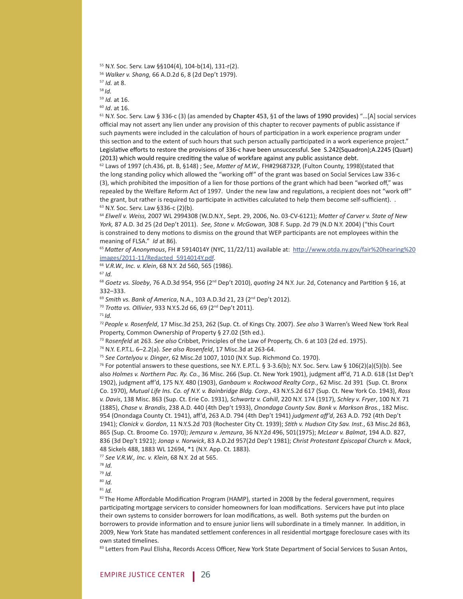- 55 N.Y. Soc. Serv. Law §§104(4), 104-b(14), 131-r(2).
- 
- 
- 

<sup>55</sup> Walker v. Shang, 66 A.D.2d 6, 8 (2d Dep't 1979).<br><sup>57</sup> Id. at 8.<br><sup>58</sup> Id. at 16.<br><sup>69</sup> Id. at 16.<br><sup>60</sup> Id. at 16.<br><sup>60</sup> IN.Y. Soc. Serv. Law § 336-c (3) (as amended by Chapter 453, §1 of the laws of 1990 provides) "...[ official may not assert any lien under any provision of this chapter to recover payments of public assistance if such payments were included in the calculation of hours of participation in a work experience program under this section and to the extent of such hours that such person actually participated in a work experience project." Legislative efforts to restore the provisions of 336-c have been unsuccessful. See S.242(Squadron);A.2245 (Quart)

(2013) which would require crediting the value of workfare against any public assistance debt.<br><sup>62</sup> Laws of 1997 (ch.436, pt. B, §148) ; See, *Matter of M.W.,* FH#2968732P, (Fulton County, 1998)(stated that the long standing policy which allowed the "working off" of the grant was based on Social Services Law 336-c (3), which prohibited the imposition of a lien for those portions of the grant which had been "worked off," was repealed by the Welfare Reform Act of 1997. Under the new law and regulations, a recipient does not "work off" the grant, but rather is required to participate in activities calculated to help them become self-sufficient). .  $63 \text{ N.Y.}$  Soc. Serv. Law §336-c (2)(b).

<sup>64</sup> *Elwell v. Weiss,* 2007 WL 2994308 (W.D.N.Y., Sept. 29, 2006, No. 03-CV-6121); *MaƩ er of Carver v. State of New York,* 87 A.D. 3d 25 (2d Dep't 2011). *See, Stone v. McGowan,* 308 F. Supp. 2d 79 (N.D N.Y. 2004) ("this Court is constrained to deny motions to dismiss on the ground that WEP participants are not employees within the meaning of FLSA." *Id* at 86).<br><sup>65</sup> *Matter of Anonymous, FH # 5914014Y (NYC, 11/22/11) available at: http://www.otda.ny.gov/fair%20hearing%20* 

images/2011-11/Redacted\_5914014Y.pdf. 66 *V.R.W., Inc. v. Klein*, 68 N.Y. 2d 560, 565 (1986). 67 *Id.*

68 Goetz vs. Sloeby, 76 A.D.3d 954, 956 (2<sup>nd</sup> Dep't 2010), *quoting* 24 N.Y. Jur. 2d, Cotenancy and Partition § 16, at 332–333.

<sup>69</sup> *Smith vs. Bank of America*, N.A., 103 A.D.3d 21, 23 (2<sup>nd</sup> Dep't 2012).<br><sup>70</sup> *Trotta vs. Ollivier*, 933 N.Y.S.2d 66, 69 (2<sup>nd</sup> Dep't 2011).<br><sup>71</sup> *Id*.

<sup>72</sup>*People v. Rosenfeld*, 17 Misc.3d 253, 262 (Sup. Ct. of Kings Cty. 2007). *See also* 3 Warren's Weed New York Real Property, Common Ownership of Property § 27.02 (5th ed.).

73 R*osenfeld* at 263. *See also* Cribbet, Principles of the Law of Property, Ch. 6 at 103 (2d ed. 1975).

<sup>74</sup> N.Y. E.P.T.L. 6–2.2(a). *See also Rosenfeld*, 17 Misc.3d at 263-64.<br><sup>75</sup> See Cortelyou v. Dinger, 62 Misc.2d 1007, 1010 (N.Y. Sup. Richmond Co. 1970).<br><sup>76</sup> For potential answers to these questions, see N.Y. E.P.T.L. § also *Holmes v. Northern Pac. Ry. Co.*, 36 Misc. 266 (Sup. Ct. New York 1901), judgment aff 'd, 71 A.D. 618 (1st Dep't 1902), judgment aff 'd, 175 N.Y. 480 (1903), *Ganbaum v. Rockwood Realty Corp.*, 62 Misc. 2d 391 (Sup. Ct. Bronx Co. 1970), *Mutual Life Ins. Co. of N.Y. v. Bainbridge Bldg. Corp.*, 43 N.Y.S.2d 617 (Sup. Ct. New York Co. 1943), *Ross v. Davis*, 138 Misc. 863 (Sup. Ct. Erie Co. 1931), *Schwartz v. Cahill*, 220 N.Y. 174 (1917), *Schley v. Fryer*, 100 N.Y. 71 (1885), *Chase v. Brandis*, 238 A.D. 440 (4th Dep't 1933), *Onondaga County Sav. Bank v. Markson Bros.*, 182 Misc. 954 (Onondaga County Ct. 1941), aff 'd, 263 A.D. 794 (4th Dep't 1941) *judgment aff 'd*, 263 A.D. 792 (4th Dep't 1941); *Clonick v. Gordon*, 11 N.Y.S.2d 703 (Rochester City Ct. 1939); *SƟ th v. Hudson City Sav. Inst.*, 63 Misc.2d 863, 865 (Sup. Ct. Broome Co. 1970); *Jemzura v. Jemzura*, 36 N.Y.2d 496, 501(1975); *McLear v. Balmat*, 194 A.D. 827, 836 (3d Dep't 1921); *Jonap v. Norwick*, 83 A.D.2d 957(2d Dep't 1981); *Christ Protestant Episcopal Church v. Mack*, 48 Sickels 488, 1883 WL 12694, \*1 (N.Y. App. Ct. 1883).

<sup>77</sup> *See V.R.W., Inc. v. Klein*, 68 N.Y. 2d at 565.

<sup>80</sup> *Id.*

<sup>81</sup> *Id.*

82 The Home Affordable Modification Program (HAMP), started in 2008 by the federal government, requires participating mortgage servicers to consider homeowners for loan modifications. Servicers have put into place their own systems to consider borrowers for loan modifications, as well. Both systems put the burden on borrowers to provide information and to ensure junior liens will subordinate in a timely manner. In addition, in 2009, New York State has mandated settlement conferences in all residential mortgage foreclosure cases with its own stated timelines.<br><sup>83</sup> Letters from Paul Elisha, Records Access Officer, New York State Department of Social Services to Susan Antos,

<sup>78</sup> *Id.*

<sup>79</sup> *Id.*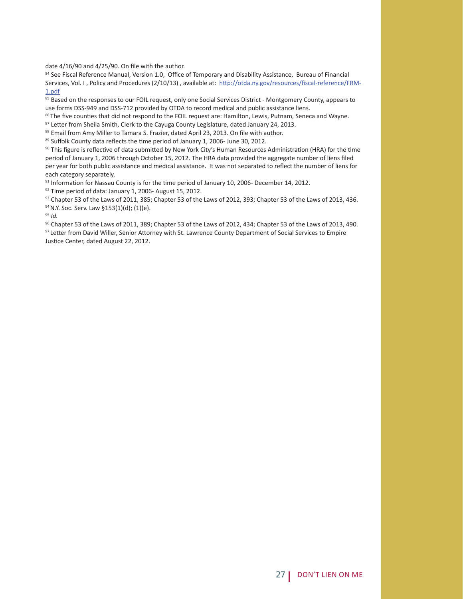date 4/16/90 and 4/25/90. On file with the author.<br><sup>84</sup> See Fiscal Reference Manual, Version 1.0, Office of Temporary and Disability Assistance, Bureau of Financial Services, Vol. I, Policy and Procedures (2/10/13), available at: http://otda.ny.gov/resources/fiscal-reference/FRM-1.pdf

85 Based on the responses to our FOIL request, only one Social Services District - Montgomery County, appears to use forms DSS-949 and DSS-712 provided by OTDA to record medical and public assistance liens.

<sup>86</sup> The five counties that did not respond to the FOIL request are: Hamilton, Lewis, Putnam, Seneca and Wayne.<br><sup>87</sup> Letter from Sheila Smith, Clerk to the Cayuga County Legislature, dated January 24, 2013.<br><sup>88</sup> Email from

<sup>89</sup> Suffolk County data reflects the time period of January 1, 2006- June 30, 2012.<br><sup>90</sup> This figure is reflective of data submitted by New York City's Human Resources Administration (HRA) for the time period of January 1, 2006 through October 15, 2012. The HRA data provided the aggregate number of liens filed per year for both public assistance and medical assistance. It was not separated to reflect the number of liens for each category separately.

<sup>91</sup> Information for Nassau County is for the time period of January 10, 2006- December 14, 2012.<br><sup>92</sup> Time period of data: January 1, 2006- August 15, 2012.

93 Chapter 53 of the Laws of 2011, 385; Chapter 53 of the Laws of 2012, 393; Chapter 53 of the Laws of 2013, 436. 94 N.Y. Soc. Serv. Law §153(1)(d); (1)(e).

<sup>95</sup> *Id.*

 96 Chapter 53 of the Laws of 2011, 389; Chapter 53 of the Laws of 2012, 434; Chapter 53 of the Laws of 2013, 490. 97 Letter from David Willer, Senior Attorney with St. Lawrence County Department of Social Services to Empire Justice Center, dated August 22, 2012.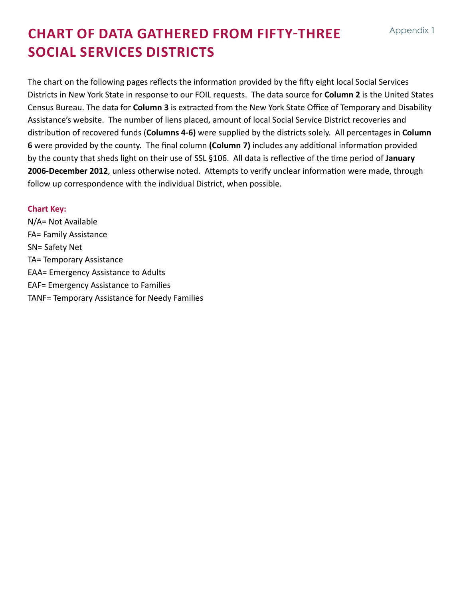# **Chart of datA gathered from fifty-three Social Services Districts**

The chart on the following pages reflects the information provided by the fifty eight local Social Services Districts in New York State in response to our FOIL requests. The data source for **Column 2** is the United States Census Bureau. The data for **Column 3** is extracted from the New York State Office of Temporary and Disability Assistance's website. The number of liens placed, amount of local Social Service District recoveries and distribution of recovered funds (**Columns 4-6)** were supplied by the districts solely. All percentages in **Column 6** were provided by the county. The final column **(Column 7)** includes any additional information provided by the county that sheds light on their use of SSL §106. All data is reflective of the time period of **January 2006-December 2012**, unless otherwise noted. Attempts to verify unclear information were made, through follow up correspondence with the individual District, when possible.

#### **Chart Key:**

N/A= Not Available FA= Family Assistance SN= Safety Net TA= Temporary Assistance EAA= Emergency Assistance to Adults EAF= Emergency Assistance to Families TANF= Temporary Assistance for Needy Families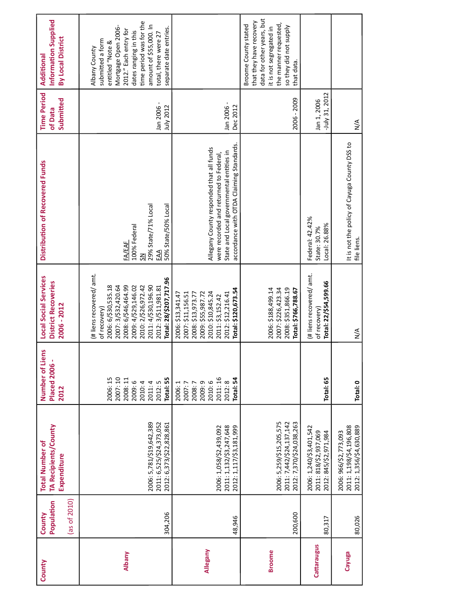| County        | (as of $2010$ )<br>Population<br>County | TA Recipients/County<br><b>Total Number of</b><br>Expenditure                    | Number of Liens<br><b>Placed 2006 -</b><br>2012                                      | Local Social Services<br><b>District Recoveries</b><br>2006 - 2012                                                                                                                                                                  | Distribution of Recovered Funds                                                                                                                                            | <b>Time Period</b><br>Submitted<br>of Data | Information Supplied<br>By Local District<br>Additional                                                                                                                                                                               |
|---------------|-----------------------------------------|----------------------------------------------------------------------------------|--------------------------------------------------------------------------------------|-------------------------------------------------------------------------------------------------------------------------------------------------------------------------------------------------------------------------------------|----------------------------------------------------------------------------------------------------------------------------------------------------------------------------|--------------------------------------------|---------------------------------------------------------------------------------------------------------------------------------------------------------------------------------------------------------------------------------------|
| <b>Albany</b> | 304,206                                 | 2006: 5,781/\$19,642,389<br>2011: 6,525/\$24,373,052<br>2012: 6,373/\$22,828,861 | 2007:10<br>2006:15<br>lotal: 55<br>2008: 11<br>2009:6<br>2012:5<br>2010: 4<br>2011:4 | (# liens recovered/ amt.<br>Total: 28/\$207,717.96<br>2008: 6/\$46,464.99<br>2011: 4/\$30,196.90<br>2006: 6/\$30,535.18<br>2007: 3/\$32,420.64<br>2009: 4/\$29,146.02<br>2010: 2/\$26,972.42<br>2012: 3/\$11,981.81<br>of recovery) | 29% State/71% Local<br>50% State/50% Local<br>100% Federal<br><b>FA/EAF</b><br>EAA<br>$\overline{5}$                                                                       | Jan 2006 -<br>July 2012                    | time period was for the<br>amount of \$55,000. In<br>Mortgage Open 2006-<br>separate date entries.<br>2012." Each entry for<br>dates ranging in this<br>total, there were 27<br>submitted a form<br>entitled "Note &<br>Albany County |
| Allegany      | 48,946                                  | 2011: 1,132/\$3,247,648<br>2012: 1,117/\$3,181,999<br>2006: 1,058/\$2,439,092    | 2011:16<br>Total: 54<br>2009:9<br>2010:6<br>2012:8<br>2006: 1<br>2007:7<br>2008:7    | Total: \$120,673.54<br>2010: \$10,845.24<br>2009: \$55,987.72<br>2012: \$12,216.41<br>2007: \$11,156.51<br>2008: \$13,973.77<br>2006: \$13,341.47<br>2011: \$3,152.42                                                               | accordance with OTDA Claiming Standards.<br>Allegany County responded that all funds<br>State and Local governmental entities in<br>were recorded and returned to Federal, | Jan 2006-<br>Dec 2012                      |                                                                                                                                                                                                                                       |
| <b>Broome</b> | 200,600                                 | 2006: 5,259/\$15,205,575<br>2011: 7,442/\$24,137,142<br>2012: 7,370/\$24,038,263 |                                                                                      | 2008: \$351,866.19<br>2006: \$188,499.14<br>2007: \$226,423.34<br>Total: \$766,788.67                                                                                                                                               |                                                                                                                                                                            | 2006 - 2009                                | data for other years, but<br>that they have recovery<br>the manner requested,<br>Broome County stated<br>so they did not supply<br>it is not segregated in<br>that data.                                                              |
| Cattaraugus   | 80,317                                  | 2006: 1,240/\$3,401,542<br>2011: 818/\$2,937,069<br>2012: 845/\$2,971,984        | Total: 65                                                                            | (# liens recovered/ amt.<br>Total: 22/\$54,599.66<br>of recovery)                                                                                                                                                                   | Federal: 42.42%<br>Local: 26.88%<br>State: 30.7%                                                                                                                           | -July 31, 2012<br>Jan 1, 2006              |                                                                                                                                                                                                                                       |
| Cayuga        | 80,026                                  | 2011: 1,198/\$4,196,808<br>2012: 1,356/\$4,630,889<br>2006: 966/\$2,773,093      | Total: 0                                                                             | $\frac{4}{2}$                                                                                                                                                                                                                       | It is not the policy of Cayuga County DSS to<br>file liens.                                                                                                                | $\frac{4}{2}$                              |                                                                                                                                                                                                                                       |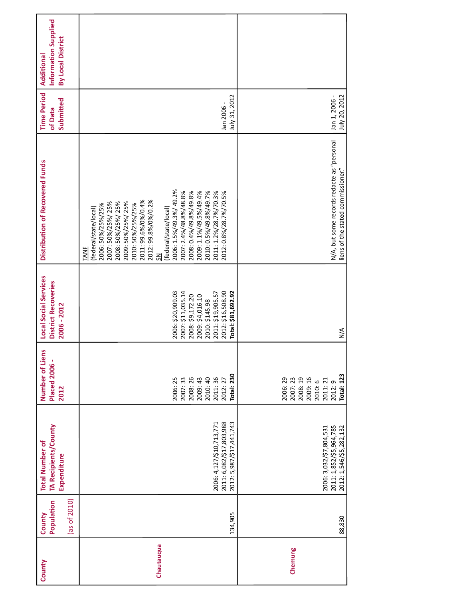| County     | Population<br>(as of $2010$ )<br>County | TA Recipients/County<br><b>Total Number of</b><br>Expenditure                    | Number of Liens<br><b>Placed 2006 -</b><br>2012                                                   | Local Social Services<br><b>District Recoveries</b><br>2006 - 2012                                                                                               | Distribution of Recovered Funds                                                                                                                                                                                                                                                                                                                                                                                      | <b>Time Period</b><br>Submitted<br>of Data | Information Supplied<br>By Local District<br>Additional |
|------------|-----------------------------------------|----------------------------------------------------------------------------------|---------------------------------------------------------------------------------------------------|------------------------------------------------------------------------------------------------------------------------------------------------------------------|----------------------------------------------------------------------------------------------------------------------------------------------------------------------------------------------------------------------------------------------------------------------------------------------------------------------------------------------------------------------------------------------------------------------|--------------------------------------------|---------------------------------------------------------|
| Chautauqua | 134,905                                 | 2011: 6,082/\$17,803,988<br>2012: 5,987/\$17,441,743<br>2006: 4,127/\$10,713,771 | <b>Total: 230</b><br>2007: 33<br>2008: 26<br>2011:36<br>2006:25<br>2009: 43<br>2010:40<br>2012:27 | 2007: \$11,035.14<br>2012: \$16,508.90<br>Total: \$81,692.92<br>2006: \$20,909.03<br>2011: \$19,905.57<br>2009: \$4,016.10<br>2008: \$9,172.20<br>2010: \$145.98 | 2006: 1.5%/49.3%/49.2%<br>2007: 2.4%/48.8%/48.8%<br>2008: 0.4%/49.8%/49.8%<br>2009: 1.1%/49.5%/49.4%<br>2010: 0.5%/49.8%/49.7%<br>2011: 1.2%/28.7%/70.3%<br>2012: 0.8%/28.7%/70.5%<br>2011: 99.6%/0%/0.4%<br>2012: 99.8%/0%/0.2%<br>2007: 50%/25%/25%<br>2008: 50%/25%/25%<br>2009: 50%/25%/25%<br>2006: 50%/25%/25%<br>2010: 50%/25%/25%<br>federal/state/local)<br>(federal/state/local)<br>TANF<br>$\overline{5}$ | July 31, 2012<br>Jan 2006 -                |                                                         |
| Chemung    | 88,830                                  | 2011: 1,852/\$5,964,785<br>2006: 3,032/\$7,804,531<br>2012: 1,546/\$5,282,132    | Total: 123<br>2006:29<br>2007:23<br>2008:19<br>2009:16<br>2011:21<br>2010:6<br>2012:9             | $\frac{4}{2}$                                                                                                                                                    | N/A, but some records redacte as "personal<br>liens of the stated commissioner."                                                                                                                                                                                                                                                                                                                                     | July 20, 2012<br>Jan 1, 2006 -             |                                                         |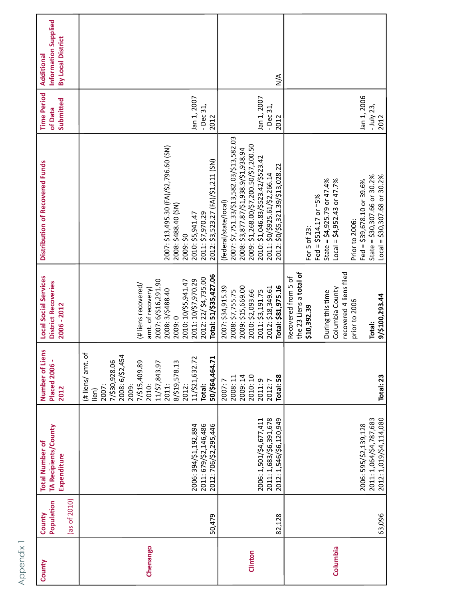| County   | (as of 2010)<br>Population<br>County | TA Recipients/County<br><b>Total Number of</b><br>Expenditure                 | Number of Liens<br><b>Placed 2006-</b><br>2012                                                                                                                                                           | <b>Local Social Services</b><br><b>District Recoveries</b><br>2006 - 2012                                                                                                                    | Distribution of Recovered Funds                                                                                                                                                                                                                                 | <b>Time Period</b><br>Submitted<br>of Data | Information Supplied<br>By Local District<br>Additional |
|----------|--------------------------------------|-------------------------------------------------------------------------------|----------------------------------------------------------------------------------------------------------------------------------------------------------------------------------------------------------|----------------------------------------------------------------------------------------------------------------------------------------------------------------------------------------------|-----------------------------------------------------------------------------------------------------------------------------------------------------------------------------------------------------------------------------------------------------------------|--------------------------------------------|---------------------------------------------------------|
| Chenango | 50,479                               | 2011: 679/\$2,146,486<br>2012: 706/\$2,295,446<br>2006: 394/\$1,192,894       | #liens/amt.of<br>2008: 6/\$2,454<br>11/\$21,632.72<br>50/\$64,464.71<br>7/\$30,928.06<br>8/\$19,578.13<br>7/\$15,409.89<br>2010:<br>11/\$7,843.97<br>2009:<br>2011:<br>2012:<br>2007:<br>Total:<br>lien) | Total: 51/\$35,427.06<br>2012: 22/ \$4,735.00<br>2007: 6/\$16,291.90<br>2011: 10/\$7,970.29<br>2010: 10/\$5,941.47<br>(# liens recovered/<br>amt. of recovery)<br>2008: 3/\$488.40<br>2009:0 | 2007: \$13,495.30 (FA)/\$2,796.60 (SN)<br>2012: \$3,523.27 (FA)/\$1,211 (SN)<br>2008: \$488.40 (SN)<br>2011: \$7,970.29<br>2010: \$5,941.47<br>2009: \$0                                                                                                        | Jan 1, 2007<br>$-$ Dec 31,<br>2012         |                                                         |
| Clinton  | 82,128                               | 2011: 1,683/\$6,391,678<br>2012: 1,546/\$6,120,949<br>2006: 1,501/\$4,677,411 | 2010:10<br>2009:14<br>Total: 58<br>2008:11<br>2011:9<br>2012:7<br>2007:7                                                                                                                                 | Total: \$81,975.16<br>2009: \$15,669.00<br>2007: \$34,915.39<br>2012: \$18,349.61<br>2008: \$7,755.75<br>2010: \$2,093.66<br>2011: \$3,191.75                                                | 2007: \$7,751.33/\$13,582.03/\$13,582.03<br>2009: \$1,268.00/\$7,200.50/\$7,200.50<br>2008: \$3,877.87/\$1,938.9/\$1,938.94<br>2010: \$1,046.83/\$523.42/\$523.42<br>2012: \$0/\$5,321.39/\$13,028.22<br>2011: \$0/\$925.61/\$2,266.14<br>(federal/state/local) | Jan 1, 2007<br>- Dec 31,<br>2012           | $\frac{4}{2}$                                           |
| Columbia | 63,096                               | 2012: 1,019/\$4,114,080<br>2011: 1,064/\$4,787,683<br>2006: 595/\$2,139,128   | Total: 23                                                                                                                                                                                                | the 23 Liens a total of<br>recovered 4 liens filed<br>Recovered from 5 of<br>Columbia County<br>During this time<br>9/\$100,293.44<br>prior to 2006<br>\$10,392.39<br>Total:                 | State = $$30,307.66$ or $30.2\%$<br>$Local = $30,307.68$ or $30.2%$<br>State = $$4,925.79$ or $47.4\%$<br>Fed = $$39,678.10$ or 39.6%<br>Local = $$4,952.43$ or $47.7\%$<br>Fed = $$514.17$ or ~5%<br>Prior to 2006:<br>For 5 of 23:                            | Jan 1, 2006<br>- July 23,<br>2012          |                                                         |

Appendix 1 Appendix 1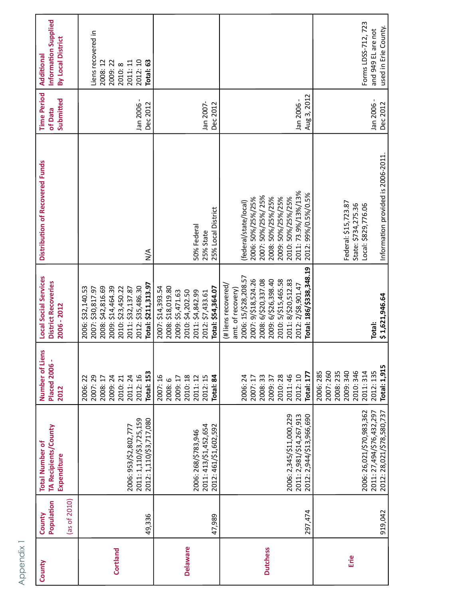| County          | Population<br>$\frac{1}{2}$ as of 2010<br>County | TA Recipients/County<br><b>Total Number of</b><br>Expenditure                       | Number of Liens<br><b>Placed 2006 -</b><br>2012                                                       | <b>Local Social Services</b><br><b>District Recoveries</b><br>2006 - 2012                                                                                                                                                            | Distribution of Recovered Funds                                                                                                                                              | <b>Time Period</b><br>Submitted<br>of Data | Information Supplied<br>By Local District<br>Additional                               |
|-----------------|--------------------------------------------------|-------------------------------------------------------------------------------------|-------------------------------------------------------------------------------------------------------|--------------------------------------------------------------------------------------------------------------------------------------------------------------------------------------------------------------------------------------|------------------------------------------------------------------------------------------------------------------------------------------------------------------------------|--------------------------------------------|---------------------------------------------------------------------------------------|
| Cortland        | 49,336                                           | 2011: 1,110/\$3,725,159<br>2012: 1,110/\$3,717,080<br>2006: 953/\$2,802,777         | <b>Total: 153</b><br>2012:16<br>2007:29<br>2009:24<br>2011:24<br>2008: 17<br>2010: 21<br>2006:22      | Total: \$211,313.97<br>2009: \$14,464.39<br>2012: \$35,486.30<br>2008: \$42,816.69<br>2010: \$23,450.22<br>2007: \$30,817.97<br>2011: \$32,137.87<br>2006: \$32,140.53                                                               | $\frac{4}{2}$                                                                                                                                                                | Jan 2006 -<br>Dec 2012                     | Liens recovered in<br>2012:10<br>2008:12<br>2009:22<br>Total: 63<br>2011:11<br>2010:8 |
| <b>Delaware</b> | 47,989                                           | 2011: 413/\$1,452,654<br>2012: 461/\$1,602,592<br>2006: 268/\$783,946               | 2007:16<br>2010:18<br>2011: 12<br>2012:15<br>2009: 17<br>Total: 84<br>2008:6                          | 2007: \$14,393.54<br>2008: \$18,019.80<br>Total: \$54,364.07<br>2010: \$4,202.50<br>2009: \$5,471.63<br>2011: \$4,842.99<br>2012: \$7,433.61                                                                                         | 25% Local District<br>50% Federal<br>25% State                                                                                                                               | Jan 2007-<br>Dec 2012                      |                                                                                       |
| <b>Dutchess</b> | 297,474                                          | 2012: 2,944/\$13,966,690<br>2006: 2,345/\$11,000,229<br>2011: 2,981/\$14,267,913    | <b>Total: 177</b><br>2011:46<br>2012:10<br>2006:24<br>33<br>2009:37<br>2010:28<br>2007:17<br>2008:    | Total: 186/\$338,348.19<br>2006: 15/\$28,208.57<br>2007: 9/\$18,524.26<br>2008: 6/\$20,337.08<br>2009: 6/\$26,398.40<br>2010: 5/\$15,465.58<br>2011: 8/\$20,512.83<br>2012: 2/\$8,901.47<br>(# liens recovered/<br>amt. of recovery) | 2011: 73.9%/13%/13%<br>2012: 99%/0.5%/0.5%<br>2007: 50%/25%/25%<br>2010: 50%/25%/25%<br>2006: 50%/25%/25%<br>2008: 50%/25%/25%<br>2009: 50%/25%/25%<br>(federal/state/local) | Aug 3, 2012<br>Jan 2006 -                  |                                                                                       |
| Erie            | 919,042                                          | 2006: 26,021/\$70,983,362<br>2011: 27,494/\$76,432,297<br>2012: 28,021/\$78,580,737 | Total: 1,915<br>2010: 346<br>2006:285<br>2007: 260<br>2008: 235<br>2009: 340<br>2011:314<br>2012: 135 | \$1,621,946.64<br>Total:                                                                                                                                                                                                             | Information provided is 2006-2011.<br>Federal: \$15,723.87<br>State: \$734,275.36<br>Local: \$829,776.06                                                                     | Jan 2006 -<br>Dec 2012                     | Forms LDSS-712, 723<br>used in Erie County.<br>and 949 EL are not                     |

Appendix 1 Appendix 1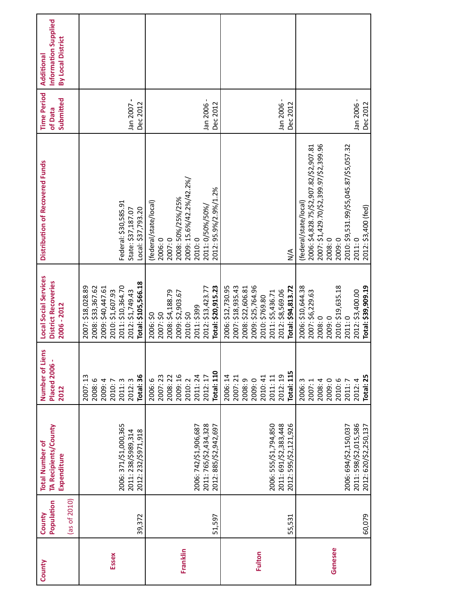| County   | Population<br>County | TA Recipients/County<br><b>Total Number of</b> | Number of Liens<br><b>Placed 2006 -</b> | <b>Local Social Services</b><br><b>District Recoveries</b> | Distribution of Recovered Funds          | <b>Time Period</b><br>of Data | Information Supplied<br>Additional |
|----------|----------------------|------------------------------------------------|-----------------------------------------|------------------------------------------------------------|------------------------------------------|-------------------------------|------------------------------------|
|          |                      | Expenditure                                    | 2012                                    | 2006 - 2012                                                |                                          | Submitted                     | By Local District                  |
|          | (as of $2010$ )      |                                                |                                         |                                                            |                                          |                               |                                    |
|          |                      |                                                | 2007:13<br>2008:6                       | 2008: \$33,367.62<br>2007: \$18,028.89                     |                                          |                               |                                    |
|          |                      |                                                | 2009:4                                  | 2009: \$40,447.61                                          |                                          |                               |                                    |
| Essex    |                      |                                                | 2010:7                                  | 2010: \$1,607.93                                           |                                          |                               |                                    |
|          |                      | 2006: 371/\$1,000,365                          | 2011:3                                  | 2011: \$10,364.70                                          | Federal: \$30,585.91                     |                               |                                    |
|          | 39,372               | 2012: 232/\$971,918<br>2011: 238/\$989,314     | Total: 36<br>2012:3                     | Total: \$105,566.18<br>2012: \$1,749.43                    | Local: \$37,793.20<br>State: \$37,187.07 | Jan 2007 -<br>Dec 2012        |                                    |
|          |                      |                                                | 2006:6                                  | 2006: \$0                                                  | (federal/state/local)                    |                               |                                    |
|          |                      |                                                | 2007:23                                 |                                                            |                                          |                               |                                    |
|          |                      |                                                | 2008: 22                                | 2007: \$0                                                  | 2007:0<br>2006:0                         |                               |                                    |
|          |                      |                                                |                                         | 2008: \$4,188.79                                           |                                          |                               |                                    |
| Franklin |                      |                                                | 2009:16<br>2010:2                       | 2009: \$2,903.67                                           | 2008: 50%/25%/25%                        |                               |                                    |
|          |                      |                                                |                                         | 2010: \$0                                                  | 2009: 15.6%/42.2%/42.2%/                 |                               |                                    |
|          |                      | 2006: 742/\$1,906,687                          | 2011:24                                 | 2011: \$399                                                | 2010:0                                   |                               |                                    |
|          |                      | 2011: 765/\$2,434,328                          | 2012:17                                 | 2012: \$13,423.77                                          | 2011: 0/50%/50%                          | Jan 2006 -                    |                                    |
|          | 51,597               | 2012: 885/\$2,942,697                          | <b>Total: 110</b>                       | Total: \$20,915.23                                         | 2012: 95.9%/2.9%/1.2%                    | Dec 2012                      |                                    |
|          |                      |                                                | 2006:14                                 | 2006: \$12,730.95                                          |                                          |                               |                                    |
|          |                      |                                                | 2007:21                                 | 2007: \$18,935.43                                          |                                          |                               |                                    |
|          |                      |                                                | 2008:9                                  | 2008: \$22,606.81                                          |                                          |                               |                                    |
| Fulton   |                      |                                                | 2009:0                                  | 2009: \$25,764.96                                          |                                          |                               |                                    |
|          |                      |                                                | 2010:41                                 | 2010: \$769.80                                             |                                          |                               |                                    |
|          |                      | 2006: 555/\$1,794,850                          | 2011:11                                 | 2011: \$5,436.71                                           |                                          |                               |                                    |
|          |                      | 2011: 691/\$2,383,448                          | 2012:19                                 | 2012: \$8,569.06                                           |                                          | Jan 2006-                     |                                    |
|          | 55,531               | 2012: 595/\$2,121,926                          | Total: 115                              | Total: \$94,813.72                                         | $\leq$                                   | Dec 2012                      |                                    |
|          |                      |                                                | 2006:3                                  | 2006: \$10,644.38                                          | (federal/state/local)                    |                               |                                    |
|          |                      |                                                | 2007:1                                  | 2007: \$6,229.63                                           | 2006: \$4,828.75/\$2,907.82/\$2,907.81   |                               |                                    |
|          |                      |                                                | 2008: 4                                 | 2008:0                                                     | 2007: \$1,429.70/\$2,399.97/\$2,399.96   |                               |                                    |
|          |                      |                                                | 2009:0                                  | 2009:0                                                     | 2008:0                                   |                               |                                    |
| Genesee  |                      |                                                | 2010:6                                  | 2010: \$19,635.18                                          | 2009:0                                   |                               |                                    |
|          |                      | 2006: 694/\$2,150,037                          | 2011:7                                  | 2011:0                                                     | 2010: \$9,531.99/\$5,045.87/\$5,057.32   |                               |                                    |
|          |                      | 2011: 598/\$2,015,586                          | 2012:4                                  | 2012: \$3,400.00                                           | 2011:0                                   | Jan 2006 -                    |                                    |
|          | 60,079               | 2012: 620/\$2,250,137                          | Total: 25                               | Total: \$39,909.19                                         | 2012: \$3,400 (fed)                      | Dec 2012                      |                                    |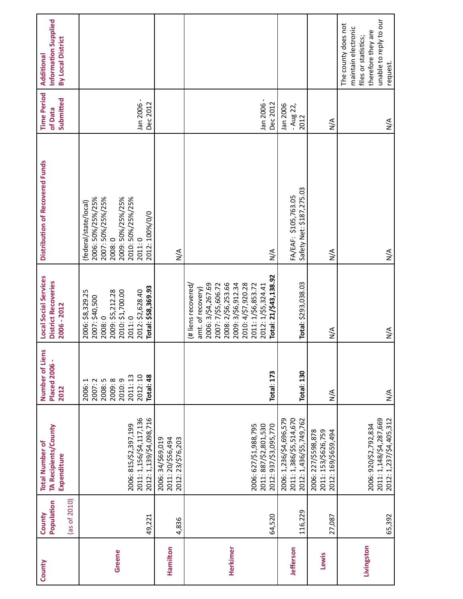| County       | (as of $2010$ )<br>Population<br>County | TA Recipients/County<br><b>Total Number of</b><br>Expenditure                 | Number of Liens<br><b>Placed 2006 -</b><br>2012                                   | <b>Local Social Services</b><br><b>District Recoveries</b><br>2006 - 2012                                                                                                                                                   | Distribution of Recovered Funds                                                                                                                 | <b>Time Period</b><br>Submitted<br>of Data | Information Supplied<br>By Local District<br>Additional                                                                        |
|--------------|-----------------------------------------|-------------------------------------------------------------------------------|-----------------------------------------------------------------------------------|-----------------------------------------------------------------------------------------------------------------------------------------------------------------------------------------------------------------------------|-------------------------------------------------------------------------------------------------------------------------------------------------|--------------------------------------------|--------------------------------------------------------------------------------------------------------------------------------|
| Greene       | 49,221                                  | 2011: 1,156/\$4,117,136<br>2012: 1,139/\$4,098,716<br>2006: 815/\$2,397,199   | 2012:10<br>Total: 48<br>2011:13<br>2008:5<br>2009:8<br>2010:9<br>2007:2<br>2006:1 | Total: \$58,369.93<br>2012: \$2,628.40<br>2009: \$5,212.28<br>2010: \$1,700.00<br>2006: \$8,329.25<br>2007: \$40,500<br>2008:0<br>2011:0                                                                                    | 2006: 50%/25%/25%<br>2009: 50%/25%/25%<br>2007: 50%/25%/25%<br>2010: 50%/25%/25%<br>(federal/state/local)<br>2012: 100%/0/0<br>2008:0<br>2011:0 | Jan 2006 -<br>Dec 2012                     |                                                                                                                                |
| Hamilton     | 4,836                                   | 2011: 20/\$56,494<br>2012: 23/\$76,203<br>2006: 34/\$69,019                   |                                                                                   |                                                                                                                                                                                                                             | $\sum_{i=1}^{n}$                                                                                                                                |                                            |                                                                                                                                |
| Herkimer     | 64,520                                  | 2006: 627/\$1,988,795<br>2011: 887/\$2,801,530<br>2012: 937/\$3,095,770       | <b>Total: 173</b>                                                                 | Total: 21/\$43,138.92<br>2008: 2/\$6,253.66<br>2006: 3/\$4,267.69<br>2009: 3/\$6,912.34<br>2010: 4/\$7,920.28<br>2007: 7/\$5,606.72<br>2011: 1/\$6,853.72<br>2012: 1/\$5,324.41<br>(# liens recovered/<br>amt. of recovery) | $\sum_{i=1}^{n}$                                                                                                                                | Jan 2006-<br>Dec 2012                      |                                                                                                                                |
| Jefferson    | 116.229                                 | 2011: 1,386/\$5,514,670<br>2012: 1,436/\$5,749,762<br>2006: 1,236/\$4,696,579 | <b>Total: 130</b>                                                                 | Total: \$293,038.03                                                                                                                                                                                                         | Safety Net: \$187,275.03<br>FA/EAF: \$105,763.05                                                                                                | Jan 2006<br>$-$ Aug 22,<br>2012            |                                                                                                                                |
| <b>Lewis</b> | 27,087                                  | 2006: 227/\$598,878<br>2011: 153/\$626,759<br>2012: 169/\$659,494             | $\frac{4}{2}$                                                                     | $\sum_{i=1}^{n}$                                                                                                                                                                                                            | $\sum_{i=1}^{n}$                                                                                                                                | $\sum_{i=1}^{n}$                           |                                                                                                                                |
| Livingston   | 65,392                                  | 2011: 1,148/\$4,287,669<br>2012: 1,237/\$4,405,312<br>2006: 920/\$2,792,834   | $\sum_{i=1}^{n}$                                                                  | $\sum_{i=1}^{n}$                                                                                                                                                                                                            | $\sum_{N}$                                                                                                                                      | $\sum_{i=1}^{n}$                           | unable to reply to our<br>The county does not<br>maintain electronic<br>therefore they are<br>files or statistics;<br>request. |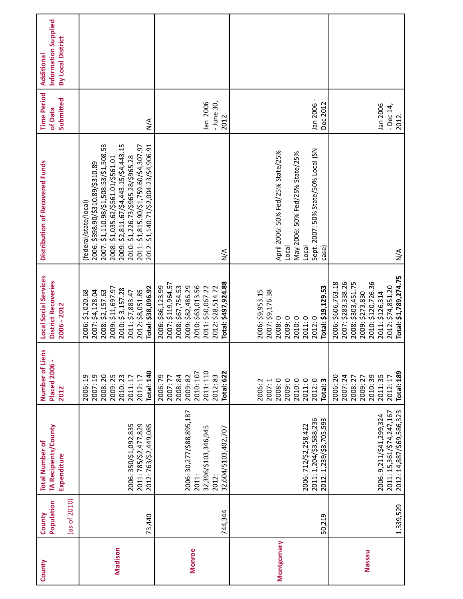| County        | (as of $2010$ )<br>Population<br>County | TA Recipients/County<br><b>Total Number of</b><br>Expenditure                               | Number of Liens<br><b>Placed 2006 -</b><br>2012                                                 | Local Social Services<br><b>District Recoveries</b><br>2006 - 2012                                                                                                       | Distribution of Recovered Funds                                                                                                                                                                                                                                                                               | <b>Time Period</b><br>Submitted<br>of Data | Information Supplied<br>By Local District<br>Additional |
|---------------|-----------------------------------------|---------------------------------------------------------------------------------------------|-------------------------------------------------------------------------------------------------|--------------------------------------------------------------------------------------------------------------------------------------------------------------------------|---------------------------------------------------------------------------------------------------------------------------------------------------------------------------------------------------------------------------------------------------------------------------------------------------------------|--------------------------------------------|---------------------------------------------------------|
| Madison       | 73,440                                  | 2006: 350/\$1,092,835<br>2011: 785/\$2,477,829<br>2012: 763/\$2,449,085                     | <b>Total: 140</b><br>2008:20<br>2007:19<br>2009:25<br>2010:23<br>2006:19<br>2011:17<br>2012:17  | Total: \$38,096.92<br>2009: \$11,697.97<br>2010: \$3,157.28<br>2012: \$8,051.85<br>2007: \$4,128.04<br>2008: \$2,157.63<br>2006: \$1,020.68<br>2011: \$7,883.47          | 2007: \$1,110.98/\$1,508.53/\$1,508.53<br>2009: \$2,811.67/\$4,443.15/\$4,443.15<br>2012: \$1,140.71/\$2,004.23/\$4,906.91<br>2011: \$1,815.90/\$1,759.60/\$4,307.97<br>2010: \$1,226.73/\$965.28/\$965.28<br>2008: \$1,035.62/\$561.01/\$561.01<br>2006: \$398.90/\$310.89/\$310.89<br>(federal/state/local) | $\sum_{i=1}^{n}$                           |                                                         |
| <b>Monroe</b> | 744,344                                 | 2006: 30,277/\$88,895,187<br>32,396/\$103,346,945<br>32,604/\$103,402,707<br>2011:<br>2012: | 2011:110<br>Total: 622<br>2010: 107<br>2008: 84<br>2012:83<br>2006:79<br>2009:82<br>2007:77     | Total: \$497,924.88<br>2007: \$119,964.57<br>2009: \$82,486.29<br>2010: \$63,013.56<br>2008: \$67,754.53<br>2011: \$50,067.22<br>2012: \$28,514.72<br>2006: \$86,123.99  | $\sum_{i=1}^{n}$                                                                                                                                                                                                                                                                                              | Jan 2006<br>- June 30,<br>2012             |                                                         |
| Montgomery    | 50,219                                  | 2011: 1,204/\$3,588,236<br>2012: 1,239/\$3,705,593<br>2006: 712/\$2,258,422                 | 2012:0<br>2008:0<br>2009:0<br>2010:0<br>2011:0<br>2006:2<br>Total: 3<br>2007:1                  | Total: \$19,129.53<br>2006: \$9,953.15<br>2007: \$9,176.38<br>2009:0<br>2012:0<br>2008:0<br>2010: 0<br>2011:0                                                            | Sept. 2007: 50% State/50% Local (SN<br>April 2006: 50% Fed/25% State/25%<br>May 2006: 50% Fed/25% State/25%<br>case)<br>Local<br>Local                                                                                                                                                                        | Jan 2006 -<br>Dec 2012                     |                                                         |
| Nassau        | 1,339,529                               | 2012: 14,887/\$69,586,323<br>2011: 15,361/\$74,247,167<br>2006: 9,211/\$41,299,324          | <b>Total: 189</b><br>2007:24<br>2010:39<br>2006:20<br>2011:35<br>2009:27<br>2008: 27<br>2012:17 | Total: \$1,789,274.75<br>2007: \$283,338.26<br>2008: \$303,451.75<br>2010: \$120,726.36<br>2006: \$606,763.18<br>2012: \$74,851.20<br>2009: \$273,830<br>2011: \$126,314 | $\sum_{i=1}^{n}$                                                                                                                                                                                                                                                                                              | Jan 2006<br>-Dec $14$ ,<br>2012.           |                                                         |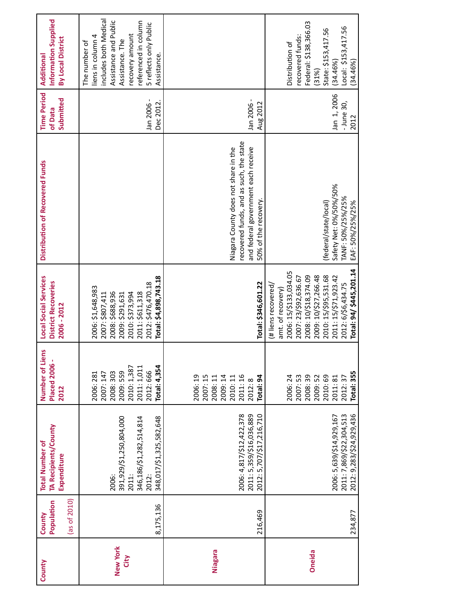| County                  | (as of $2010$ )<br>Population<br>County | TA Recipients/County<br><b>Total Number of</b><br>Expenditure                                                | Number of Liens<br><b>Placed 2006 -</b><br>2012                                                            | <b>Local Social Services</b><br><b>District Recoveries</b><br>2006 - 2012                                                                                                                                                                  | Distribution of Recovered Funds                                                                                                                | <b>Time Period</b><br>Submitted<br>of Data | Information Supplied<br>By Local District<br>Additional                                                                                                                                     |
|-------------------------|-----------------------------------------|--------------------------------------------------------------------------------------------------------------|------------------------------------------------------------------------------------------------------------|--------------------------------------------------------------------------------------------------------------------------------------------------------------------------------------------------------------------------------------------|------------------------------------------------------------------------------------------------------------------------------------------------|--------------------------------------------|---------------------------------------------------------------------------------------------------------------------------------------------------------------------------------------------|
| <b>New York</b><br>City | 8,175,136                               | 391,929/\$1,250,804,000<br>346,186/\$1,282,514,814<br>348, 017/\$1, 325, 582, 648<br>2011:<br>2012:<br>2006: | Total: 4,354<br>2010: 1,387<br>2011: 1,011<br>2012:666<br>2009: 559<br>2008: 303<br>2007: 147<br>2006: 281 | Total: \$4,898,743.18<br>2012: \$476,470.18<br>2006: \$1,648,983<br>2011: \$611,318<br>2007: \$807,411<br>2008: \$688,936<br>2010: \$373,994<br>2009: \$291,631                                                                            |                                                                                                                                                | Jan 2006 -<br>Dec 2012.                    | includes both Medical<br>Assistance and Public<br>referenced in column<br>5 reflects only Public<br>recovery amount<br>liens in column 4<br>Assistance. The<br>The number of<br>Assistance. |
| Niagara                 | 216,469                                 | 2006: 4,817/\$12,422,378<br>2011: 5,359/\$16,036,889<br>2012: 5,707/\$17,216,710                             | 2011:16<br>2006:19<br>2007:15<br>2009:14<br>2010:11<br>2008:11<br>S,<br>2012:8<br>Total:                   | Total: \$346,601.22                                                                                                                                                                                                                        | recovered funds, and as such, the state<br>and federal government each receive<br>Niagara County does not share in the<br>50% of the recovery. | Jan 2006 -<br>Aug 2012                     |                                                                                                                                                                                             |
| <b>Oneida</b>           | 234,877                                 | 2011: 7,869/\$22,304,513<br>2012: 9,283/\$24,929,436<br>2006: 5,639/\$14,929,167                             | Total: 355<br>2006:24<br>2007:53<br>2008:39<br>2009:52<br>2010:69<br>2011:81<br>2012:37                    | Total: 94/ \$445,201.14<br>2006: 15/\$133,034.05<br>2008: 10/\$18,374.09<br>2009: 10/\$27,266.48<br>2010: 15/\$95,531.68<br>2011: 15/\$71,923.42<br>2007: 23/\$92,636.67<br>2012: 6/\$6,434.75<br>(# liens recovered,<br>amt. of recovery) | Safety Net: 0%/50%/50%<br>TANF: 50%/25%/25%<br>EAF: 50%/25%/25%<br>(federal/state/local)                                                       | Jan 1, 2006<br>$-$ June 30,<br>2012        | Federal: \$138,366.03<br>Local: \$153,417.56<br>State: \$153,417.56<br>recovered funds:<br>Distribution of<br>(34.46%)<br>(34.46%)<br>(31%)                                                 |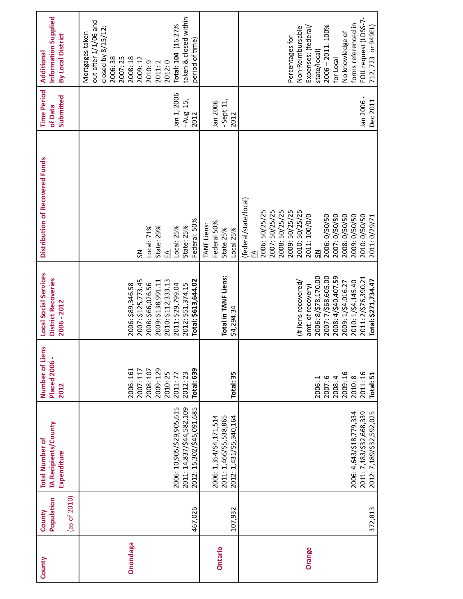| County         | (as of 2010)<br>Population<br>County | TA Recipients/County<br><b>Total Number of</b><br>Expenditure                       | Number of Liens<br><b>Placed 2006 -</b><br>2012                                                 | Local Social Services<br><b>District Recoveries</b><br>2006 - 2012                                                                                                                                      | Distribution of Recovered Funds                                                                                                                                                                                                                                        | <b>Time Period</b><br>Submitted<br>of Data | Information Supplied<br>By Local District<br>Additional                                                                                                                                                   |
|----------------|--------------------------------------|-------------------------------------------------------------------------------------|-------------------------------------------------------------------------------------------------|---------------------------------------------------------------------------------------------------------------------------------------------------------------------------------------------------------|------------------------------------------------------------------------------------------------------------------------------------------------------------------------------------------------------------------------------------------------------------------------|--------------------------------------------|-----------------------------------------------------------------------------------------------------------------------------------------------------------------------------------------------------------|
| Onondaga       | 467,026                              | 2011: 14,837/\$44,582,109<br>2012: 15,302/\$45,091,685<br>2006: 10,905/\$29,905,615 | 2009: 129<br>Total: 639<br>2008: 107<br>2006: 161<br>2007: 117<br>2010:25<br>2012:23<br>2011:77 | 2007: \$125,773.45<br>Total: \$613,644.02<br>2010: \$112,333.13<br>2009: \$138,991.11<br>2008: \$66,026.56<br>2012: \$51,374.15<br>2011: \$29,799.04<br>2006: \$89,346.58                               | Federal: 50%<br>State: 25%<br>State: 29%<br>Local: 25%<br>Local: 71%<br>£<br>ક્ર                                                                                                                                                                                       | Jan 1, 2006<br>15,<br>- Aug<br>2012        | taken & closed within<br>out after 1/1/06 and<br>Total: 104 (16.27%<br>closed by 8/15/12:<br>Mortgages taken<br>period of time<br>2008:18<br>2007:25<br>2006:38<br>2009: 12<br>2010:9<br>2012:0<br>2011:2 |
| <b>Ontario</b> | 107,932                              | 2006: 1,354/\$4,171,514<br>2011: 1,466/\$5,538,865<br>2012: 1,431/\$5,340,164       | Total: 35                                                                                       | Total in TANF Liens:<br>\$4,294.34                                                                                                                                                                      | Federal 50%<br>TANF Liens:<br>State 25%<br>Local 25%                                                                                                                                                                                                                   | $-$ Sept 11,<br>Jan 2006<br>2012           |                                                                                                                                                                                                           |
| Orange         | 372,813                              | 2011: 7,183/\$32,668,339<br>2006: 4,643/\$18,779,334<br>2012: 7,189/\$32,592,025    | 2009:16<br>2011:16<br>Total: 51<br>2010:8<br>2007:6<br>2008: 4<br>2006:1                        | 2006: 8/\$78,170.00<br>2007: 7/\$68,605.00<br>2008: 4/\$40,407.59<br>2011: 2/\$76,390.21<br>Total: \$271,734.47<br>2010: 1/\$4,145.40<br>2009: 1/\$4,016.27<br>(# liens recovered/<br>amt. of recovery) | (federal/state/local)<br>2007: 50/25/25<br>2008: 50/25/25<br>2009: 50/25/25<br>2010: 50/25/25<br>2006: 50/25/25<br>2006: 0/50/50<br>2007: 0/50/50<br>2008: 0/50/50<br>2009: 0/50/50<br>2010: 0/50/50<br>2011: 100/0/0<br>2011: 0/29/71<br>$\overline{\mathsf{S}}$<br>£ | Jan 2006<br>Dec 2011                       | FOIL request (LDSS-7-<br>forms referenced in<br>2006-2011: 100%<br>712, 723 or 949EL)<br>Expenses: (federal/<br>Non-Reimbursable<br>No knowledge of<br>Percentages for<br>state/local)<br>for Local       |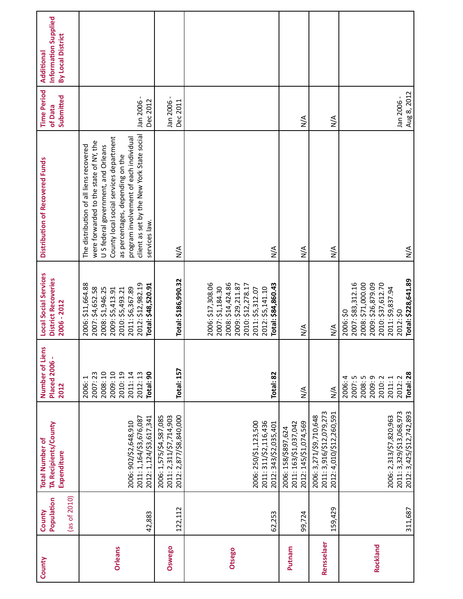| County        | (as of 2010)<br>Population<br>County | TA Recipients/County<br><b>Total Number of</b><br>Expenditure                   | Number of Liens<br><b>Placed 2006 -</b><br>2012                                           | <b>Local Social Services</b><br><b>District Recoveries</b><br>2006 - 2012                                                                                          | Distribution of Recovered Funds                                                                                                                                                                                                                                                                                 | <b>Time Period</b><br>Submitted<br>of Data | Information Supplied<br>By Local District<br>Additional |
|---------------|--------------------------------------|---------------------------------------------------------------------------------|-------------------------------------------------------------------------------------------|--------------------------------------------------------------------------------------------------------------------------------------------------------------------|-----------------------------------------------------------------------------------------------------------------------------------------------------------------------------------------------------------------------------------------------------------------------------------------------------------------|--------------------------------------------|---------------------------------------------------------|
| Orleans       | 42,883                               | 2011: 1,164/\$3,676,087<br>2012: 1,124/\$3,617,341<br>2006: 902/\$2,648,910     | 2009:10<br>2008:10<br>2010:19<br>2011:14<br>Total: 90<br>2012:13<br>2007:23<br>H<br>2006: | 2012: \$12,982.19<br>2006: \$11,664.88<br>Total: \$48,520.91<br>2011: \$6,367.89<br>2007: \$4,652.58<br>2008: \$1,946.25<br>2009: \$5,413.91<br>2010: \$5,493.21   | client as set by the New York State social<br>County local social services department<br>program involvement of each individual<br>were forwarded to the state of NY, the<br>The distribution of all liens recovered<br>US federal government, and Orleans<br>as percentages, depending on the<br>services law. | Jan 2006 -<br>Dec 2012                     |                                                         |
| <b>Oswego</b> | 122,112                              | 2012: 2,877/\$8,840,000<br>2011: 2,311/\$7,714,903<br>2006: 1,575/\$4,587,085   | Total: 157                                                                                | Total: \$186,990.32                                                                                                                                                | $\sum_{i=1}^{n}$                                                                                                                                                                                                                                                                                                | Jan 2006 -<br>Dec 2011                     |                                                         |
| <b>Otsego</b> | 62,253                               | 2006: 250/\$1,123,500<br>2011: 311/\$2,116,436<br>2012: 343/\$2,035,401         | Total: 82                                                                                 | 2006: \$17,308.06<br>2008: \$14,424.86<br>Total: \$84,860.43<br>2009: \$29,211.87<br>2010: \$12,278.17<br>2007: \$1,184.30<br>2012: \$5,141.10<br>2011: \$5,312.07 | $\sum_{i=1}^{n}$                                                                                                                                                                                                                                                                                                |                                            |                                                         |
| Putnam        | 99,724                               | 2012: 145/\$1,074,569<br>2011: 163/\$1,037,042<br>2006: 158/\$897,624           | $\frac{4}{2}$                                                                             | ∕∖<br>M                                                                                                                                                            | $\sum_{i=1}^{n}$                                                                                                                                                                                                                                                                                                | $\sum_{i=1}^{n}$                           |                                                         |
| Rensselaer    | 159,429                              | 2011: 3,916/\$12,079,273<br>2012: 4,010/\$12,260,591<br>2006: 3,271/\$9,710,648 | $\sum_{i=1}^{n}$                                                                          | $\sum_{i=1}^{n}$                                                                                                                                                   | $\sum_{i=1}^{n}$                                                                                                                                                                                                                                                                                                | $\sum_{i=1}^{n}$                           |                                                         |
| Rockland      | 311,687                              | 2011: 3,329/\$13,068,973<br>2012: 3,425/\$12,742,893<br>2006: 2,313/\$7,820,963 | Total: 28<br>2007:5<br>2008:5<br>2009:9<br>2006: 4<br>2010:2<br>2012:2<br>2011:1          | Total: \$228,641.89<br>2007: \$83,312.16<br>2008: \$71,000.00<br>2009: \$26,879.09<br>2010: \$37,612.70<br>2011: \$9,837.94<br>2006: \$0<br>2012:50                | $\sum_{i=1}^{n}$                                                                                                                                                                                                                                                                                                | Aug 8, 2012<br>Jan 2006-                   |                                                         |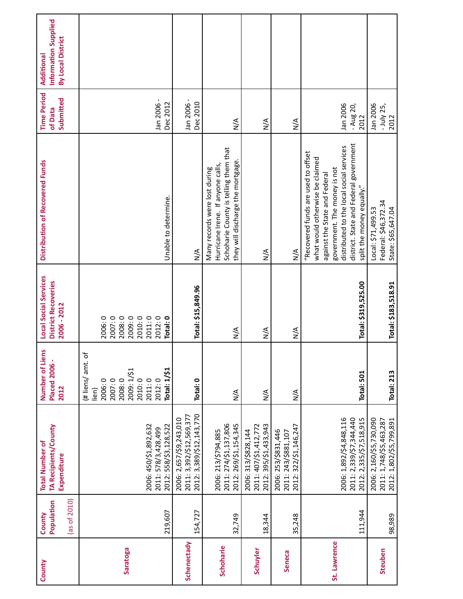| County       | $(\text{as of } 2010)$<br>Population<br>County | TA Recipients/County<br><b>Total Number of</b><br>Expenditure                   | Number of Liens<br><b>Placed 2006 -</b><br>2012                                                                       | <b>Local Social Services</b><br>District Recoveries<br>2006 - 2012             | Distribution of Recovered Funds                                                                                                                                                                                                                            | <b>Time Period</b><br>Submitted<br>of Data | Information Supplied<br>By Local District<br>Additional |
|--------------|------------------------------------------------|---------------------------------------------------------------------------------|-----------------------------------------------------------------------------------------------------------------------|--------------------------------------------------------------------------------|------------------------------------------------------------------------------------------------------------------------------------------------------------------------------------------------------------------------------------------------------------|--------------------------------------------|---------------------------------------------------------|
| Saratoga     | 219,607                                        | 2006: 450/\$1,892,632<br>2012: 558/\$3,128,522<br>2011: 578/3,428,499           | (# liens/ amt. of<br>2009: 1/\$1<br>Total: 1/\$1<br>2007:0<br>2008:0<br>2010:0<br>2006:0<br>2011:0<br>2012:0<br>lien) | 2007:0<br>2008:0<br>2009:0<br>2010:0<br>2011:0<br>2006:0<br>2012:0<br>Total: 0 | Unable to determine.                                                                                                                                                                                                                                       | Jan 2006 -<br>Dec 2012                     |                                                         |
| Schenectady  | 154,727                                        | 2012: 3,389/\$12,143,770<br>2011: 3,392/\$12,569,377<br>2006: 2,657/\$9,243,010 | Total: 0                                                                                                              | Total: \$15,849.96                                                             | $\frac{4}{2}$                                                                                                                                                                                                                                              | Jan 2006 -<br>Dec 2010                     |                                                         |
| Schoharie    | 32,749                                         | 2011: 274/\$1,137,806<br>2012: 269/\$1,154,345<br>2006: 213/\$794,885           | $\sum_{i=1}^{n}$                                                                                                      | $\sum_{i=1}^{n}$                                                               | Schoharie County is telling them that<br>they will discharge the mortgage.<br>Hurricane Irene. If anyone calls,<br>Many records were lost during                                                                                                           | $\frac{4}{2}$                              |                                                         |
| Schuyler     | 18,344                                         | 2012: 395/\$1,433,943<br>2011: 407/\$1,412,772<br>2006: 313/\$828,144           | $\sum_{i=1}^{n}$                                                                                                      | $\frac{4}{2}$                                                                  | $\frac{4}{2}$                                                                                                                                                                                                                                              | $\frac{4}{2}$                              |                                                         |
| Seneca       | 35,248                                         | 2012: 322/\$1,146,247<br>2006: 253/\$831,446<br>2011: 243/\$881,107             | $\sum_{i=1}^{n}$                                                                                                      | $\sum_{i=1}^{n}$                                                               | $\frac{4}{2}$                                                                                                                                                                                                                                              | $\frac{4}{2}$                              |                                                         |
| St. Lawrence | 111,944                                        | 2006: 1,892/\$4,848,116<br>2011: 2,339/\$7,344,440<br>2012: 2,335/\$7,518,915   | Total: 501                                                                                                            | Total: \$319,525.00                                                            | district. State and Federal government<br>distributed to the local social services<br>"Recovered funds are used to offset<br>what would otherwise be claimed<br>government. The money is not<br>against the State and Federal<br>split the money equally." | Jan 2006<br>- Aug 20,<br>2012              |                                                         |
| Steuben      | 98,989                                         | 2006: 2,160/\$5,730,090<br>2011: 1,748/\$5,463,287<br>2012: 1,802/\$5,799,891   | <b>Total: 213</b>                                                                                                     | Total: \$183,518.91                                                            | Federal: \$46,372.34<br>Local: \$71,499.53<br>State: \$65,647.04                                                                                                                                                                                           | Jan 2006<br>$-$ July 25,<br>2012           |                                                         |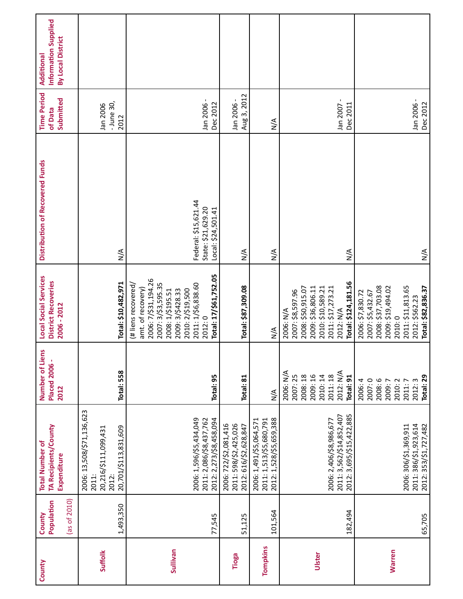| County        | (as of 2010)<br>Population<br>County | TA Recipients/County<br><b>Total Number of</b><br>Expenditure                               | Number of Liens<br><b>Placed 2006 -</b><br>2012                                            | <b>Local Social Services</b><br><b>District Recoveries</b><br>2006 - 2012                                                                                                                                  | Distribution of Recovered Funds                                  | <b>Time Period</b><br>Submitted<br>of Data | Information Supplied<br>By Local District<br>Additional |
|---------------|--------------------------------------|---------------------------------------------------------------------------------------------|--------------------------------------------------------------------------------------------|------------------------------------------------------------------------------------------------------------------------------------------------------------------------------------------------------------|------------------------------------------------------------------|--------------------------------------------|---------------------------------------------------------|
| Suffolk       | 1,493,350                            | 2006: 13,508/\$71,136,623<br>20,701/\$113,831,609<br>20,216/\$111,099,431<br>2011:<br>2012: | Total: 558                                                                                 | Total: \$10,482,971                                                                                                                                                                                        | $\frac{4}{2}$                                                    | - June 30,<br>Jan 2006<br>2012             |                                                         |
| Sullivan      | 77,545                               | 2006: 1,596/\$5,434,049<br>2012: 2,273/\$8,458,094<br>2011: 2,086/\$8,437,762               | Total: 95                                                                                  | Total: 17/\$61,752.05<br>2006: 7/\$31,194.26<br>2007: 3/\$3,595.35<br>2011: 1/\$6,838.60<br>(# liens recovered)<br>amt. of recovery)<br>2009: 3/\$428.33<br>2010: 2/\$19,500<br>2008: 1/\$195.51<br>2012:0 | Federal: \$15,621.44<br>State: \$21,629.20<br>Local: \$24,501.41 | Jan 2006 -<br>Dec 2012                     |                                                         |
| Tioga         | 51,125                               | 2006: 722/\$2,081,416<br>2011: 598/\$2,425,026<br>2012: 616/\$2,628,847                     | Total: 81                                                                                  | Total: \$87,309.08                                                                                                                                                                                         | $\sum_{i=1}^{n}$                                                 | Aug 3, 2012<br>Jan 2006 -                  |                                                         |
| Tompkins      | 101,564                              | 2012: 1,528/\$5,659,388<br>2011: 1,513/\$5,680,791<br>2006: 1,491/\$5,064,571               | $\sum_{i=1}^{n}$                                                                           | $\frac{4}{2}$                                                                                                                                                                                              | $\sum_{i=1}^{n}$                                                 | $\sum_{i=1}^{n}$                           |                                                         |
| Ulster        | 182,494                              | 2012: 3,695/\$15,422,885<br>2011: 3,562/\$14,852,407<br>2006: 2,406/\$8,986,677             | 2006: N/A<br>2012: N/A<br>2007:25<br>2009:16<br>2008:18<br>2011:18<br>2010:14<br>Total: 91 | Total: \$124,181.56<br>2009: \$36,806.11<br>2010: \$10,589.21<br>2008: \$50,915.07<br>2011: \$17,273.21<br>2007: \$8,597.96<br>2012: N/A<br>2006: N/A                                                      | $\frac{4}{2}$                                                    | Jan 2007 -<br>Dec 2011                     |                                                         |
| <b>Warren</b> | 65,705                               | 2011: 386/\$1,923,614<br>2006: 306/\$1,369,911<br>2012: 353/\$1,727,482                     | Total: 29<br>2008:6<br>2007:0<br>2009:7<br>2010:2<br>2006: 4<br>2011:7<br>2012:3           | 2008: \$37,703.08<br>2009: \$19,494.02<br>2011: \$11,813.65<br>Total: \$82,836.37<br>2006: \$7,830.72<br>2007: \$5,432.67<br>2012: \$562.23<br>2010:0                                                      | $\frac{4}{2}$                                                    | Jan 2006 -<br>Dec 2012                     |                                                         |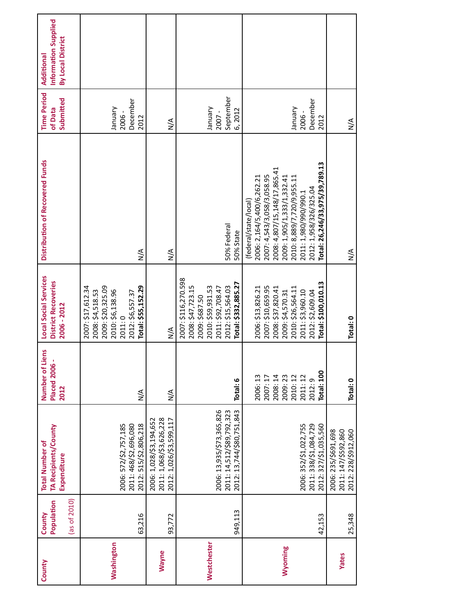| County            | Population<br>$(\text{as of } 2010)$<br>County | TA Recipients/County<br><b>Total Number of</b><br>Expenditure                       | Number of Liens<br><b>Placed 2006 -</b><br>2012                                               | <b>Local Social Services</b><br><b>District Recoveries</b><br>2006 - 2012                                                                                           | Distribution of Recovered Funds                                                                                                                                                                                                                                    | <b>Time Period</b><br>Submitted<br>of Data | Information Supplied<br>By Local District<br>Additional |  |
|-------------------|------------------------------------------------|-------------------------------------------------------------------------------------|-----------------------------------------------------------------------------------------------|---------------------------------------------------------------------------------------------------------------------------------------------------------------------|--------------------------------------------------------------------------------------------------------------------------------------------------------------------------------------------------------------------------------------------------------------------|--------------------------------------------|---------------------------------------------------------|--|
| <b>Washington</b> | 63,216                                         | 2012: 515/\$2,806,218<br>2006: 572/\$2,757,185<br>2011: 468/\$2,696,080             | $\frac{4}{2}$                                                                                 | 2009: \$20,325.09<br>Total: \$55,152.29<br>2007: \$17,612.34<br>2010: \$6,138.96<br>2008: \$4,518.53<br>2012: \$6,557.37<br>2011:0                                  | $\frac{4}{2}$                                                                                                                                                                                                                                                      | December<br>Vienuer<br>2006-<br>2012       |                                                         |  |
| Wayne             | 93,772                                         | 2012: 1,026/\$3,599,117<br>2006: 1,028/\$3,194,652<br>2011: 1,068/\$3,626,228       | $\frac{4}{2}$                                                                                 | $\frac{1}{2}$                                                                                                                                                       | $\frac{4}{2}$                                                                                                                                                                                                                                                      | $\frac{4}{2}$                              |                                                         |  |
| Westchester       | 949,113                                        | 2006: 13,935/\$73,365,826<br>2012: 13,744/\$80,751,843<br>2011: 14,512/\$89,792,323 | Total: 6                                                                                      | 2007: \$116,270.598<br>Total: \$332,885.27<br>2008: \$47,723.15<br>2010: \$59,931.53<br>2012: \$15,564.03<br>2011: \$92,708.47<br>2009: \$687.50                    | 50% Federal<br>50% State                                                                                                                                                                                                                                           | September<br>Vienuel<br>6,2012<br>2007 -   |                                                         |  |
| Wyoming           | 42,153                                         | 2006: 352/\$1,022,755<br>2012: 327/\$1,035,560<br>2011: 338/\$1,084,729             | <b>Total: 100</b><br>2008:14<br>2009:23<br>2010:12<br>2011:12<br>2006:13<br>2007:17<br>2012:9 | Total: \$100,010.13<br>2007: \$10,659.95<br>2006: \$13,826.21<br>2008: \$37,820.41<br>2010: \$26,564.11<br>2011: \$3,960.10<br>2009: \$4,570.31<br>2012: \$2,609.04 | Total: 26,246/33,975/39,789.13<br>2008: 4,807/15,148/17,865.41<br>2007: 4,543/3,058/3,058.95<br>2009: 1,905/1,333/1,332.41<br>2006: 2,164/5,400/6,262.21<br>2010: 8,889/7,720/9,955.11<br>2012: 1,958/326/325.04<br>2011: 1,980/990/990.1<br>(federal/state/local) | December<br>Vienuel<br>2006-<br>2012       |                                                         |  |
| <b>Yates</b>      | 25,348                                         | 2011: 147/\$592,860<br>2012: 228/\$912,060<br>2006: 235/\$691,698                   | Total: 0                                                                                      | Total: 0                                                                                                                                                            | $\frac{4}{2}$                                                                                                                                                                                                                                                      | $\frac{4}{2}$                              |                                                         |  |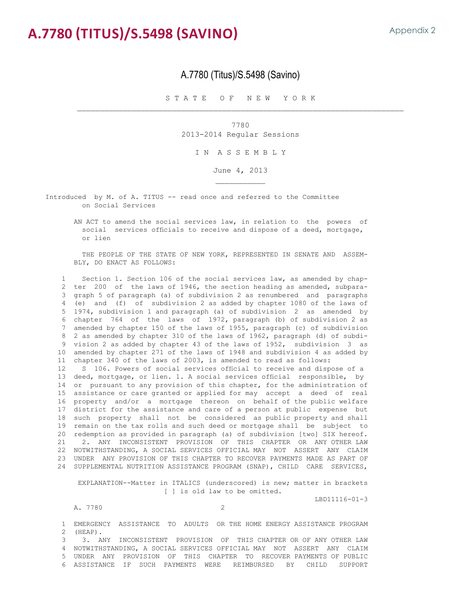# **A.7780 (Titus)/S.5498 (Savino)**

#### A.7780 (Titus)/S.5498 (Savino)

S T A T E O F N E W Y O R K

 $\_$  ,  $\_$  ,  $\_$  ,  $\_$  ,  $\_$  ,  $\_$  ,  $\_$  ,  $\_$  ,  $\_$  ,  $\_$  ,  $\_$  ,  $\_$  ,  $\_$  ,  $\_$  ,  $\_$  ,  $\_$  ,  $\_$  ,  $\_$  ,  $\_$  ,  $\_$  ,  $\_$  ,  $\_$  ,  $\_$  ,  $\_$  ,  $\_$  ,  $\_$  ,  $\_$  ,  $\_$  ,  $\_$  ,  $\_$  ,  $\_$  ,  $\_$  ,  $\_$  ,  $\_$  ,  $\_$  ,  $\_$  ,  $\_$  ,

7780 2013-2014 Regular Sessions

I N A S S E M B L Y

June 4, 2013 \_\_\_\_\_\_\_\_\_\_\_

Introduced by M. of A. TITUS -- read once and referred to the Committee on Social Services

 AN ACT to amend the social services law, in relation to the powers of social services officials to receive and dispose of a deed, mortgage, or lien

 THE PEOPLE OF THE STATE OF NEW YORK, REPRESENTED IN SENATE AND ASSEM- BLY, DO ENACT AS FOLLOWS:

 1 Section 1. Section 106 of the social services law, as amended by chap- 2 ter 200 of the laws of 1946, the section heading as amended, subpara-<br>3 graph 5 of paragraph (a) of subdivision 2 as renumbered and paragraphs graph 5 of paragraph (a) of subdivision 2 as renumbered and paragraphs 4 (e) and (f) of subdivision 2 as added by chapter 1080 of the laws of 1974, subdivision 1 and paragraph (a) of subdivision 2 as amended by 5 1974, subdivision 1 and paragraph (a) of subdivision 2 as amended by 6 chapter 764 of the laws of 1972, paragraph (b) of subdivision 2 as amended by chapter 150 of the laws of 1955, paragraph (c) of subdivision 8 2 as amended by chapter 310 of the laws of 1962, paragraph (d) of subdi- 9 vision 2 as added by chapter 43 of the laws of 1952, subdivision 3 as 10 amended by chapter 271 of the laws of 1948 and subdivision 4 as added by 11 chapter 340 of the laws of 2003, is amended to read as follows: 12 S 106. Powers of social services official to receive and dispose of a 13 deed, mortgage, or lien. 1. A social services official responsible, by 14 or pursuant to any provision of this chapter, for the administration of 15 assistance or care granted or applied for may accept a deed of real 16 property and/or a mortgage thereon on behalf of the public welfare 17 district for the assistance and care of a person at public expense but 18 such property shall not be considered as public property and shall 19 remain on the tax rolls and such deed or mortgage shall be subject to 20 redemption as provided in paragraph (a) of subdivision [two] SIX hereof.<br>21 - 2. ANY INCONSISTENT PROVISION OF THIS CHAPTER OR ANY OTHER LAW 2. ANY INCONSISTENT PROVISION OF THIS CHAPTER OR ANY OTHER LAW 22 NOTWITHSTANDING, A SOCIAL SERVICES OFFICIAL MAY NOT ASSERT ANY CLAIM 23 UNDER ANY PROVISION OF THIS CHAPTER TO RECOVER PAYMENTS MADE AS PART OF 24 SUPPLEMENTAL NUTRITION ASSISTANCE PROGRAM (SNAP), CHILD CARE SERVICES,

 EXPLANATION--Matter in ITALICS (underscored) is new; matter in brackets [ ] is old law to be omitted.

LBD11116-01-3

A. 7780

1 EMERGENCY ASSISTANCE TO ADULTS OR THE HOME ENERGY ASSISTANCE PROGRAM 2 (HEAP). 2 (HEAP).<br>3 3. Al

 3 3. ANY INCONSISTENT PROVISION OF THIS CHAPTER OR OF ANY OTHER LAW 4 NOTWITHSTANDING, A SOCIAL SERVICES OFFICIAL MAY NOT ASSERT ANY CLAIM 5 UNDER ANY PROVISION OF THIS CHAPTER TO RECOVER PAYMENTS OF PUBLIC 6 ASSISTANCE IF SUCH PAYMENTS WERE REIMBURSED BY CHILD SUPPORT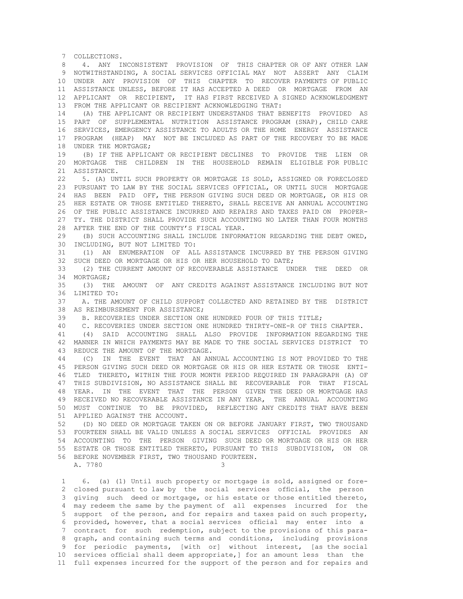7 COLLECTIONS.<br>8 4. ANY T 8 4. ANY INCONSISTENT PROVISION OF THIS CHAPTER OR OF ANY OTHER LAW 9 NOTWITHSTANDING, A SOCIAL SERVICES OFFICIAL MAY NOT ASSERT ANY CLAIM 10 UNDER ANY PROVISION OF THIS CHAPTER TO RECOVER PAYMENTS OF PUBLIC 11 ASSISTANCE UNLESS, BEFORE IT HAS ACCEPTED A DEED OR MORTGAGE FROM AN 12 APPLICANT OR RECIPIENT, IT HAS FIRST RECEIVED A SIGNED ACKNOWLEDGMENT 13 FROM THE APPLICANT OR RECIPIENT ACKNOWLEDGING THAT: 14 (A) THE APPLICANT OR RECIPIENT UNDERSTANDS THAT BENEFITS PROVIDED AS 15 PART OF SUPPLEMENTAL NUTRITION ASSISTANCE PROGRAM (SNAP), CHILD CARE 16 SERVICES, EMERGENCY ASSISTANCE TO ADULTS OR THE HOME ENERGY ASSISTANCE 17 PROGRAM (HEAP) MAY NOT BE INCLUDED AS PART OF THE RECOVERY TO BE MADE 18 UNDER THE MORTGAGE;<br>19 (B) IF THE APPLIC 19 (B) IF THE APPLICANT OR RECIPIENT DECLINES TO PROVIDE THE LIEN OR 20 MORTGAGE THE CHILDREN IN THE HOUSEHOLD REMAIN ELIGIBLE FOR PUBLIC 21 ASSISTANCE.<br>22 5. (A) UNT 22 5. (A) UNTIL SUCH PROPERTY OR MORTGAGE IS SOLD, ASSIGNED OR FORECLOSED 23 PURSUANT TO LAW BY THE SOCIAL SERVICES OFFICIAL, OR UNTIL SUCH MORTGAGE 24 HAS BEEN PAID OFF, THE PERSON GIVING SUCH DEED OR MORTGAGE, OR HIS OR 25 HER ESTATE OR THOSE ENTITLED THERETO, SHALL RECEIVE AN ANNUAL ACCOUNTING<br>26 OF THE PUBLIC ASSISTANCE INCURRED AND REPAIRS AND TAXES PAID ON PROPER-26 OF THE PUBLIC ASSISTANCE INCURRED AND REPAIRS AND TAXES PAID ON PROPER-<br>27 TY THE DISTRICT SHALL PROVIDE SUCH ACCOUNTING NO LATER THAN FOUR MONTHS 27 TY. THE DISTRICT SHALL PROVIDE SUCH ACCOUNTING NO LATER THAN FOUR MONTHS 28 AFTER THE END OF THE COUNTY'S FISCAL YEAR.<br>29 (B) SUCH ACCOUNTING SHALL INCLUDE INFORM 29 (B) SUCH ACCOUNTING SHALL INCLUDE INFORMATION REGARDING THE DEBT OWED, 30 INCLUDING, BUT NOT LIMITED TO:<br>31 (1) AN ENUMERATION OF AL 31 (1) AN ENUMERATION OF ALL ASSISTANCE INCURRED BY THE PERSON GIVING 32 SUCH DEED OR MORTGAGE OR HIS OR HER HOUSEHOLD TO DATE;<br>33 (2) THE CURRENT AMOUNT OF RECOVERABLE ASSISTANCE UN (2) THE CURRENT AMOUNT OF RECOVERABLE ASSISTANCE UNDER THE DEED OR 34 MORTGAGE; 35 (3) THE AMOUNT OF ANY CREDITS AGAINST ASSISTANCE INCLUDING BUT NOT 36 LIMITED TO:<br>37 A. THE AMO 37 A. THE AMOUNT OF CHILD SUPPORT COLLECTED AND RETAINED BY THE DISTRICT 38 AS REIMBURSEMENT FOR ASSISTANCE;<br>39 B. RECOVERTES UNDER SECTION ONE B. RECOVERIES UNDER SECTION ONE HUNDRED FOUR OF THIS TITLE; 40 C. RECOVERIES UNDER SECTION ONE HUNDRED THIRTY-ONE-R OF THIS CHAPTER.<br>41 (4) SAID ACCOUNTING SHALL ALSO PROVIDE INFORMATION REGARDING TH 41 (4) SAID ACCOUNTING SHALL ALSO PROVIDE INFORMATION REGARDING THE 42 MANNER IN WHICH PAYMENTS MAY BE MADE TO THE SOCIAL SERVICES DISTRICT TO 43 REDUCE THE AMOUNT OF THE MORTGAGE. 44 (C) IN THE EVENT THAT AN ANNUAL ACCOUNTING IS NOT PROVIDED TO THE 45 PERSON GIVING SUCH DEED OR MORTGAGE OR HIS OR HER ESTATE OR THOSE ENTI- 46 TLED THERETO, WITHIN THE FOUR MONTH PERIOD REQUIRED IN PARAGRAPH (A) OF<br>47 THIS SUBDIVISION, NO ASSISTANCE SHALL BE RECOVERABLE FOR THAT FISCAL 47 THIS SUBDIVISION, NO ASSISTANCE SHALL BE RECOVERABLE FOR THAT FISCAL 48 YEAR. IN THE EVENT THAT THE PERSON GIVEN THE DEED OR MORTGAGE HAS 49 RECEIVED NO RECOVERABLE ASSISTANCE IN ANY YEAR, THE ANNUAL ACCOUNTING 50 MUST CONTINUE TO BE PROVIDED, REFLECTING ANY CREDITS THAT HAVE BEEN 51 APPLIED AGAINST THE ACCOUNT.<br>52 (D) NO DEED OR MORTGAGE TA 52 (D) NO DEED OR MORTGAGE TAKEN ON OR BEFORE JANUARY FIRST, TWO THOUSAND 53 FOURTEEN SHALL BE VALID UNLESS A SOCIAL SERVICES OFFICIAL PROVIDES AN 54 ACCOUNTING TO THE PERSON GIVING SUCH DEED OR MORTGAGE OR HIS OR HER 55 ESTATE OR THOSE ENTITLED THERETO, PURSUANT TO THIS SUBDIVISION, ON OR 56 BEFORE NOVEMBER FIRST, TWO THOUSAND FOURTEEN. A. 7780 3 1 6. (a) (1) Until such property or mortgage is sold, assigned or fore-

2 closed pursuant to law by the social services official, the person<br>3 giving such deed or mortgage, or his estate or those entitled thereto. giving such deed or mortgage, or his estate or those entitled thereto, 4 may redeem the same by the payment of all expenses incurred for the 5 support of the person, and for repairs and taxes paid on such property, 6 provided, however, that a social services official may enter into a 7 contract for such redemption, subject to the provisions of this para- 8 graph, and containing such terms and conditions, including provisions 9 for periodic payments, [with or] without interest, [as the social 10 services official shall deem appropriate,] for an amount less than the 11 full expenses incurred for the support of the person and for repairs and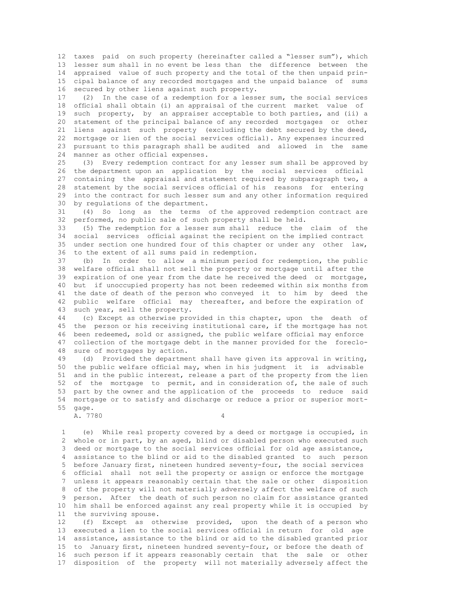12 taxes paid on such property (hereinafter called a "lesser sum"), which 13 lesser sum shall in no event be less than the difference between the 14 appraised value of such property and the total of the then unpaid prin- 15 cipal balance of any recorded mortgages and the unpaid balance of sums 16 secured by other liens against such property.<br>17 (2) In the case of a redemption for a less

(2) In the case of a redemption for a lesser sum, the social services 18 official shall obtain (i) an appraisal of the current market value of 19 such property, by an appraiser acceptable to both parties, and (ii) a 20 statement of the principal balance of any recorded mortgages or other 21 liens against such property (excluding the debt secured by the deed, 22 mortgage or lien of the social services official). Any expenses incurred 23 pursuant to this paragraph shall be audited and allowed in the same 24 manner as other official expenses.<br>25 (3) Every redemption contract

 25 (3) Every redemption contract for any lesser sum shall be approved by 26 the department upon an application by the social services official<br>27 containing the appraisal and statement required by subparagraph two, a 27 containing the appraisal and statement required by subparagraph two, a<br>28 statement by the social services official of his reasons for entering 28 statement by the social services official of his reasons for entering<br>29 into the contract for such lesser sum and any other information required 29 into the contract for such lesser sum and any other information required 30 by required 30 by regulations of the department.<br>31 (4) So long as the terms

31 (4) So long as the terms of the approved redemption contract are<br>32 performed, no public sale of such property shall be held. 32 performed, no public sale of such property shall be held.<br>33 (5) The redemotion for a lesser sum shall reduce the

 33 (5) The redemption for a lesser sum shall reduce the claim of the 34 social services official against the recipient on the implied contract 35 under section one hundred four of this chapter or under any other law, 36 to the extent of all sums paid in redemption.<br>37 (b) In order to allow a minimum period

(b) In order to allow a minimum period for redemption, the public 38 welfare official shall not sell the property or mortgage until after the 39 expiration of one year from the date he received the deed or mortgage, 40 but if unoccupied property has not been redeemed within six months from 41 the date of death of the person who conveyed it to him by deed the 42 public welfare official may thereafter, and before the expiration of 43 such year, sell the property.<br>44 (c) Except as otherwise prop

 44 (c) Except as otherwise provided in this chapter, upon the death of 45 the person or his receiving institutional care, if the mortgage has not 46 been redeemed, sold or assigned, the public welfare official may enforce<br>47 collection of the mortgage debt in the manner provided for the foreclocollection of the mortgage debt in the manner provided for the foreclo-48 sure of mortgages by action.<br>49 (d) Provided the departme

(d) Provided the department shall have given its approval in writing, 50 the public welfare official may, when in his judgment it is advisable 51 and in the public interest, release a part of the property from the lien 52 of the mortgage to permit, and in consideration of, the sale of such 53 part by the owner and the application of the proceeds to reduce said 54 mortgage or to satisfy and discharge or reduce a prior or superior mort- 55 gage.

A. 7780 4

 1 (e) While real property covered by a deed or mortgage is occupied, in whole or in part, by an aged, blind or disabled person who executed such 3 deed or mortgage to the social services official for old age assistance, 4 assistance to the blind or aid to the disabled granted to such person 5 before January first, nineteen hundred seventy-four, the social services 6 official shall not sell the property or assign or enforce the mortgage<br>7 unless it appears reasonably certain that the sale or other disposition unless it appears reasonably certain that the sale or other disposition 8 of the property will not materially adversely affect the welfare of such<br>9 person. After the death of such person no claim for assistance granted person. After the death of such person no claim for assistance granted 10 him shall be enforced against any real property while it is occupied by 11 the surviving spouse.

 12 (f) Except as otherwise provided, upon the death of a person who 13 executed a lien to the social services official in return for old age 14 assistance, assistance to the blind or aid to the disabled granted prior 15 to January first, nineteen hundred seventy-four, or before the death of 16 such person if it appears reasonably certain that the sale or other 17 disposition of the property will not materially adversely affect the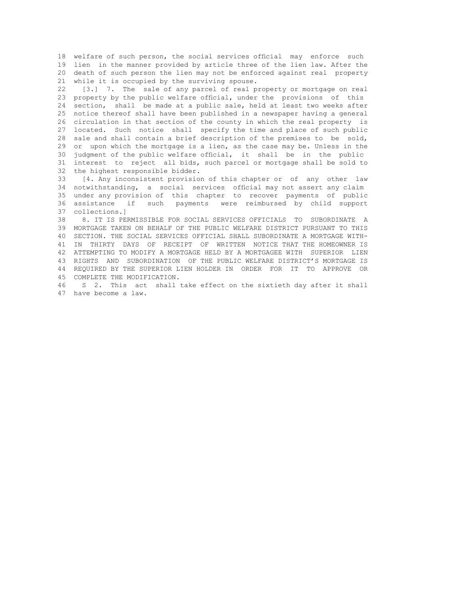18 welfare of such person, the social services official may enforce such 19 lien in the manner provided by article three of the lien law. After the 20 death of such person the lien may not be enforced against real property 21 while it is occupied by the surviving spouse.

 22 [3.] 7. The sale of any parcel of real property or mortgage on real 23 property by the public welfare official, under the provisions of this 24 section, shall be made at a public sale, held at least two weeks after 25 notice thereof shall have been published in a newspaper having a general 26 circulation in that section of the county in which the real property is 27 located. Such notice shall specify the time and place of such public 28 sale and shall contain a brief description of the premises to be sold, 29 or upon which the mortgage is a lien, as the case may be. Unless in the 30 judgment of the public welfare official, it shall be in the public 31 interest to reject all bids, such parcel or mortgage shall be sold to 32 the highest responsible bidder.<br>33 [4. Any inconsistent provisio

[4. Any inconsistent provision of this chapter or of any other law 34 notwithstanding, a social services official may not assert any claim 35 under any provision of this chapter to recover payments of public 36 assistance if such payments were reimbursed by child support 37 collections.]<br>38 8. IT IS PE

 38 8. IT IS PERMISSIBLE FOR SOCIAL SERVICES OFFICIALS TO SUBORDINATE A 39 MORTGAGE TAKEN ON BEHALF OF THE PUBLIC WELFARE DISTRICT PURSUANT TO THIS 40 SECTION. THE SOCIAL SERVICES OFFICIAL SHALL SUBORDINATE A MORTGAGE WITH- 41 IN THIRTY DAYS OF RECEIPT OF WRITTEN NOTICE THAT THE HOMEOWNER IS 42 ATTEMPTING TO MODIFY A MORTGAGE HELD BY A MORTGAGEE WITH SUPERIOR LIEN 43 RIGHTS AND SUBORDINATION OF THE PUBLIC WELFARE DISTRICT'S MORTGAGE IS 44 REQUIRED BY THE SUPERIOR LIEN HOLDER IN ORDER FOR IT TO APPROVE OR 45 COMPLETE THE MODIFICATION.

 46 S 2. This act shall take effect on the sixtieth day after it shall 47 have become a law.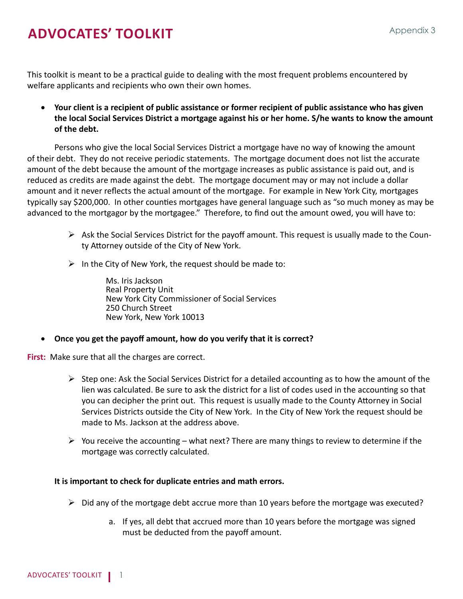# **ADVOCATES' TOOLKIT** Appendix 3

This toolkit is meant to be a practical guide to dealing with the most frequent problems encountered by welfare applicants and recipients who own their own homes.

• **Your client is a recipient of public assistance or former recipient of public assistance who has given the local Social Services District a mortgage against his or her home. S/he wants to know the amount of the debt.**

Persons who give the local Social Services District a mortgage have no way of knowing the amount of their debt. They do not receive periodic statements. The mortgage document does not list the accurate amount of the debt because the amount of the mortgage increases as public assistance is paid out, and is reduced as credits are made against the debt. The mortgage document may or may not include a dollar amount and it never reflects the actual amount of the mortgage. For example in New York City, mortgages typically say \$200,000. In other counties mortgages have general language such as "so much money as may be advanced to the mortgagor by the mortgagee." Therefore, to find out the amount owed, you will have to:

- $\triangleright$  Ask the Social Services District for the payoff amount. This request is usually made to the County Attorney outside of the City of New York.
- $\triangleright$  In the City of New York, the request should be made to:

Ms. Iris Jackson Real Property Unit New York City Commissioner of Social Services 250 Church Street New York, New York 10013

**Once you get the payoff amount, how do you verify that it is correct?** 

**First:** Make sure that all the charges are correct.

- $\triangleright$  Step one: Ask the Social Services District for a detailed accounting as to how the amount of the lien was calculated. Be sure to ask the district for a list of codes used in the accounting so that you can decipher the print out. This request is usually made to the County Attorney in Social Services Districts outside the City of New York. In the City of New York the request should be made to Ms. Jackson at the address above.
- $\triangleright$  You receive the accounting what next? There are many things to review to determine if the mortgage was correctly calculated.

#### **It is important to check for duplicate entries and math errors.**

- $\triangleright$  Did any of the mortgage debt accrue more than 10 years before the mortgage was executed?
	- a. If yes, all debt that accrued more than 10 years before the mortgage was signed must be deducted from the payoff amount.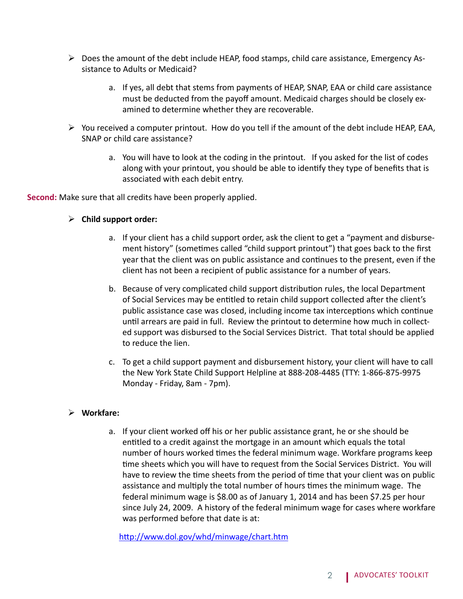- $\triangleright$  Does the amount of the debt include HEAP, food stamps, child care assistance, Emergency Assistance to Adults or Medicaid?
	- a. If yes, all debt that stems from payments of HEAP, SNAP, EAA or child care assistance must be deducted from the payoff amount. Medicaid charges should be closely examined to determine whether they are recoverable.
- $\triangleright$  You received a computer printout. How do you tell if the amount of the debt include HEAP, EAA, SNAP or child care assistance?
	- a. You will have to look at the coding in the printout. If you asked for the list of codes along with your printout, you should be able to identify they type of benefits that is associated with each debit entry.

**Second:** Make sure that all credits have been properly applied.

#### **Child support order:**

- a. If your client has a child support order, ask the client to get a "payment and disbursement history" (sometimes called "child support printout") that goes back to the first year that the client was on public assistance and continues to the present, even if the client has not been a recipient of public assistance for a number of years.
- b. Because of very complicated child support distribution rules, the local Department of Social Services may be entitled to retain child support collected after the client's public assistance case was closed, including income tax interceptions which continue until arrears are paid in full. Review the printout to determine how much in collected support was disbursed to the Social Services District. That total should be applied to reduce the lien.
- c. To get a child support payment and disbursement history, your client will have to call the New York State Child Support Helpline at 888-208-4485 (TTY: 1-866-875-9975 Monday - Friday, 8am - 7pm).

#### **Workfare:**

a. If your client worked off his or her public assistance grant, he or she should be entitled to a credit against the mortgage in an amount which equals the total number of hours worked times the federal minimum wage. Workfare programs keep time sheets which you will have to request from the Social Services District. You will have to review the time sheets from the period of time that your client was on public assistance and multiply the total number of hours times the minimum wage. The federal minimum wage is \$8.00 as of January 1, 2014 and has been \$7.25 per hour since July 24, 2009. A history of the federal minimum wage for cases where workfare was performed before that date is at:

<http://www.dol.gov/whd/minwage/chart.htm>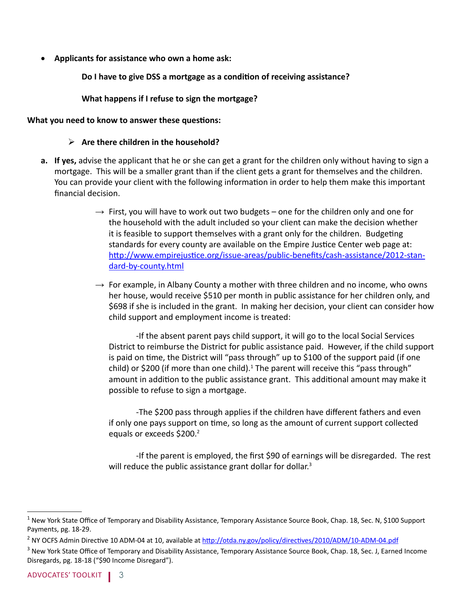Applicants for assistance who own a home ask:

**Do I have to give DSS a mortgage as a condition of receiving assistance?**

**What happens if I refuse to sign the mortgage?** 

#### **What you need to know to answer these questions:**

#### **Are there children in the household?**

- **a. If yes,** advise the applicant that he or she can get a grant for the children only without having to sign a mortgage. This will be a smaller grant than if the client gets a grant for themselves and the children. You can provide your client with the following information in order to help them make this important financial decision.
	- $\rightarrow$  First, you will have to work out two budgets one for the children only and one for the household with the adult included so your client can make the decision whether it is feasible to support themselves with a grant only for the children. Budgeting standards for every county are available on the Empire Justice Center web page at: [http://www.empirejustice.org/issue-areas/public-benefits/cash-assistance/2012-stan](http://www.empirejustice.org/issue-areas/public-benefits/cash-assistance/2012-standard-by-county.html)[dard-by-county.html](http://www.empirejustice.org/issue-areas/public-benefits/cash-assistance/2012-standard-by-county.html)
	- $\rightarrow$  For example, in Albany County a mother with three children and no income, who owns her house, would receive \$510 per month in public assistance for her children only, and \$698 if she is included in the grant. In making her decision, your client can consider how child support and employment income is treated:

-If the absent parent pays child support, it will go to the local Social Services District to reimburse the District for public assistance paid. However, if the child support is paid on time, the District will "pass through" up to \$100 of the support paid (if one child) or \$200 (if more than one child).<sup>1</sup> The parent will receive this "pass through" amount in addition to the public assistance grant. This additional amount may make it possible to refuse to sign a mortgage.

-The \$200 pass through applies if the children have different fathers and even if only one pays support on time, so long as the amount of current support collected equals or exceeds \$200.<sup>2</sup>

-If the parent is employed, the first \$90 of earnings will be disregarded. The rest will reduce the public assistance grant dollar for dollar.<sup>3</sup>

 $^1$  New York State Office of Temporary and Disability Assistance, Temporary Assistance Source Book, Chap. 18, Sec. N, \$100 Support Payments, pg. 18-29.

<sup>&</sup>lt;sup>2</sup> NY OCFS Admin Directive 10 ADM-04 at 10, available at <http://otda.ny.gov/policy/directives/2010/ADM/10-ADM-04.pdf>

<sup>&</sup>lt;sup>3</sup> New York State Office of Temporary and Disability Assistance, Temporary Assistance Source Book, Chap. 18, Sec. J, Earned Income Disregards, pg. 18-18 ("\$90 Income Disregard").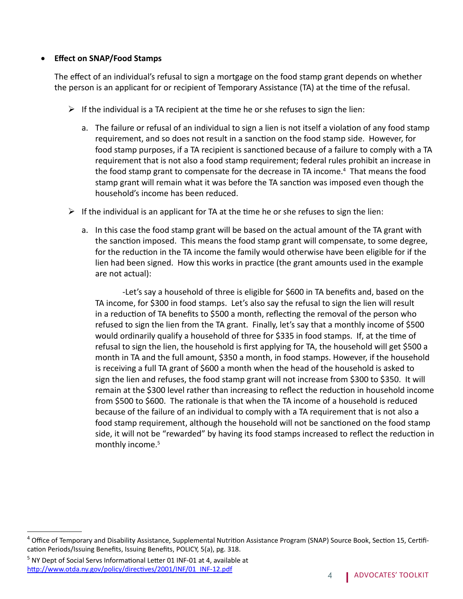#### **Effect on SNAP/Food Stamps**

The effect of an individual's refusal to sign a mortgage on the food stamp grant depends on whether the person is an applicant for or recipient of Temporary Assistance (TA) at the time of the refusal.

- $\triangleright$  If the individual is a TA recipient at the time he or she refuses to sign the lien:
	- a. The failure or refusal of an individual to sign a lien is not itself a violation of any food stamp requirement, and so does not result in a sanction on the food stamp side. However, for food stamp purposes, if a TA recipient is sanctioned because of a failure to comply with a TA requirement that is not also a food stamp requirement; federal rules prohibit an increase in the food stamp grant to compensate for the decrease in TA income.<sup>4</sup> That means the food stamp grant will remain what it was before the TA sanction was imposed even though the household's income has been reduced.
- $\triangleright$  If the individual is an applicant for TA at the time he or she refuses to sign the lien:
	- a. In this case the food stamp grant will be based on the actual amount of the TA grant with the sanction imposed. This means the food stamp grant will compensate, to some degree, for the reduction in the TA income the family would otherwise have been eligible for if the lien had been signed. How this works in practice (the grant amounts used in the example are not actual):

-Let's say a household of three is eligible for \$600 in TA benefits and, based on the TA income, for \$300 in food stamps. Let's also say the refusal to sign the lien will result in a reduction of TA benefits to \$500 a month, reflecting the removal of the person who refused to sign the lien from the TA grant. Finally, let's say that a monthly income of \$500 would ordinarily qualify a household of three for \$335 in food stamps. If, at the time of refusal to sign the lien, the household is first applying for TA, the household will get \$500 a month in TA and the full amount, \$350 a month, in food stamps. However, if the household is receiving a full TA grant of \$600 a month when the head of the household is asked to sign the lien and refuses, the food stamp grant will not increase from \$300 to \$350. It will remain at the \$300 level rather than increasing to reflect the reduction in household income from \$500 to \$600. The rationale is that when the TA income of a household is reduced because of the failure of an individual to comply with a TA requirement that is not also a food stamp requirement, although the household will not be sanctioned on the food stamp side, it will not be "rewarded" by having its food stamps increased to reflect the reduction in monthly income.<sup>5</sup>

<sup>&</sup>lt;sup>4</sup> Office of Temporary and Disability Assistance, Supplemental Nutrition Assistance Program (SNAP) Source Book, Section 15, Certification Periods/Issuing Benefits, Issuing Benefits, POLICY, 5(a), pg. 318.

<sup>&</sup>lt;sup>5</sup> NY Dept of Social Servs Informational Letter 01 INF-01 at 4, available at [http://www.otda.ny.gov/policy/directives/2001/INF/01\\_INF-12.pdf](http://www.otda.ny.gov/policy/directives/2001/INF/01_INF-12.pdf) **4** ADVOCATES' TOOLKIT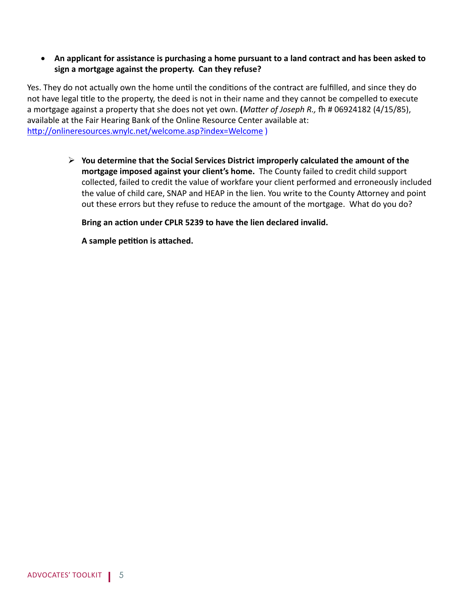#### • **An applicant for assistance is purchasing a home pursuant to a land contract and has been asked to sign a mortgage against the property. Can they refuse?**

Yes. They do not actually own the home until the conditions of the contract are fulfilled, and since they do not have legal title to the property, the deed is not in their name and they cannot be compelled to execute a mortgage against a property that she does not yet own. **(***Matter of Joseph R.,* fh # 06924182 (4/15/85), available at the Fair Hearing Bank of the Online Resource Center available at: <http://onlineresources.wnylc.net/welcome.asp?index=Welcome>)

> **You determine that the Social Services District improperly calculated the amount of the mortgage imposed against your client's home.** The County failed to credit child support collected, failed to credit the value of workfare your client performed and erroneously included the value of child care, SNAP and HEAP in the lien. You write to the County Attorney and point out these errors but they refuse to reduce the amount of the mortgage. What do you do?

**Bring an action under CPLR 5239 to have the lien declared invalid.** 

**A sample petition is attached.**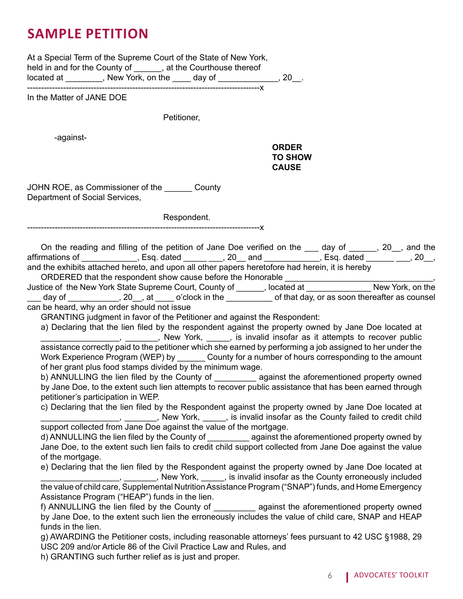# **sample petition**

At a Special Term of the Supreme Court of the State of New York, held in and for the County of \_\_\_\_\_\_, at the Courthouse thereof located at \_\_\_\_\_\_\_\_, New York, on the \_\_\_\_ day of \_\_\_\_\_\_\_\_\_\_\_\_, 20\_\_. ------------------------------------------------------------------------------------x

In the Matter of JANE DOE

Petitioner,

-against-

#### *CRDER AND RESIDENT CORDER AND RESIDENT CORDER AND STRUCK CORDER.* **TO SHOW CAUSE**

JOHN ROE, as Commissioner of the County Department of Social Services,

Respondent.

------------------------------------------------------------------------------------x

On the reading and filling of the petition of Jane Doe verified on the \_\_\_ day of \_\_\_\_\_, 20\_, and the affirmations of \_\_\_\_\_\_\_\_\_\_\_\_, Esq. dated \_\_\_\_\_\_\_\_\_, 20\_\_ and \_\_\_\_\_\_\_\_\_\_, Esq. dated \_\_\_\_\_\_\_\_, 20\_\_, and the exhibits attached hereto, and upon all other papers heretofore had herein, it is hereby

ORDERED that the respondent show cause before the Honorable

Justice of the New York State Supreme Court, County of \_\_\_\_\_\_, located at \_\_\_\_\_\_\_\_\_\_\_\_\_\_ New York, on the day of \_\_\_\_\_\_\_\_\_\_\_, 20\_\_, at \_\_\_\_ o'clock in the \_\_\_\_\_\_\_\_\_\_\_ of that day, or as soon thereafter as counsel can be heard, why an order should not issue

GRANTING judgment in favor of the Petitioner and against the Respondent:

a) Declaring that the lien filed by the respondent against the property owned by Jane Doe located at  $\frac{1}{1}$   $\frac{1}{1}$ ,  $\frac{1}{1}$ ,  $\frac{1}{1}$ , New York,  $\frac{1}{1}$ , is invalid insofar as it attempts to recover public assistance correctly paid to the petitioner which she earned by performing a job assigned to her under the Work Experience Program (WEP) by County for a number of hours corresponding to the amount of her grant plus food stamps divided by the minimum wage.

b) ANNULLING the lien filed by the County of \_\_\_\_\_\_\_\_\_\_\_ against the aforementioned property owned by Jane Doe, to the extent such lien attempts to recover public assistance that has been earned through petitioner's participation in WEP.

c) Declaring that the lien filed by the Respondent against the property owned by Jane Doe located at **Example 20**, 2008, 2008, 2008, 2008, 2008, 2008, 2008, 2008, 2008, 2008, 2008, 2008, 2008, 2008, 2008, 2008, 20 support collected from Jane Doe against the value of the mortgage.

d) ANNULLING the lien filed by the County of against the aforementioned property owned by Jane Doe, to the extent such lien fails to credit child support collected from Jane Doe against the value of the mortgage.

e) Declaring that the lien filed by the Respondent against the property owned by Jane Doe located at **EXECUTE:** THE MEXIS CONTROLLET A REPORT AND THE MEXIS CONTROLLET A REPORT OF THE MEXIS CONTROLLET A REPORT OF THE ME the value of child care, Supplemental Nutrition Assistance Program ("SNAP") funds, and Home Emergency Assistance Program ("HEAP") funds in the lien.

f) ANNULLING the lien filed by the County of \_\_\_\_\_\_\_\_\_ against the aforementioned property owned by Jane Doe, to the extent such lien the erroneously includes the value of child care, SNAP and HEAP funds in the lien.

g) AWARDING the Petitioner costs, including reasonable attorneys' fees pursuant to 42 USC §1988, 29 USC 209 and/or Article 86 of the Civil Practice Law and Rules, and

h) GRANTING such further relief as is just and proper.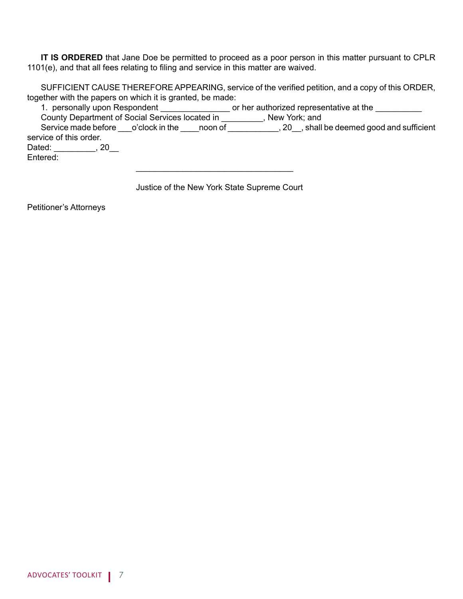**IT IS ORDERED** that Jane Doe be permitted to proceed as a poor person in this matter pursuant to CPLR 1101(e), and that all fees relating to filing and service in this matter are waived.

 SUFFICIENT CAUSE THEREFORE APPEARING, service of the verified petition, and a copy of this ORDER, together with the papers on which it is granted, be made:

1. personally upon Respondent \_\_\_\_\_\_\_\_\_\_\_\_\_\_\_\_\_\_ or her authorized representative at the \_\_\_\_\_\_\_\_\_\_ County Department of Social Services located in \_\_\_\_\_\_\_\_\_, New York; and Service made before \_\_\_o'clock in the \_\_\_\_noon of \_\_\_\_\_\_\_\_\_\_\_, 20\_\_, shall be deemed good and sufficient service of this order. Dated: \_\_\_\_\_\_\_\_\_, 20\_\_ Entered:

Justice of the New York State Supreme Court

 $\overline{\phantom{a}}$  , and the contract of the contract of the contract of the contract of the contract of the contract of the contract of the contract of the contract of the contract of the contract of the contract of the contrac

Petitioner's Attorneys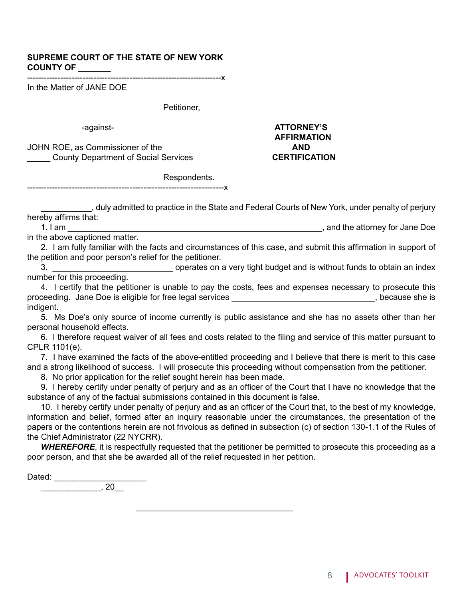#### **SUPREME COURT OF THE STATE OF NEW YORK COUNTY OF \_\_\_\_\_\_\_**

----------------------------------------------------------------------x

In the Matter of JANE DOE

Petitioner,

JOHN ROE, as Commissioner of the **AND** \_\_\_\_\_ County Department of Social Services **CERTIFICATION**

# -against- **ATTORNEY'S AFFIRMATION**

 Respondents. -----------------------------------------------------------------------x

\_\_\_\_\_\_\_\_\_\_\_, duly admitted to practice in the State and Federal Courts of New York, under penalty of perjury hereby affirms that:

1. I am \_\_\_\_\_\_\_\_\_\_\_\_\_\_\_\_\_\_\_\_\_\_\_\_\_\_\_\_\_\_\_\_\_\_\_\_\_\_\_\_\_\_\_\_\_\_\_\_\_\_\_\_\_\_\_, and the attorney for Jane Doe

in the above captioned matter.

 2. I am fully familiar with the facts and circumstances of this case, and submit this affirmation in support of the petition and poor person's relief for the petitioner.

3. \_\_\_\_\_\_\_\_\_\_\_\_\_\_\_\_\_\_\_\_\_\_\_\_\_\_ operates on a very tight budget and is without funds to obtain an index number for this proceeding.

4. I certify that the petitioner is unable to pay the costs, fees and expenses necessary to prosecute this proceeding. Jane Doe is eligible for free legal services entitled and the state of the state she is proceeding. Jane Doe is eligible for free legal services indigent.

5. Ms Doe's only source of income currently is public assistance and she has no assets other than her personal household effects.

 6. I therefore request waiver of all fees and costs related to the filing and service of this matter pursuant to CPLR 1101(e).

7. I have examined the facts of the above-entitled proceeding and I believe that there is merit to this case and a strong likelihood of success. I will prosecute this proceeding without compensation from the petitioner.

8. No prior application for the relief sought herein has been made.

 $\overline{\phantom{a}}$  ,  $\overline{\phantom{a}}$  ,  $\overline{\phantom{a}}$  ,  $\overline{\phantom{a}}$  ,  $\overline{\phantom{a}}$  ,  $\overline{\phantom{a}}$  ,  $\overline{\phantom{a}}$  ,  $\overline{\phantom{a}}$  ,  $\overline{\phantom{a}}$  ,  $\overline{\phantom{a}}$  ,  $\overline{\phantom{a}}$  ,  $\overline{\phantom{a}}$  ,  $\overline{\phantom{a}}$  ,  $\overline{\phantom{a}}$  ,  $\overline{\phantom{a}}$  ,  $\overline{\phantom{a}}$ 

 9. I hereby certify under penalty of perjury and as an officer of the Court that I have no knowledge that the substance of any of the factual submissions contained in this document is false.

 10. I hereby certify under penalty of perjury and as an officer of the Court that, to the best of my knowledge, information and belief, formed after an inquiry reasonable under the circumstances, the presentation of the papers or the contentions herein are not frivolous as defined in subsection (c) of section 130-1.1 of the Rules of the Chief Administrator (22 NYCRR).

*WHEREFORE*, it is respectfully requested that the petitioner be permitted to prosecute this proceeding as a poor person, and that she be awarded all of the relief requested in her petition.

Dated: \_\_\_\_\_\_\_\_\_\_\_\_\_\_\_\_\_\_\_\_ \_\_\_\_\_\_\_\_\_\_\_\_\_, 20\_\_

8 | ADVOCATES' TOOLKIT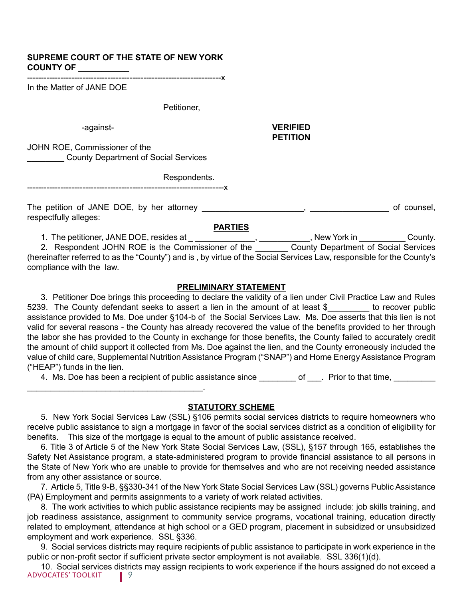#### **SUPREME COURT OF THE STATE OF NEW YORK COUNTY OF \_\_\_\_\_\_\_\_\_\_\_**

----------------------------------------------------------------------x

In the Matter of JANE DOE

Petitioner,

 -against- **VERIFIED PETITION** 

JOHN ROE, Commissioner of the **EXECUTE:** County Department of Social Services

> Respondents. -----------------------------------------------------------------------x

The petition of JANE DOE, by her attorney \_\_\_\_\_\_\_\_\_\_\_\_\_\_\_\_\_\_\_\_\_\_, \_\_\_\_\_\_\_\_\_\_\_\_\_\_\_\_\_ of counsel, respectfully alleges:

**PARTIES**

1. The petitioner, JANE DOE, resides at \_ \_\_\_\_\_\_\_\_\_\_\_\_\_\_\_, \_\_\_\_\_\_\_\_\_\_\_, New York in \_\_\_\_\_\_\_\_\_\_\_\_County.

\_\_\_\_\_\_\_\_\_\_\_\_\_\_\_\_\_\_\_\_\_\_\_\_\_\_\_\_\_\_\_\_\_\_\_\_\_\_.

2. Respondent JOHN ROE is the Commissioner of the \_\_\_\_\_\_\_\_ County Department of Social Services (hereinafter referred to as the "County") and is , by virtue of the Social Services Law, responsible for the County's compliance with the law.

#### **PRELIMINARY STATEMENT**

3. Petitioner Doe brings this proceeding to declare the validity of a lien under Civil Practice Law and Rules 5239. The County defendant seeks to assert a lien in the amount of at least \$\_\_\_\_\_\_\_\_ to recover public assistance provided to Ms. Doe under §104-b of the Social Services Law. Ms. Doe asserts that this lien is not valid for several reasons - the County has already recovered the value of the benefits provided to her through the labor she has provided to the County in exchange for those benefits, the County failed to accurately credit the amount of child support it collected from Ms. Doe against the lien, and the County erroneously included the value of child care, Supplemental Nutrition Assistance Program ("SNAP") and Home Energy Assistance Program ("HEAP") funds in the lien.

4. Ms. Doe has been a recipient of public assistance since \_\_\_\_\_\_\_ of \_\_\_. Prior to that time, \_\_\_\_\_\_\_\_\_

#### **STATUTORY SCHEME**

 5. New York Social Services Law (SSL) §106 permits social services districts to require homeowners who receive public assistance to sign a mortgage in favor of the social services district as a condition of eligibility for benefits. This size of the mortgage is equal to the amount of public assistance received. 

6. Title 3 of Article 5 of the New York State Social Services Law, (SSL), §157 through 165, establishes the Safety Net Assistance program, a state-administered program to provide financial assistance to all persons in the State of New York who are unable to provide for themselves and who are not receiving needed assistance from any other assistance or source.

7. Article 5, Title 9-B, §§330-341 of the New York State Social Services Law (SSL) governs Public Assistance (PA) Employment and permits assignments to a variety of work related activities.

8. The work activities to which public assistance recipients may be assigned include: job skills training, and job readiness assistance, assignment to community service programs, vocational training, education directly related to employment, attendance at high school or a GED program, placement in subsidized or unsubsidized employment and work experience. SSL §336.

 9. Social services districts may require recipients of public assistance to participate in work experience in the public or non-profit sector if sufficient private sector employment is not available. SSL 336(1)(d).

10. Social services districts may assign recipients to work experience if the hours assigned do not exceed a Advocates' toolkit9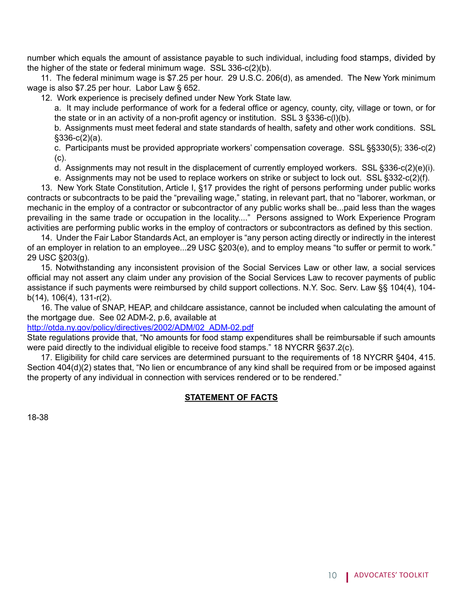number which equals the amount of assistance payable to such individual, including food stamps, divided by the higher of the state or federal minimum wage. SSL 336-c(2)(b).

11. The federal minimum wage is \$7.25 per hour. 29 U.S.C. 206(d), as amended. The New York minimum wage is also \$7.25 per hour. Labor Law § 652.

 12. Work experience is precisely defined under New York State law.

a. It may include performance of work for a federal office or agency, county, city, village or town, or for the state or in an activity of a non-profit agency or institution. SSL 3 §336-c(l)(b).

b. Assignments must meet federal and state standards of health, safety and other work conditions. SSL §336-c(2)(a).

c. Participants must be provided appropriate workers' compensation coverage. SSL §§330(5); 336-c(2) (c).

d. Assignments may not result in the displacement of currently employed workers. SSL §336-c(2)(e)(i).

e. Assignments may not be used to replace workers on strike or subject to lock out. SSL §332-c(2)(f).

13. New York State Constitution, Article I, §17 provides the right of persons performing under public works contracts or subcontracts to be paid the "prevailing wage," stating, in relevant part, that no "laborer, workman, or mechanic in the employ of a contractor or subcontractor of any public works shall be...paid less than the wages prevailing in the same trade or occupation in the locality...." Persons assigned to Work Experience Program activities are performing public works in the employ of contractors or subcontractors as defined by this section.

14. Under the Fair Labor Standards Act, an employer is "any person acting directly or indirectly in the interest of an employer in relation to an employee...29 USC §203(e), and to employ means "to suffer or permit to work." 29 USC §203(g).

15. Notwithstanding any inconsistent provision of the Social Services Law or other law, a social services official may not assert any claim under any provision of the Social Services Law to recover payments of public assistance if such payments were reimbursed by child support collections. N.Y. Soc. Serv. Law §§ 104(4), 104 b(14), 106(4), 131-r(2).

16. The value of SNAP, HEAP, and childcare assistance, cannot be included when calculating the amount of the mortgage due. See 02 ADM-2, p.6, available at

[http://otda.ny.gov/policy/directives/2002/ADM/02\\_ADM-02.pdf](http://otda.ny.gov/policy/directives/2002/ADM/02_ADM-02.pdf)

State regulations provide that, "No amounts for food stamp expenditures shall be reimbursable if such amounts were paid directly to the individual eligible to receive food stamps." 18 NYCRR §637.2(c).

 17. Eligibility for child care services are determined pursuant to the requirements of 18 NYCRR §404, 415. Section 404(d)(2) states that, "No lien or encumbrance of any kind shall be required from or be imposed against the property of any individual in connection with services rendered or to be rendered."

#### **STATEMENT OF FACTS**

18-38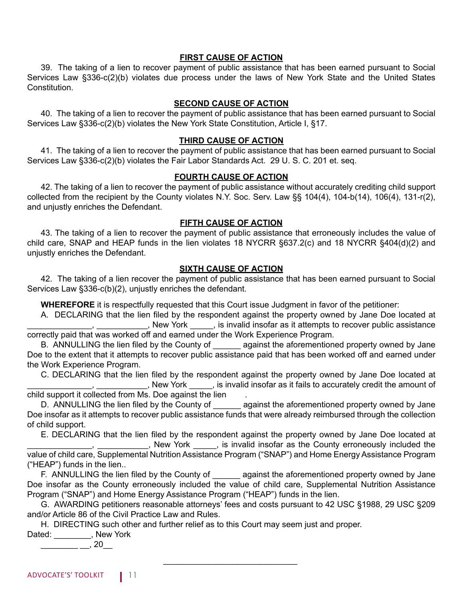#### **FIRST CAUSE OF ACTION**

39. The taking of a lien to recover payment of public assistance that has been earned pursuant to Social Services Law §336-c(2)(b) violates due process under the laws of New York State and the United States Constitution.

#### **SECOND CAUSE OF ACTION**

40. The taking of a lien to recover the payment of public assistance that has been earned pursuant to Social Services Law §336-c(2)(b) violates the New York State Constitution, Article I, §17.

#### **THIRD CAUSE OF ACTION**

41. The taking of a lien to recover the payment of public assistance that has been earned pursuant to Social Services Law §336-c(2)(b) violates the Fair Labor Standards Act. 29 U. S. C. 201 et. seq.

#### **FOURTH CAUSE OF ACTION**

42. The taking of a lien to recover the payment of public assistance without accurately crediting child support collected from the recipient by the County violates N.Y. Soc. Serv. Law §§ 104(4), 104-b(14), 106(4), 131-r(2), and unjustly enriches the Defendant.

#### **FIFTH CAUSE OF ACTION**

43. The taking of a lien to recover the payment of public assistance that erroneously includes the value of child care, SNAP and HEAP funds in the lien violates 18 NYCRR §637.2(c) and 18 NYCRR §404(d)(2) and unjustly enriches the Defendant.

#### **SIXTH CAUSE OF ACTION**

42. The taking of a lien recover the payment of public assistance that has been earned pursuant to Social Services Law §336-c(b)(2), unjustly enriches the defendant.

**WHEREFORE** it is respectfully requested that this Court issue Judgment in favor of the petitioner:

 A. DECLARING that the lien filed by the respondent against the property owned by Jane Doe located at \_\_, \_\_\_\_\_\_\_\_\_\_\_, New York \_\_\_\_\_, is invalid insofar as it attempts to recover public assistance correctly paid that was worked off and earned under the Work Experience Program.

B. ANNULLING the lien filed by the County of eagainst the aforementioned property owned by Jane Doe to the extent that it attempts to recover public assistance paid that has been worked off and earned under the Work Experience Program.

 C. DECLARING that the lien filed by the respondent against the property owned by Jane Doe located at \_\_\_\_\_\_\_\_\_\_\_\_\_\_, \_\_\_\_\_\_\_\_\_\_\_, New York \_\_\_\_\_, is invalid insofar as it fails to accurately credit the amount of

child support it collected from Ms. Doe against the lien .

D. ANNULLING the lien filed by the County of against the aforementioned property owned by Jane Doe insofar as it attempts to recover public assistance funds that were already reimbursed through the collection of child support.

 E. DECLARING that the lien filed by the respondent against the property owned by Jane Doe located at **Example 20**, New York \_\_\_\_\_, is invalid insofar as the County erroneously included the

value of child care, Supplemental Nutrition Assistance Program ("SNAP") and Home Energy Assistance Program ("HEAP") funds in the lien..

F. ANNULLING the lien filed by the County of \_\_\_\_\_\_ against the aforementioned property owned by Jane Doe insofar as the County erroneously included the value of child care, Supplemental Nutrition Assistance Program ("SNAP") and Home Energy Assistance Program ("HEAP") funds in the lien.

G. AWARDING petitioners reasonable attorneys' fees and costs pursuant to 42 USC §1988, 29 USC §209 and/or Article 86 of the Civil Practice Law and Rules.

H. DIRECTING such other and further relief as to this Court may seem just and proper.

 $\frac{1}{\sqrt{2}}$  ,  $\frac{1}{\sqrt{2}}$  ,  $\frac{1}{\sqrt{2}}$  ,  $\frac{1}{\sqrt{2}}$  ,  $\frac{1}{\sqrt{2}}$  ,  $\frac{1}{\sqrt{2}}$  ,  $\frac{1}{\sqrt{2}}$  ,  $\frac{1}{\sqrt{2}}$  ,  $\frac{1}{\sqrt{2}}$  ,  $\frac{1}{\sqrt{2}}$  ,  $\frac{1}{\sqrt{2}}$  ,  $\frac{1}{\sqrt{2}}$  ,  $\frac{1}{\sqrt{2}}$  ,  $\frac{1}{\sqrt{2}}$  ,  $\frac{1}{\sqrt{2}}$ 

Dated: \_\_\_\_\_\_\_\_, New York

 $\frac{1}{2}$   $\frac{1}{20}$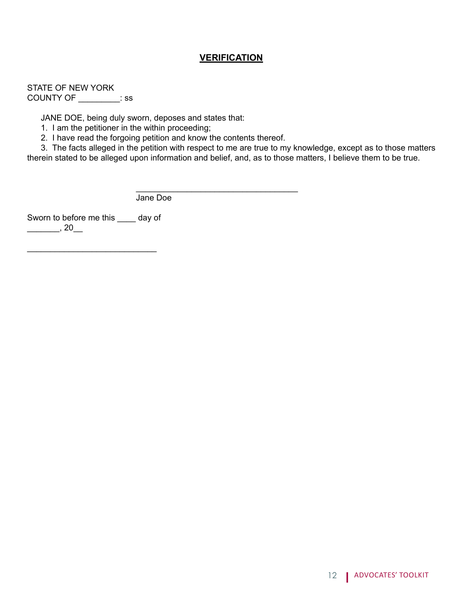#### **VERIFICATION**

STATE OF NEW YORK COUNTY OF \_\_\_\_\_\_\_\_\_: ss

JANE DOE, being duly sworn, deposes and states that:

1. I am the petitioner in the within proceeding;

2. I have read the forgoing petition and know the contents thereof.

 $\overline{\phantom{a}}$  ,  $\overline{\phantom{a}}$  ,  $\overline{\phantom{a}}$  ,  $\overline{\phantom{a}}$  ,  $\overline{\phantom{a}}$  ,  $\overline{\phantom{a}}$  ,  $\overline{\phantom{a}}$  ,  $\overline{\phantom{a}}$  ,  $\overline{\phantom{a}}$  ,  $\overline{\phantom{a}}$  ,  $\overline{\phantom{a}}$  ,  $\overline{\phantom{a}}$  ,  $\overline{\phantom{a}}$  ,  $\overline{\phantom{a}}$  ,  $\overline{\phantom{a}}$  ,  $\overline{\phantom{a}}$ 

3. The facts alleged in the petition with respect to me are true to my knowledge, except as to those matters therein stated to be alleged upon information and belief, and, as to those matters, I believe them to be true.

Jane Doe

Sworn to before me this \_\_\_\_ day of  $\frac{1}{20}$ , 20

\_\_\_\_\_\_\_\_\_\_\_\_\_\_\_\_\_\_\_\_\_\_\_\_\_\_\_\_